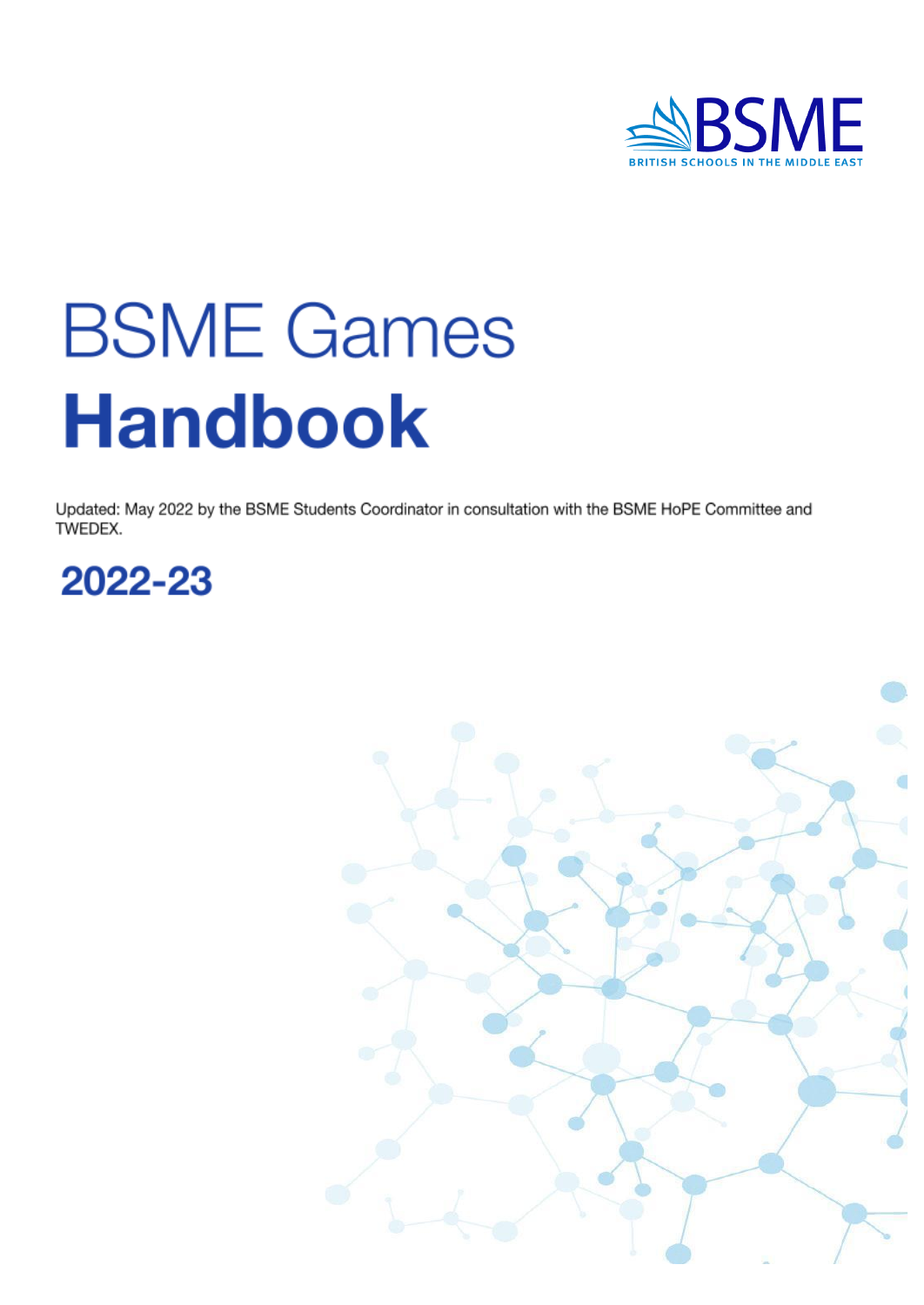

# **BSME Games Handbook**

Updated: May 2022 by the BSME Students Coordinator in consultation with the BSME HoPE Committee and TWEDEX.



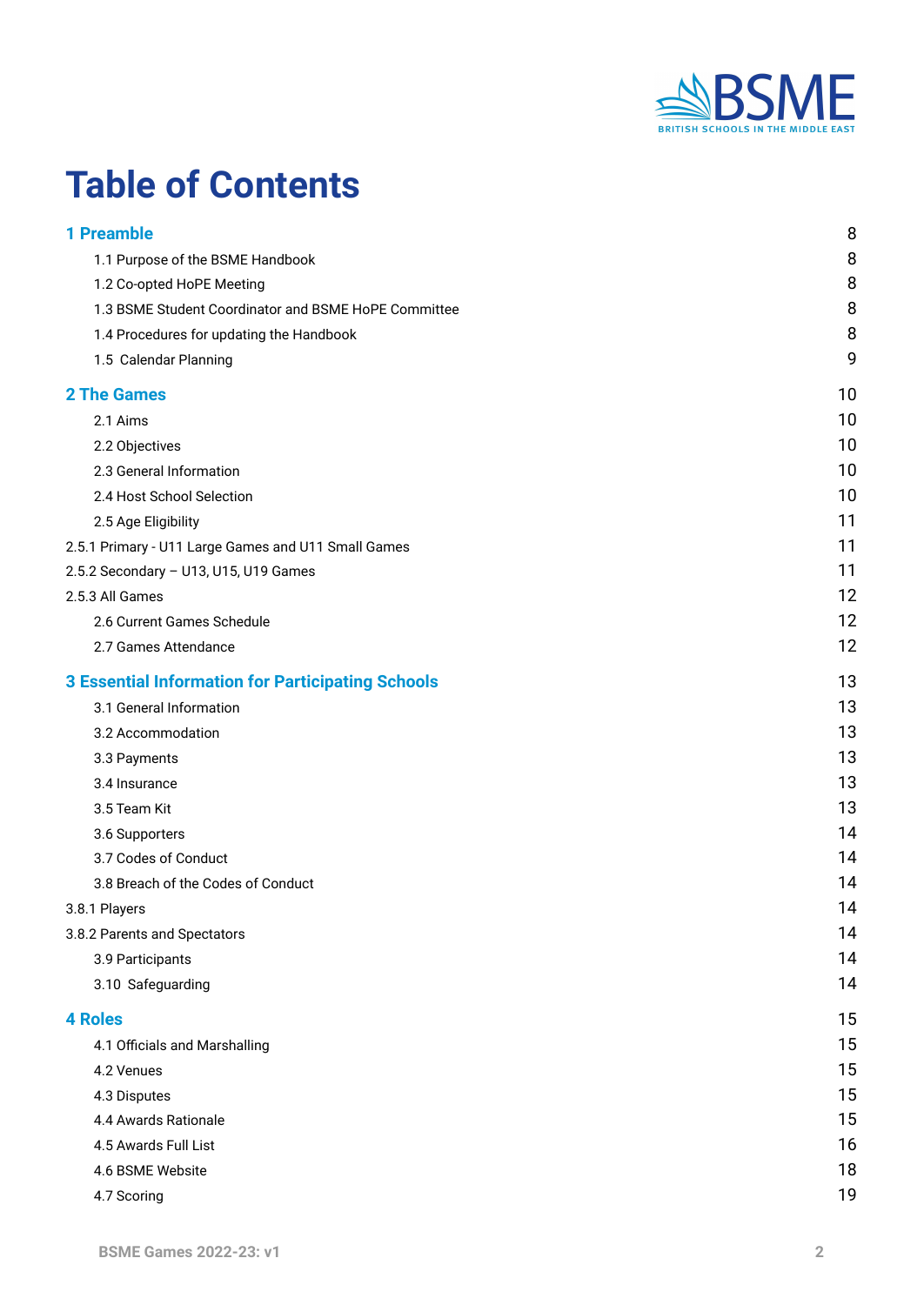

# **Table of Contents**

| <b>1 Preamble</b>                                        | 8  |
|----------------------------------------------------------|----|
| 1.1 Purpose of the BSME Handbook                         | 8  |
| 1.2 Co-opted HoPE Meeting                                | 8  |
| 1.3 BSME Student Coordinator and BSME HoPE Committee     | 8  |
| 1.4 Procedures for updating the Handbook                 | 8  |
| 1.5 Calendar Planning                                    | 9  |
| <b>2 The Games</b>                                       | 10 |
| 2.1 Aims                                                 | 10 |
| 2.2 Objectives                                           | 10 |
| 2.3 General Information                                  | 10 |
| 2.4 Host School Selection                                | 10 |
| 2.5 Age Eligibility                                      | 11 |
| 2.5.1 Primary - U11 Large Games and U11 Small Games      | 11 |
| 2.5.2 Secondary - U13, U15, U19 Games                    | 11 |
| 2.5.3 All Games                                          | 12 |
| 2.6 Current Games Schedule                               | 12 |
| 2.7 Games Attendance                                     | 12 |
| <b>3 Essential Information for Participating Schools</b> | 13 |
| 3.1 General Information                                  | 13 |
| 3.2 Accommodation                                        | 13 |
| 3.3 Payments                                             | 13 |
| 3.4 Insurance                                            | 13 |
| 3.5 Team Kit                                             | 13 |
| 3.6 Supporters                                           | 14 |
| 3.7 Codes of Conduct                                     | 14 |
| 3.8 Breach of the Codes of Conduct                       | 14 |
| 3.8.1 Players                                            | 14 |
| 3.8.2 Parents and Spectators                             | 14 |
| 3.9 Participants                                         | 14 |
| 3.10 Safeguarding                                        | 14 |
| <b>4 Roles</b>                                           | 15 |
| 4.1 Officials and Marshalling                            | 15 |
| 4.2 Venues                                               | 15 |
| 4.3 Disputes                                             | 15 |
| 4.4 Awards Rationale                                     | 15 |
| 4.5 Awards Full List                                     | 16 |
| 4.6 BSME Website                                         | 18 |
| 4.7 Scoring                                              | 19 |
|                                                          |    |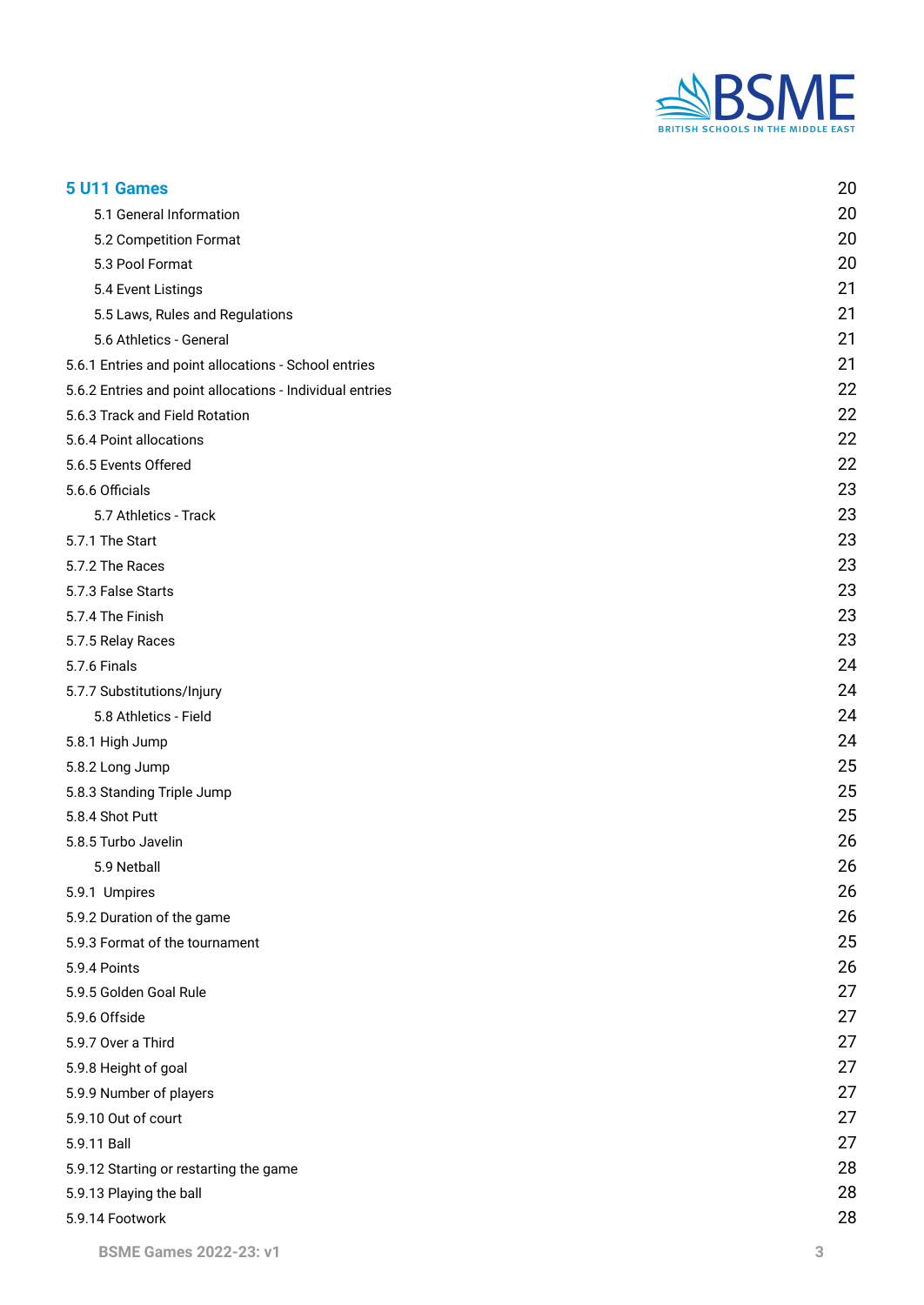

| 5 U11 Games                                              | 20 |
|----------------------------------------------------------|----|
| 5.1 General Information                                  | 20 |
| 5.2 Competition Format                                   | 20 |
| 5.3 Pool Format                                          | 20 |
| 5.4 Event Listings                                       | 21 |
| 5.5 Laws, Rules and Regulations                          | 21 |
| 5.6 Athletics - General                                  | 21 |
| 5.6.1 Entries and point allocations - School entries     | 21 |
| 5.6.2 Entries and point allocations - Individual entries | 22 |
| 5.6.3 Track and Field Rotation                           | 22 |
| 5.6.4 Point allocations                                  | 22 |
| 5.6.5 Events Offered                                     | 22 |
| 5.6.6 Officials                                          | 23 |
| 5.7 Athletics - Track                                    | 23 |
| 5.7.1 The Start                                          | 23 |
| 5.7.2 The Races                                          | 23 |
| 5.7.3 False Starts                                       | 23 |
| 5.7.4 The Finish                                         | 23 |
| 5.7.5 Relay Races                                        | 23 |
| 5.7.6 Finals                                             | 24 |
| 5.7.7 Substitutions/Injury                               | 24 |
| 5.8 Athletics - Field                                    | 24 |
| 5.8.1 High Jump                                          | 24 |
| 5.8.2 Long Jump                                          | 25 |
| 5.8.3 Standing Triple Jump                               | 25 |
| 5.8.4 Shot Putt                                          | 25 |
| 5.8.5 Turbo Javelin                                      | 26 |
| 5.9 Netball                                              | 26 |
| 5.9.1 Umpires                                            | 26 |
| 5.9.2 Duration of the game                               | 26 |
| 5.9.3 Format of the tournament                           | 25 |
| 5.9.4 Points                                             | 26 |
| 5.9.5 Golden Goal Rule                                   | 27 |
| 5.9.6 Offside                                            | 27 |
| 5.9.7 Over a Third                                       | 27 |
| 5.9.8 Height of goal                                     | 27 |
| 5.9.9 Number of players                                  | 27 |
| 5.9.10 Out of court                                      | 27 |
| 5.9.11 Ball                                              | 27 |
| 5.9.12 Starting or restarting the game                   | 28 |
| 5.9.13 Playing the ball                                  | 28 |
| 5.9.14 Footwork                                          | 28 |
|                                                          |    |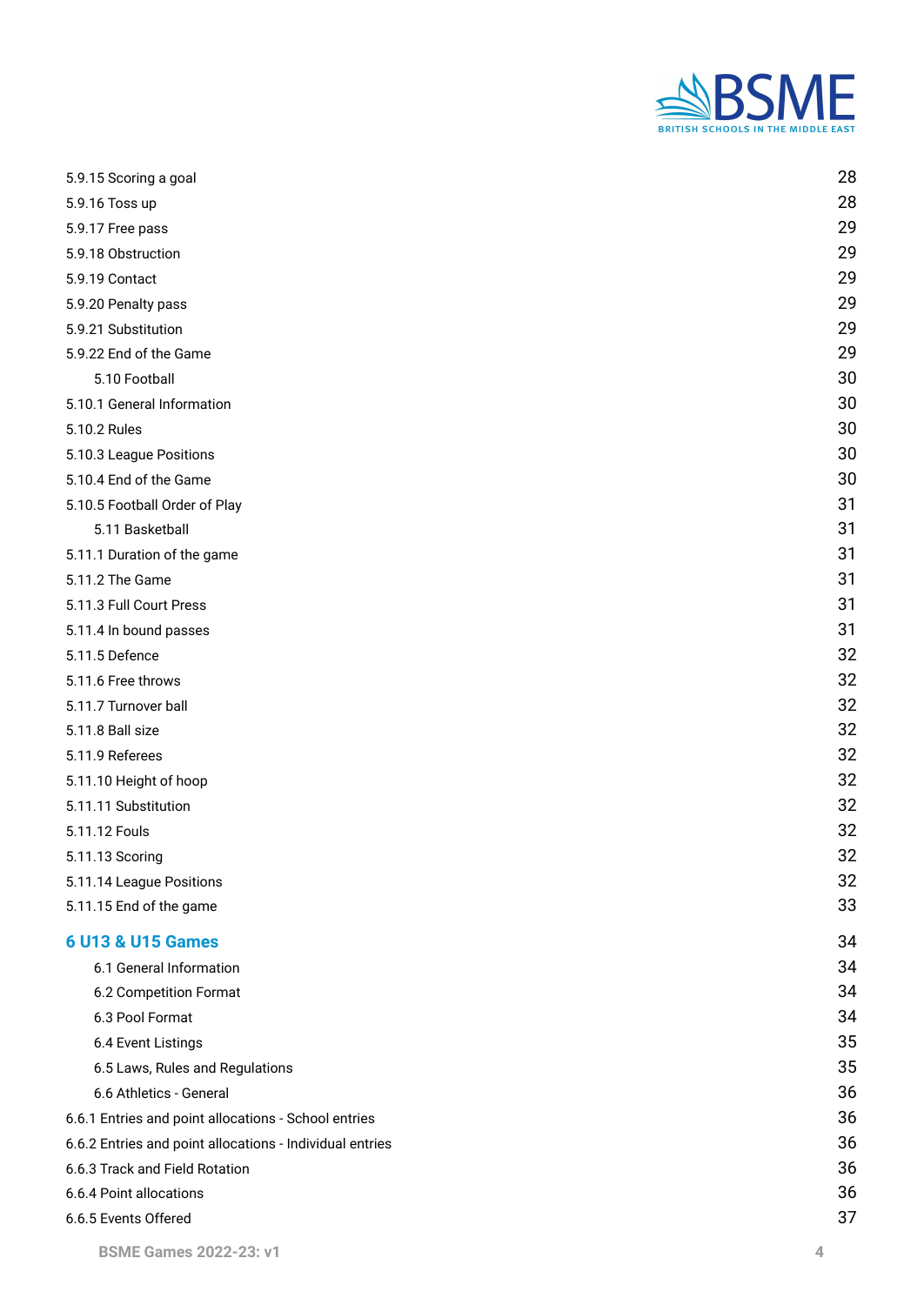

| 5.9.15 Scoring a goal                                    | 28 |
|----------------------------------------------------------|----|
| 5.9.16 Toss up                                           | 28 |
| 5.9.17 Free pass                                         | 29 |
| 5.9.18 Obstruction                                       | 29 |
| 5.9.19 Contact                                           | 29 |
| 5.9.20 Penalty pass                                      | 29 |
| 5.9.21 Substitution                                      | 29 |
| 5.9.22 End of the Game                                   | 29 |
| 5.10 Football                                            | 30 |
| 5.10.1 General Information                               | 30 |
| 5.10.2 Rules                                             | 30 |
| 5.10.3 League Positions                                  | 30 |
| 5.10.4 End of the Game                                   | 30 |
| 5.10.5 Football Order of Play                            | 31 |
| 5.11 Basketball                                          | 31 |
| 5.11.1 Duration of the game                              | 31 |
| 5.11.2 The Game                                          | 31 |
| 5.11.3 Full Court Press                                  | 31 |
| 5.11.4 In bound passes                                   | 31 |
| 5.11.5 Defence                                           | 32 |
| 5.11.6 Free throws                                       | 32 |
| 5.11.7 Turnover ball                                     | 32 |
| 5.11.8 Ball size                                         | 32 |
| 5.11.9 Referees                                          | 32 |
| 5.11.10 Height of hoop                                   | 32 |
| 5.11.11 Substitution                                     | 32 |
| 5.11.12 Fouls                                            | 32 |
| 5.11.13 Scoring                                          | 32 |
| 5.11.14 League Positions                                 | 32 |
| 5.11.15 End of the game                                  | 33 |
| <b>6 U13 &amp; U15 Games</b>                             | 34 |
| 6.1 General Information                                  | 34 |
| 6.2 Competition Format                                   | 34 |
| 6.3 Pool Format                                          | 34 |
| 6.4 Event Listings                                       | 35 |
| 6.5 Laws, Rules and Regulations                          | 35 |
| 6.6 Athletics - General                                  | 36 |
| 6.6.1 Entries and point allocations - School entries     | 36 |
| 6.6.2 Entries and point allocations - Individual entries | 36 |
| 6.6.3 Track and Field Rotation                           | 36 |
| 6.6.4 Point allocations                                  | 36 |
| 6.6.5 Events Offered                                     | 37 |
|                                                          |    |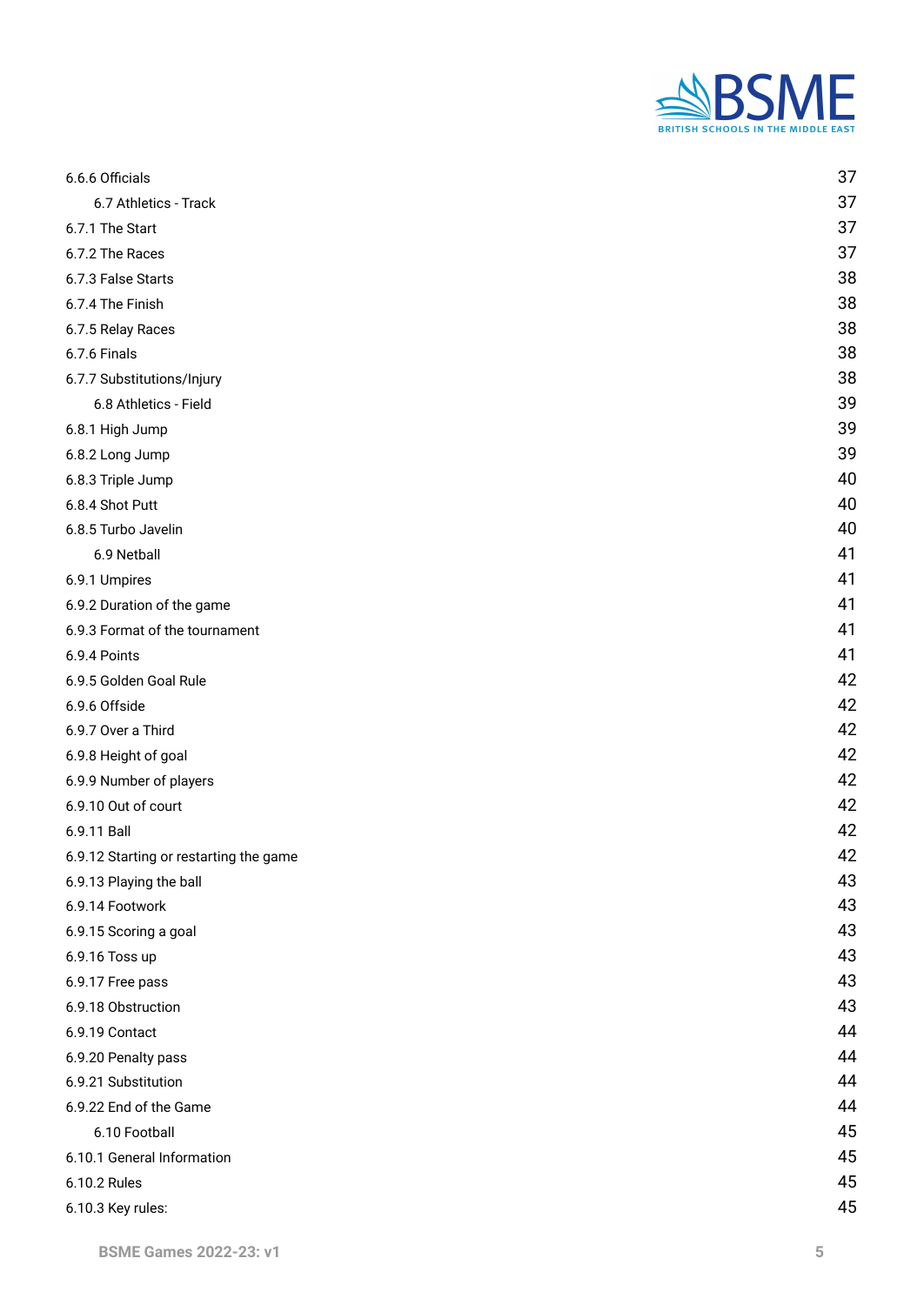

| 6.6.6 Officials                        | 37 |
|----------------------------------------|----|
| 6.7 Athletics - Track                  | 37 |
| 6.7.1 The Start                        | 37 |
| 6.7.2 The Races                        | 37 |
| 6.7.3 False Starts                     | 38 |
| 6.7.4 The Finish                       | 38 |
| 6.7.5 Relay Races                      | 38 |
| 6.7.6 Finals                           | 38 |
| 6.7.7 Substitutions/Injury             | 38 |
| 6.8 Athletics - Field                  | 39 |
| 6.8.1 High Jump                        | 39 |
| 6.8.2 Long Jump                        | 39 |
| 6.8.3 Triple Jump                      | 40 |
| 6.8.4 Shot Putt                        | 40 |
| 6.8.5 Turbo Javelin                    | 40 |
| 6.9 Netball                            | 41 |
| 6.9.1 Umpires                          | 41 |
| 6.9.2 Duration of the game             | 41 |
| 6.9.3 Format of the tournament         | 41 |
| 6.9.4 Points                           | 41 |
| 6.9.5 Golden Goal Rule                 | 42 |
| 6.9.6 Offside                          | 42 |
| 6.9.7 Over a Third                     | 42 |
| 6.9.8 Height of goal                   | 42 |
| 6.9.9 Number of players                | 42 |
| 6.9.10 Out of court                    | 42 |
| 6.9.11 Ball                            | 42 |
| 6.9.12 Starting or restarting the game | 42 |
| 6.9.13 Playing the ball                | 43 |
| 6.9.14 Footwork                        | 43 |
| 6.9.15 Scoring a goal                  | 43 |
| 6.9.16 Toss up                         | 43 |
| 6.9.17 Free pass                       | 43 |
| 6.9.18 Obstruction                     | 43 |
| 6.9.19 Contact                         | 44 |
| 6.9.20 Penalty pass                    | 44 |
| 6.9.21 Substitution                    | 44 |
| 6.9.22 End of the Game                 | 44 |
| 6.10 Football                          | 45 |
| 6.10.1 General Information             | 45 |
| 6.10.2 Rules                           | 45 |
| 6.10.3 Key rules:                      | 45 |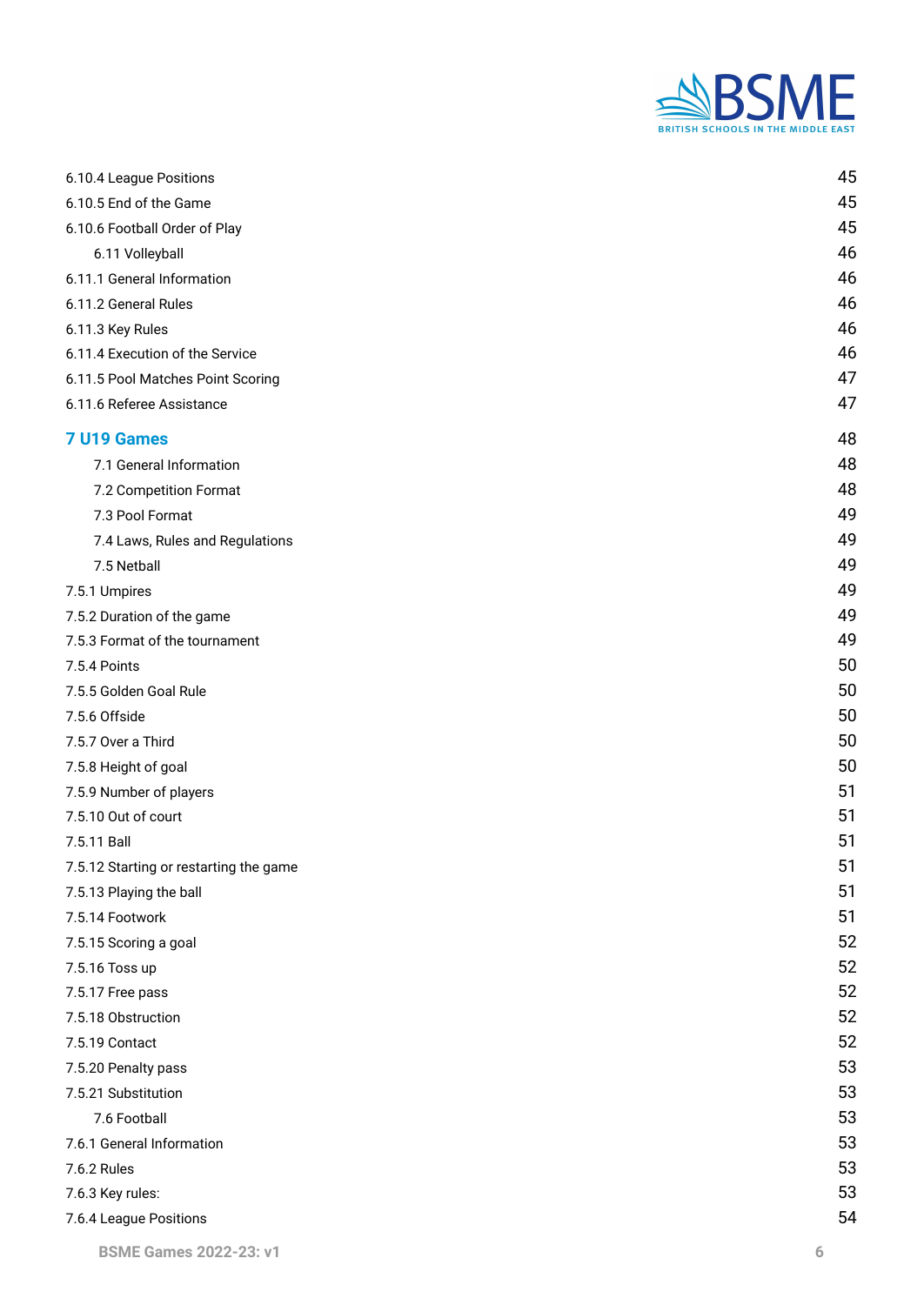

| 6.10.4 League Positions                | 45 |
|----------------------------------------|----|
| 6.10.5 End of the Game                 | 45 |
| 6.10.6 Football Order of Play          | 45 |
| 6.11 Volleyball                        | 46 |
| 6.11.1 General Information             | 46 |
| 6.11.2 General Rules                   | 46 |
| 6.11.3 Key Rules                       | 46 |
| 6.11.4 Execution of the Service        | 46 |
| 6.11.5 Pool Matches Point Scoring      | 47 |
| 6.11.6 Referee Assistance              | 47 |
| 7 U19 Games                            | 48 |
| 7.1 General Information                | 48 |
| 7.2 Competition Format                 | 48 |
| 7.3 Pool Format                        | 49 |
| 7.4 Laws, Rules and Regulations        | 49 |
| 7.5 Netball                            | 49 |
| 7.5.1 Umpires                          | 49 |
| 7.5.2 Duration of the game             | 49 |
| 7.5.3 Format of the tournament         | 49 |
| 7.5.4 Points                           | 50 |
| 7.5.5 Golden Goal Rule                 | 50 |
| 7.5.6 Offside                          | 50 |
| 7.5.7 Over a Third                     | 50 |
| 7.5.8 Height of goal                   | 50 |
| 7.5.9 Number of players                | 51 |
| 7.5.10 Out of court                    | 51 |
| 7.5.11 Ball                            | 51 |
| 7.5.12 Starting or restarting the game | 51 |
| 7.5.13 Playing the ball                | 51 |
| 7.5.14 Footwork                        | 51 |
| 7.5.15 Scoring a goal                  | 52 |
| 7.5.16 Toss up                         | 52 |
| 7.5.17 Free pass                       | 52 |
| 7.5.18 Obstruction                     | 52 |
| 7.5.19 Contact                         | 52 |
| 7.5.20 Penalty pass                    | 53 |
| 7.5.21 Substitution                    | 53 |
| 7.6 Football                           | 53 |
| 7.6.1 General Information              | 53 |
| 7.6.2 Rules                            | 53 |
| 7.6.3 Key rules:                       | 53 |
| 7.6.4 League Positions                 | 54 |
|                                        |    |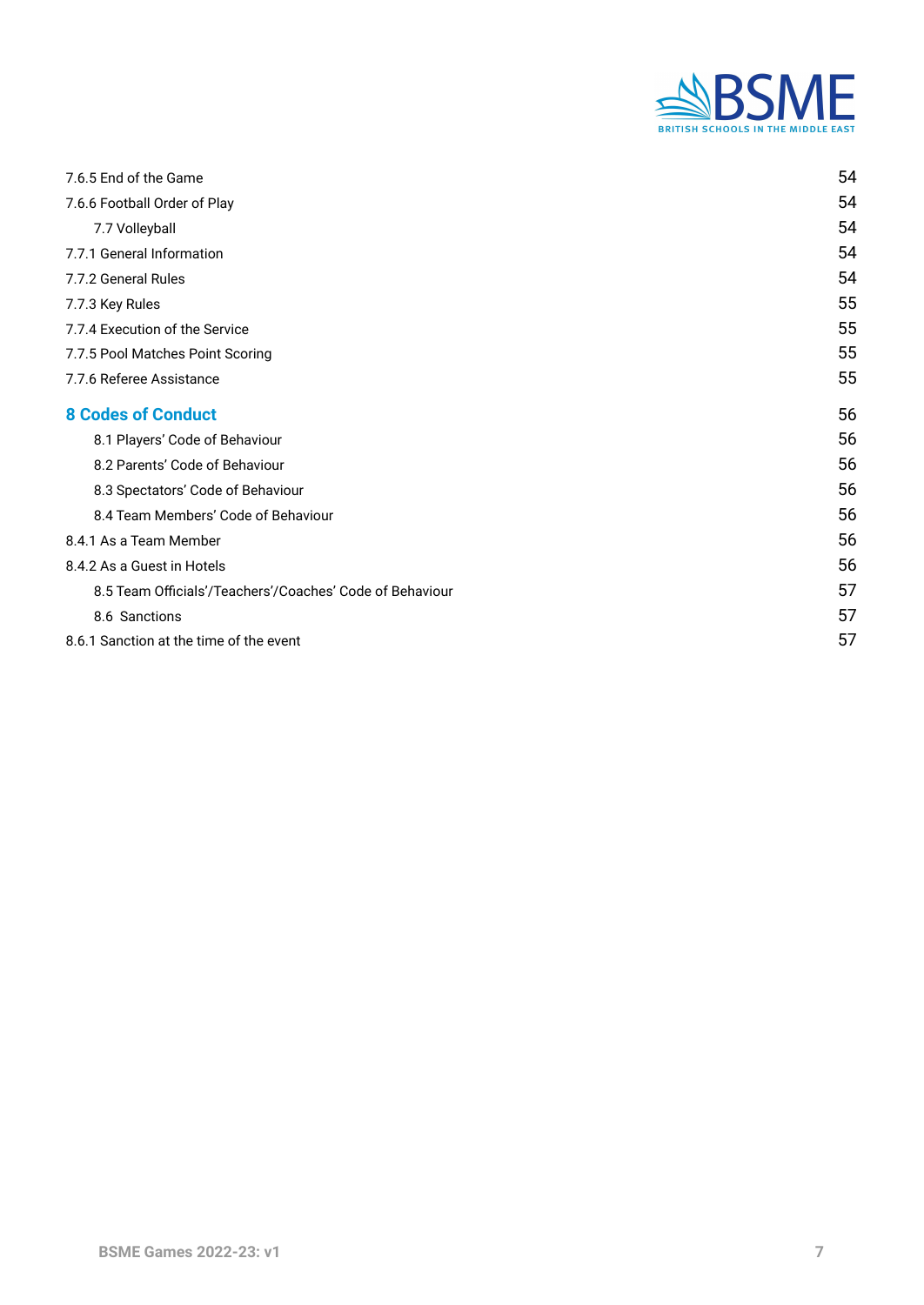

| 7.6.5 End of the Game                                    | 54 |
|----------------------------------------------------------|----|
| 7.6.6 Football Order of Play                             | 54 |
| 7.7 Volleyball                                           | 54 |
| 7.7.1 General Information                                | 54 |
| 7.7.2 General Rules                                      | 54 |
| 7.7.3 Key Rules                                          | 55 |
| 7.7.4 Execution of the Service                           | 55 |
| 7.7.5 Pool Matches Point Scoring                         | 55 |
| 7.7.6 Referee Assistance                                 | 55 |
| <b>8 Codes of Conduct</b>                                | 56 |
| 8.1 Players' Code of Behaviour                           | 56 |
| 8.2 Parents' Code of Behaviour                           | 56 |
| 8.3 Spectators' Code of Behaviour                        | 56 |
| 8.4 Team Members' Code of Behaviour                      | 56 |
| 8.4.1 As a Team Member                                   | 56 |
| 8.4.2 As a Guest in Hotels                               | 56 |
| 8.5 Team Officials'/Teachers'/Coaches' Code of Behaviour | 57 |
| 8.6 Sanctions                                            | 57 |
| 8.6.1 Sanction at the time of the event                  | 57 |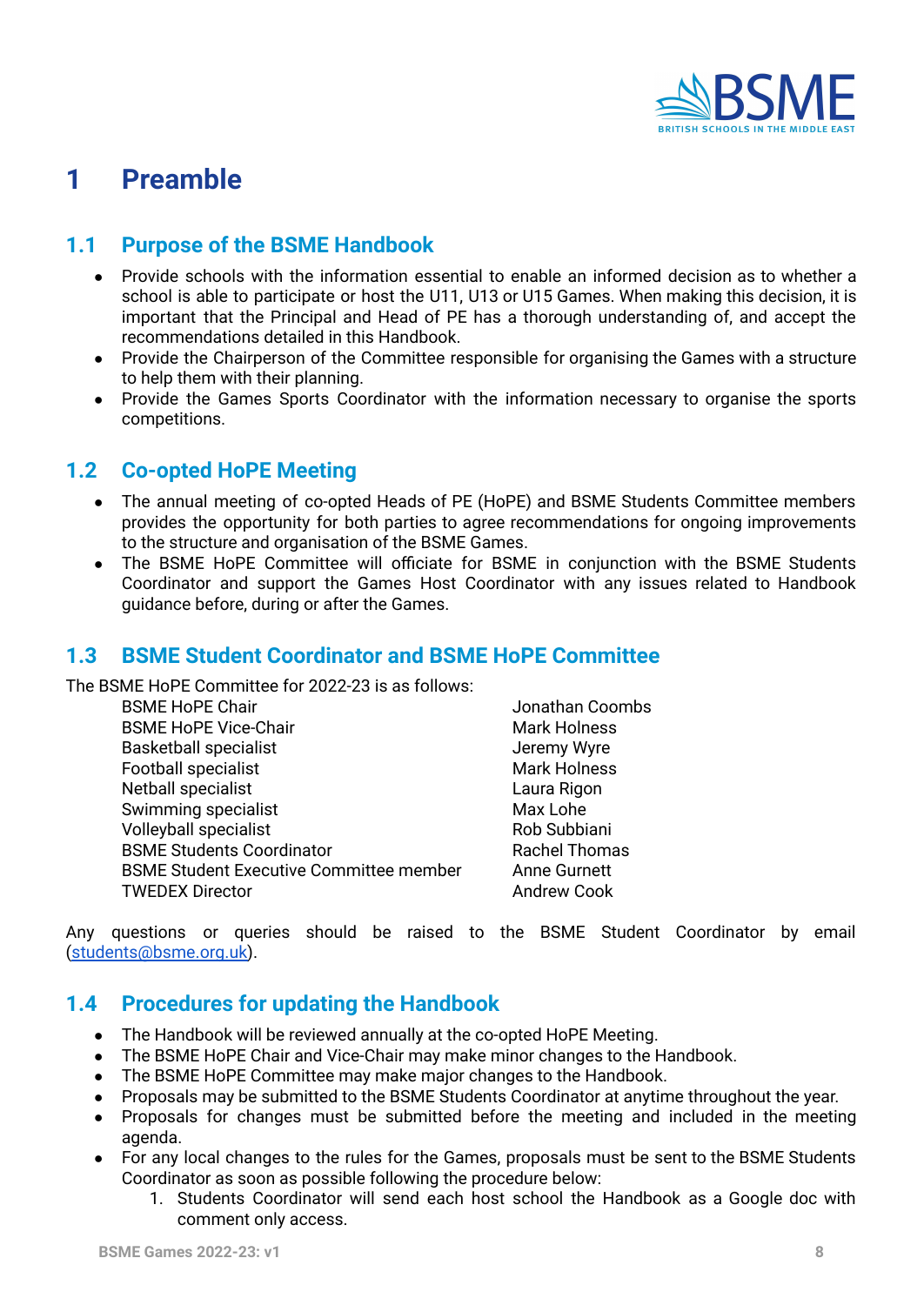

# <span id="page-7-0"></span>**1 Preamble**

# <span id="page-7-1"></span>**1.1 Purpose of the BSME Handbook**

- Provide schools with the information essential to enable an informed decision as to whether a school is able to participate or host the U11, U13 or U15 Games. When making this decision, it is important that the Principal and Head of PE has a thorough understanding of, and accept the recommendations detailed in this Handbook.
- Provide the Chairperson of the Committee responsible for organising the Games with a structure to help them with their planning.
- Provide the Games Sports Coordinator with the information necessary to organise the sports competitions.

### <span id="page-7-2"></span>**1.2 Co-opted HoPE Meeting**

- The annual meeting of co-opted Heads of PE (HoPE) and BSME Students Committee members provides the opportunity for both parties to agree recommendations for ongoing improvements to the structure and organisation of the BSME Games.
- The BSME HoPE Committee will officiate for BSME in conjunction with the BSME Students Coordinator and support the Games Host Coordinator with any issues related to Handbook guidance before, during or after the Games.

#### **1.3 BSME Student Coordinator and BSME HoPE Committee**

The BSME HoPE Committee for 2022-23 is as follows:

| <b>BSME HoPE Chair</b>                         | Jonathan Coombs      |
|------------------------------------------------|----------------------|
| <b>BSME HoPE Vice-Chair</b>                    | <b>Mark Holness</b>  |
| <b>Basketball specialist</b>                   | Jeremy Wyre          |
| Football specialist                            | <b>Mark Holness</b>  |
| Netball specialist                             | Laura Rigon          |
| Swimming specialist                            | Max Lohe             |
| Volleyball specialist                          | Rob Subbiani         |
| <b>BSME Students Coordinator</b>               | <b>Rachel Thomas</b> |
| <b>BSME Student Executive Committee member</b> | <b>Anne Gurnett</b>  |
| <b>TWEDEX Director</b>                         | <b>Andrew Cook</b>   |

Any questions or queries should be raised to the BSME Student Coordinator by email [\(students@bsme.org.uk\)](mailto:students@bsme.org.uk).

# **1.4 Procedures for updating the Handbook**

- The Handbook will be reviewed annually at the co-opted HoPE Meeting.
- The BSME HoPE Chair and Vice-Chair may make minor changes to the Handbook.
- The BSME HoPE Committee may make major changes to the Handbook.
- Proposals may be submitted to the BSME Students Coordinator at anytime throughout the year.
- Proposals for changes must be submitted before the meeting and included in the meeting agenda.
- For any local changes to the rules for the Games, proposals must be sent to the BSME Students Coordinator as soon as possible following the procedure below:
	- 1. Students Coordinator will send each host school the Handbook as a Google doc with comment only access.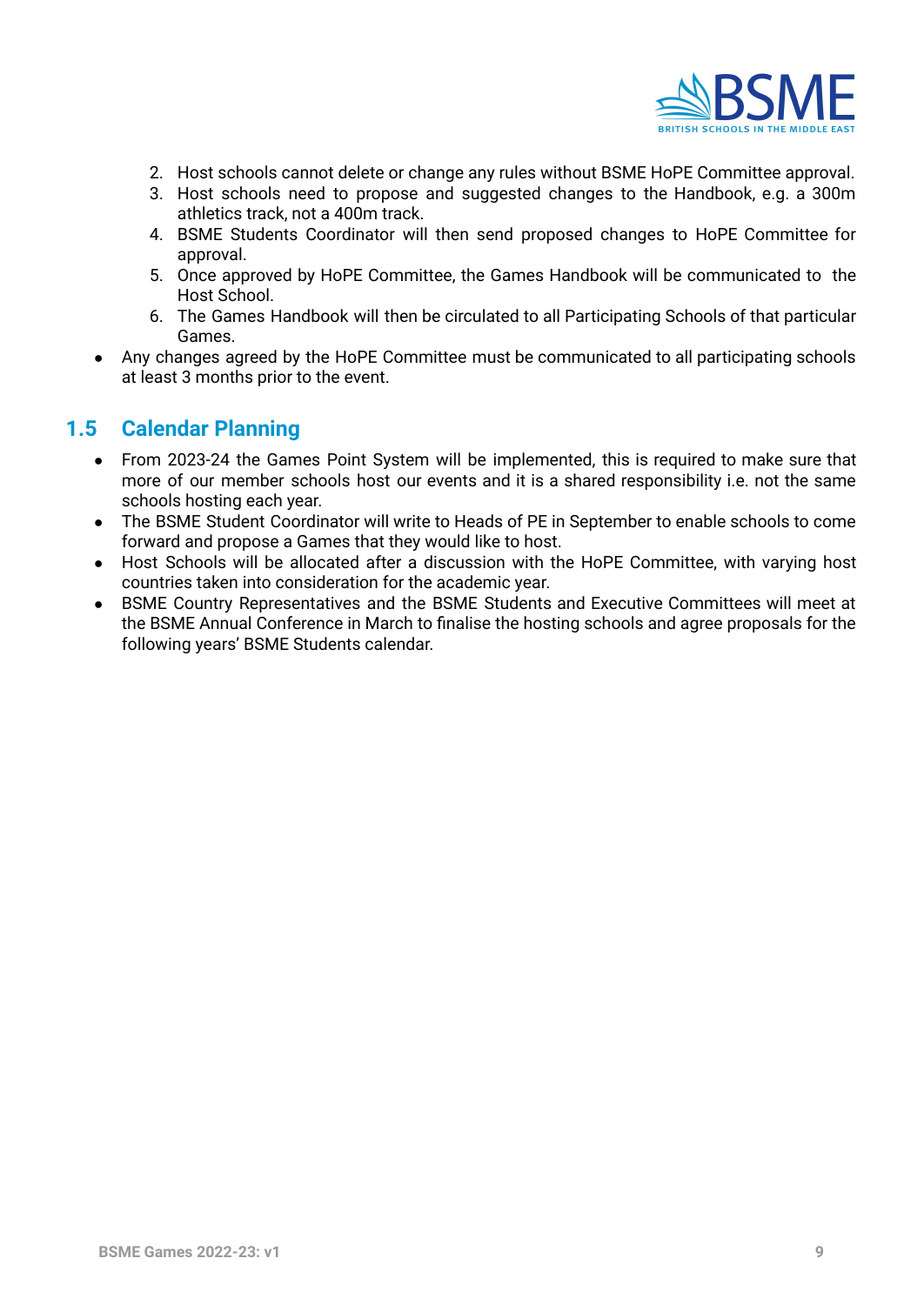

- 2. Host schools cannot delete or change any rules without BSME HoPE Committee approval.
- 3. Host schools need to propose and suggested changes to the Handbook, e.g. a 300m athletics track, not a 400m track.
- 4. BSME Students Coordinator will then send proposed changes to HoPE Committee for approval.
- 5. Once approved by HoPE Committee, the Games Handbook will be communicated to the Host School.
- 6. The Games Handbook will then be circulated to all Participating Schools of that particular Games.
- Any changes agreed by the HoPE Committee must be communicated to all participating schools at least 3 months prior to the event.

# **1.5 Calendar Planning**

- From 2023-24 the Games Point System will be implemented, this is required to make sure that more of our member schools host our events and it is a shared responsibility i.e. not the same schools hosting each year.
- The BSME Student Coordinator will write to Heads of PE in September to enable schools to come forward and propose a Games that they would like to host.
- Host Schools will be allocated after a discussion with the HoPE Committee, with varying host countries taken into consideration for the academic year.
- BSME Country Representatives and the BSME Students and Executive Committees will meet at the BSME Annual Conference in March to finalise the hosting schools and agree proposals for the following years' BSME Students calendar.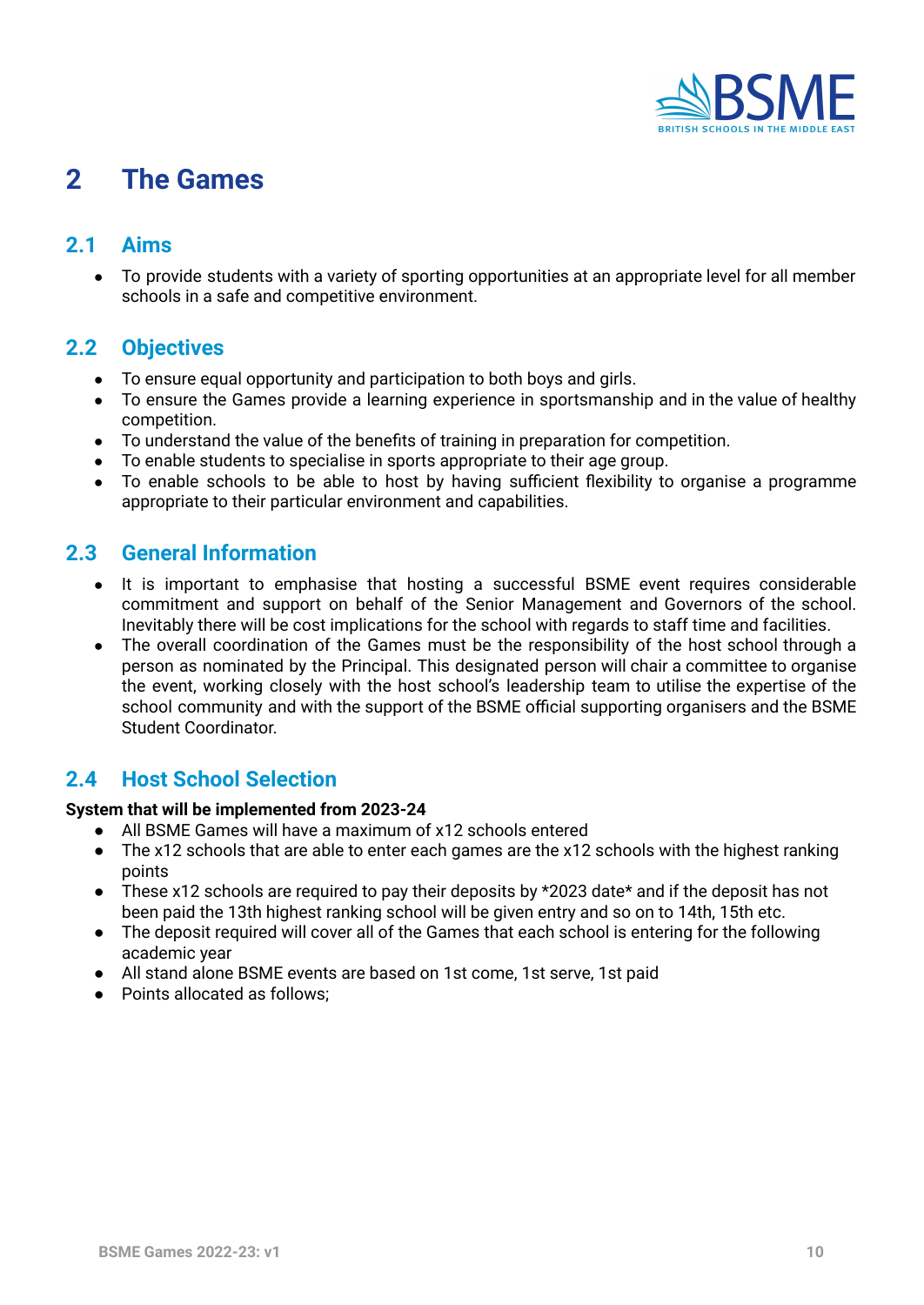

# **2 The Games**

# **2.1 Aims**

● To provide students with a variety of sporting opportunities at an appropriate level for all member schools in a safe and competitive environment.

#### <span id="page-9-5"></span>**2.2 Objectives**

- To ensure equal opportunity and participation to both boys and girls.
- To ensure the Games provide a learning experience in sportsmanship and in the value of healthy competition.
- To understand the value of the benefits of training in preparation for competition.
- To enable students to specialise in sports appropriate to their age group.
- To enable schools to be able to host by having sufficient flexibility to organise a programme appropriate to their particular environment and capabilities.

### <span id="page-9-6"></span>**2.3 General Information**

- It is important to emphasise that hosting a successful BSME event requires considerable commitment and support on behalf of the Senior Management and Governors of the school. Inevitably there will be cost implications for the school with regards to staff time and facilities.
- The overall coordination of the Games must be the responsibility of the host school through a person as nominated by the Principal. This designated person will chair a committee to organise the event, working closely with the host school's leadership team to utilise the expertise of the school community and with the support of the BSME official supporting organisers and the BSME Student Coordinator.

### <span id="page-9-7"></span>**2.4 Host School Selection**

#### <span id="page-9-1"></span><span id="page-9-0"></span>**System that will be implemented from 2023-24**

- All BSME Games will have a maximum of x12 schools entered
- <span id="page-9-2"></span>● The x12 schools that are able to enter each games are the x12 schools with the highest ranking points
- These x12 schools are required to pay their deposits by  $*2023$  date $*$  and if the deposit has not been paid the 13th highest ranking school will be given entry and so on to 14th, 15th etc.
- The deposit required will cover all of the Games that each school is entering for the following academic year
- All stand alone BSME events are based on 1st come, 1st serve, 1st paid
- <span id="page-9-4"></span><span id="page-9-3"></span>● Points allocated as follows: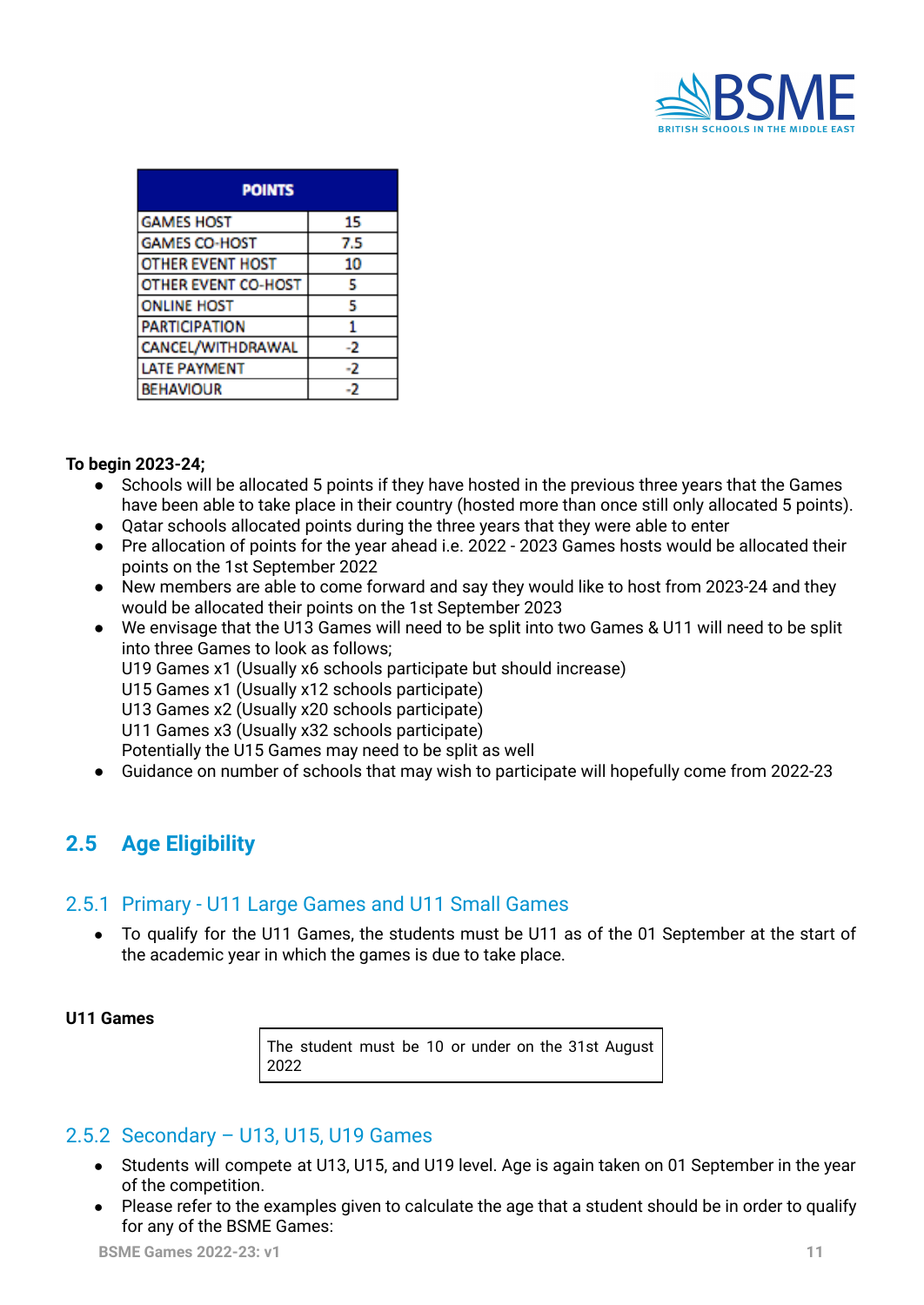

| <b>POINTS</b>              |     |
|----------------------------|-----|
| <b>GAMES HOST</b>          | 15  |
| <b>GAMES CO-HOST</b>       | 7.5 |
| OTHER EVENT HOST           | 10  |
| <b>OTHER EVENT CO-HOST</b> | 5   |
| <b>ONLINE HOST</b>         | 5   |
| <b>PARTICIPATION</b>       |     |
| CANCEL/WITHDRAWAL          | -2  |
| <b>ATE PAYMENT</b>         | -2  |
| <b>BEHAVIOUR</b>           | - 2 |

#### **To begin 2023-24;**

- Schools will be allocated 5 points if they have hosted in the previous three years that the Games have been able to take place in their country (hosted more than once still only allocated 5 points).
- Oatar schools allocated points during the three years that they were able to enter
- Pre allocation of points for the year ahead i.e. 2022 2023 Games hosts would be allocated their points on the 1st September 2022
- New members are able to come forward and say they would like to host from 2023-24 and they would be allocated their points on the 1st September 2023
- We envisage that the U13 Games will need to be split into two Games & U11 will need to be split into three Games to look as follows; U19 Games x1 (Usually x6 schools participate but should increase)
	- U15 Games x1 (Usually x12 schools participate)
	- U13 Games x2 (Usually x20 schools participate)
	- U11 Games x3 (Usually x32 schools participate)

Potentially the U15 Games may need to be split as well

● Guidance on number of schools that may wish to participate will hopefully come from 2022-23

# <span id="page-10-0"></span>**2.5 Age Eligibility**

#### <span id="page-10-1"></span>2.5.1 Primary - U11 Large Games and U11 Small Games

To qualify for the U11 Games, the students must be U11 as of the 01 September at the start of the academic year in which the games is due to take place.

#### **U11 Games**

The student must be 10 or under on the 31st August 2022

#### <span id="page-10-2"></span>2.5.2 Secondary – U13, U15, U19 Games

- Students will compete at U13, U15, and U19 level. Age is again taken on 01 September in the year of the competition.
- Please refer to the examples given to calculate the age that a student should be in order to qualify for any of the BSME Games: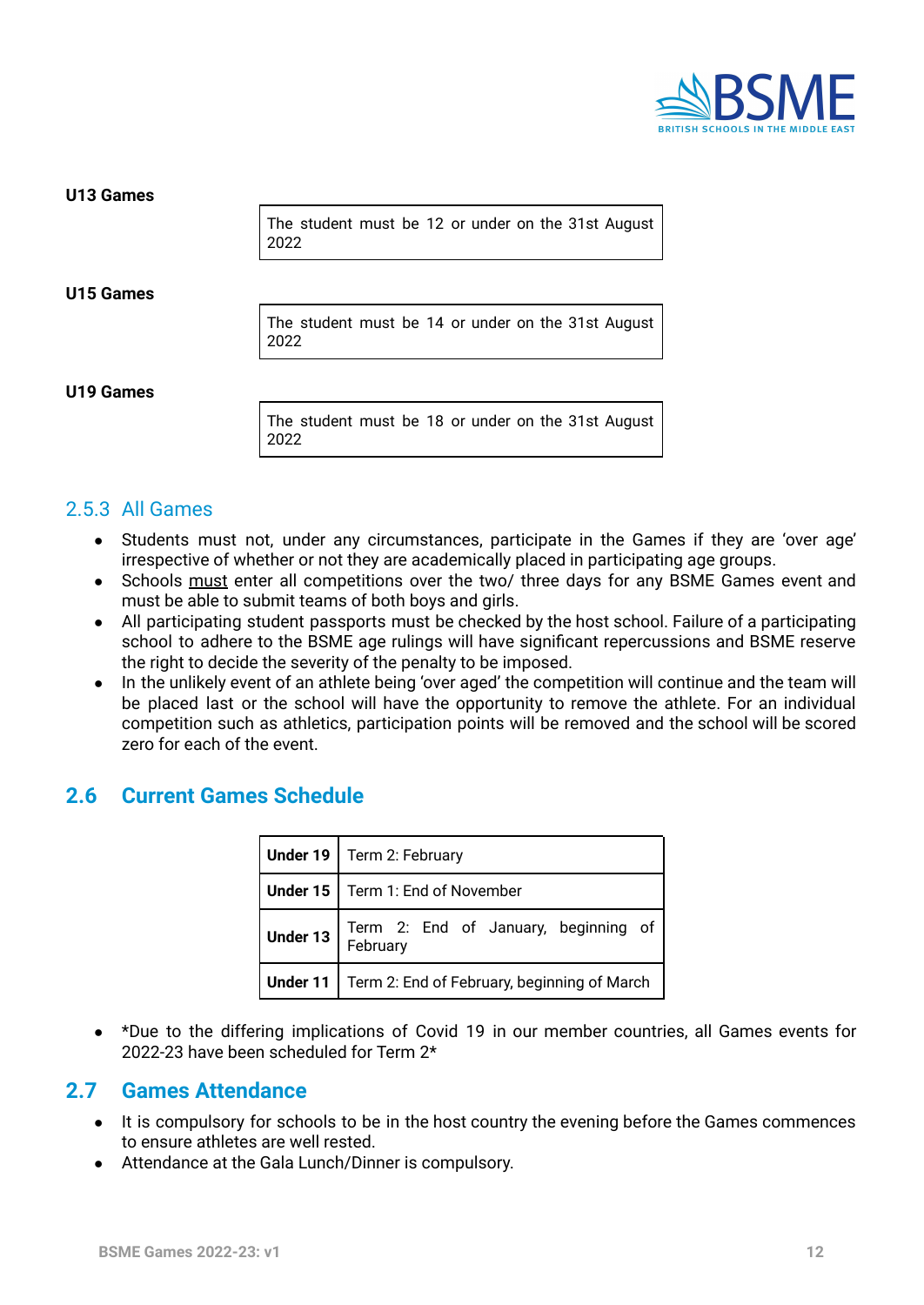

**U13 Games**

The student must be 12 or under on the 31st August 2022

#### **U15 Games**

The student must be 14 or under on the 31st August 2022

#### **U19 Games**

The student must be 18 or under on the 31st August 2022

#### <span id="page-11-0"></span>2.5.3 All Games

- Students must not, under any circumstances, participate in the Games if they are 'over age' irrespective of whether or not they are academically placed in participating age groups.
- Schools must enter all competitions over the two/ three days for any BSME Games event and must be able to submit teams of both boys and girls.
- All participating student passports must be checked by the host school. Failure of a participating school to adhere to the BSME age rulings will have significant repercussions and BSME reserve the right to decide the severity of the penalty to be imposed.
- In the unlikely event of an athlete being 'over aged' the competition will continue and the team will be placed last or the school will have the opportunity to remove the athlete. For an individual competition such as athletics, participation points will be removed and the school will be scored zero for each of the event.

### <span id="page-11-1"></span>**2.6 Current Games Schedule**

| Under 19   Term 2: February                                                                                           |  |  |  |
|-----------------------------------------------------------------------------------------------------------------------|--|--|--|
| Under 15   Term 1: End of November                                                                                    |  |  |  |
| <b>Under 13</b> $\begin{bmatrix}$ Term 2: End of January, beginning of $\begin{bmatrix} 1 & 0 \\ 0 & 1 \end{bmatrix}$ |  |  |  |
| Under 11   Term 2: End of February, beginning of March                                                                |  |  |  |

● \*Due to the differing implications of Covid 19 in our member countries, all Games events for 2022-23 have been scheduled for Term 2\*

#### <span id="page-11-2"></span>**2.7 Games Attendance**

- It is compulsory for schools to be in the host country the evening before the Games commences to ensure athletes are well rested.
- Attendance at the Gala Lunch/Dinner is compulsory.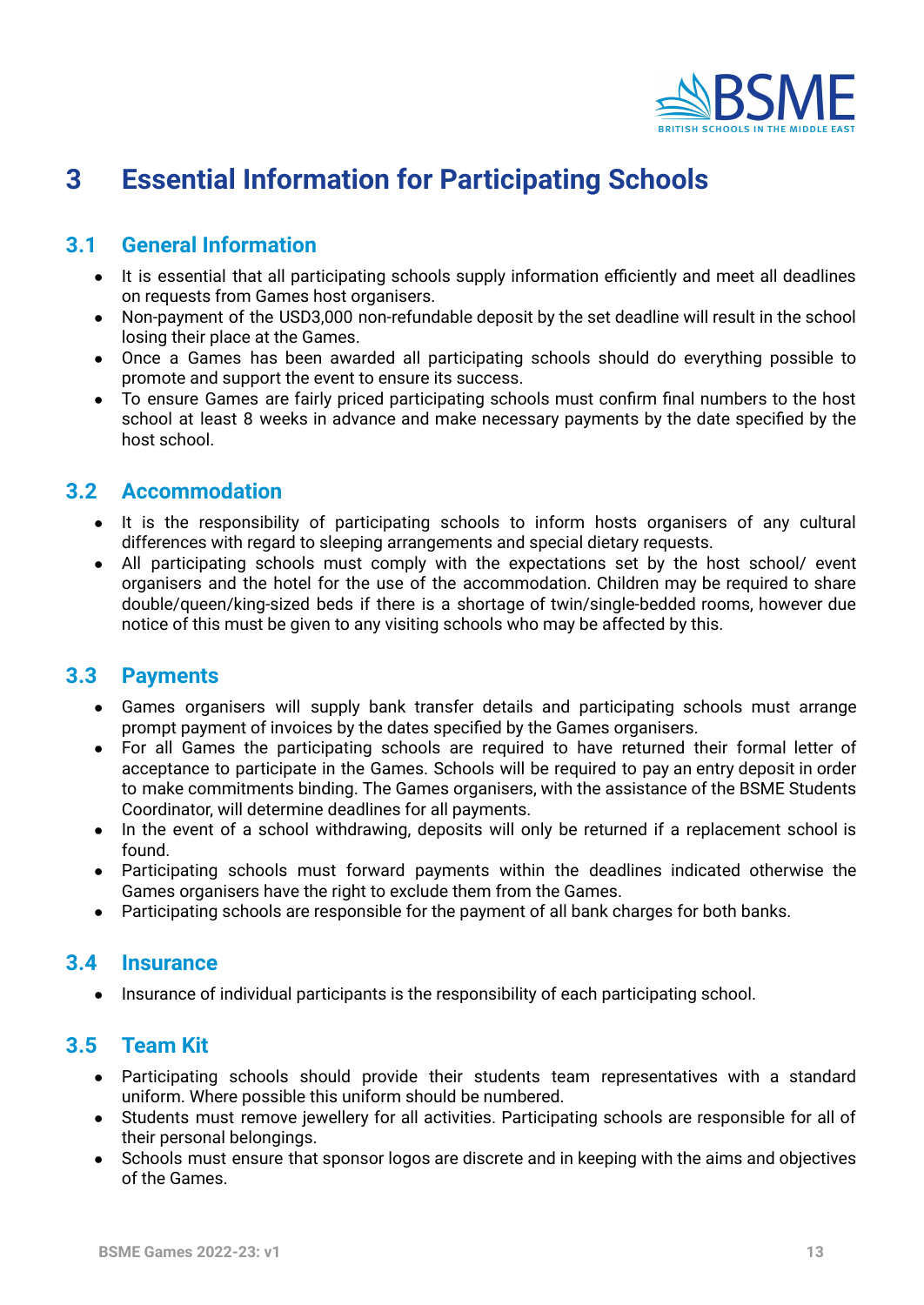

# <span id="page-12-0"></span>**3 Essential Information for Participating Schools**

# <span id="page-12-1"></span>**3.1 General Information**

- It is essential that all participating schools supply information efficiently and meet all deadlines on requests from Games host organisers.
- Non-payment of the USD3,000 non-refundable deposit by the set deadline will result in the school losing their place at the Games.
- Once a Games has been awarded all participating schools should do everything possible to promote and support the event to ensure its success.
- To ensure Games are fairly priced participating schools must confirm final numbers to the host school at least 8 weeks in advance and make necessary payments by the date specified by the host school.

# <span id="page-12-2"></span>**3.2 Accommodation**

- It is the responsibility of participating schools to inform hosts organisers of any cultural differences with regard to sleeping arrangements and special dietary requests.
- All participating schools must comply with the expectations set by the host school/ event organisers and the hotel for the use of the accommodation. Children may be required to share double/queen/king-sized beds if there is a shortage of twin/single-bedded rooms, however due notice of this must be given to any visiting schools who may be affected by this.

### <span id="page-12-3"></span>**3.3 Payments**

- Games organisers will supply bank transfer details and participating schools must arrange prompt payment of invoices by the dates specified by the Games organisers.
- For all Games the participating schools are required to have returned their formal letter of acceptance to participate in the Games. Schools will be required to pay an entry deposit in order to make commitments binding. The Games organisers, with the assistance of the BSME Students Coordinator, will determine deadlines for all payments.
- In the event of a school withdrawing, deposits will only be returned if a replacement school is found.
- Participating schools must forward payments within the deadlines indicated otherwise the Games organisers have the right to exclude them from the Games.
- Participating schools are responsible for the payment of all bank charges for both banks.

#### <span id="page-12-4"></span>**3.4 Insurance**

● Insurance of individual participants is the responsibility of each participating school.

### <span id="page-12-5"></span>**3.5 Team Kit**

- Participating schools should provide their students team representatives with a standard uniform. Where possible this uniform should be numbered.
- Students must remove jewellery for all activities. Participating schools are responsible for all of their personal belongings.
- <span id="page-12-6"></span>• Schools must ensure that sponsor logos are discrete and in keeping with the aims and objectives of the Games.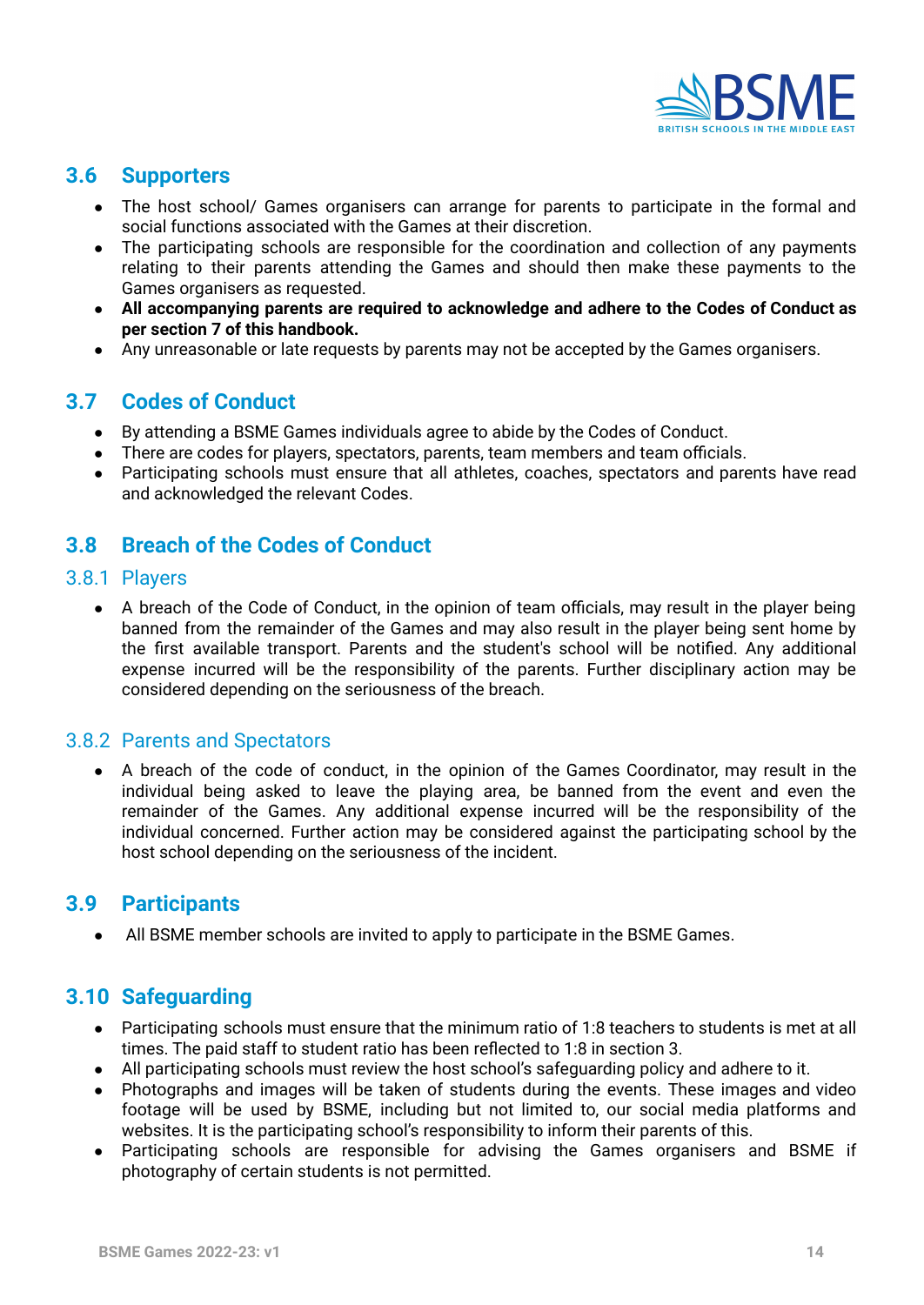

# <span id="page-13-0"></span>**3.6 Supporters**

- The host school/ Games organisers can arrange for parents to participate in the formal and social functions associated with the Games at their discretion.
- The participating schools are responsible for the coordination and collection of any payments relating to their parents attending the Games and should then make these payments to the Games organisers as requested.
- **● All accompanying parents are required to acknowledge and adhere to the Codes of Conduct as per section 7 of this handbook.**
- Any unreasonable or late requests by parents may not be accepted by the Games organisers.

# <span id="page-13-1"></span>**3.7 Codes of Conduct**

- By attending a BSME Games individuals agree to abide by the Codes of Conduct.
- There are codes for players, spectators, parents, team members and team officials.
- Participating schools must ensure that all athletes, coaches, spectators and parents have read and acknowledged the relevant Codes.

# <span id="page-13-2"></span>**3.8 Breach of the Codes of Conduct**

#### <span id="page-13-3"></span>3.8.1 Players

• A breach of the Code of Conduct, in the opinion of team officials, may result in the player being banned from the remainder of the Games and may also result in the player being sent home by the first available transport. Parents and the student's school will be notified. Any additional expense incurred will be the responsibility of the parents. Further disciplinary action may be considered depending on the seriousness of the breach.

#### <span id="page-13-4"></span>3.8.2 Parents and Spectators

A breach of the code of conduct, in the opinion of the Games Coordinator, may result in the individual being asked to leave the playing area, be banned from the event and even the remainder of the Games. Any additional expense incurred will be the responsibility of the individual concerned. Further action may be considered against the participating school by the host school depending on the seriousness of the incident.

### <span id="page-13-5"></span>**3.9 Participants**

● All BSME member schools are invited to apply to participate in the BSME Games.

### <span id="page-13-6"></span>**3.10 Safeguarding**

- Participating schools must ensure that the minimum ratio of 1:8 teachers to students is met at all times. The paid staff to student ratio has been reflected to 1:8 in section 3.
- All participating schools must review the host school's safeguarding policy and adhere to it.
- Photographs and images will be taken of students during the events. These images and video footage will be used by BSME, including but not limited to, our social media platforms and websites. It is the participating school's responsibility to inform their parents of this.
- Participating schools are responsible for advising the Games organisers and BSME if photography of certain students is not permitted.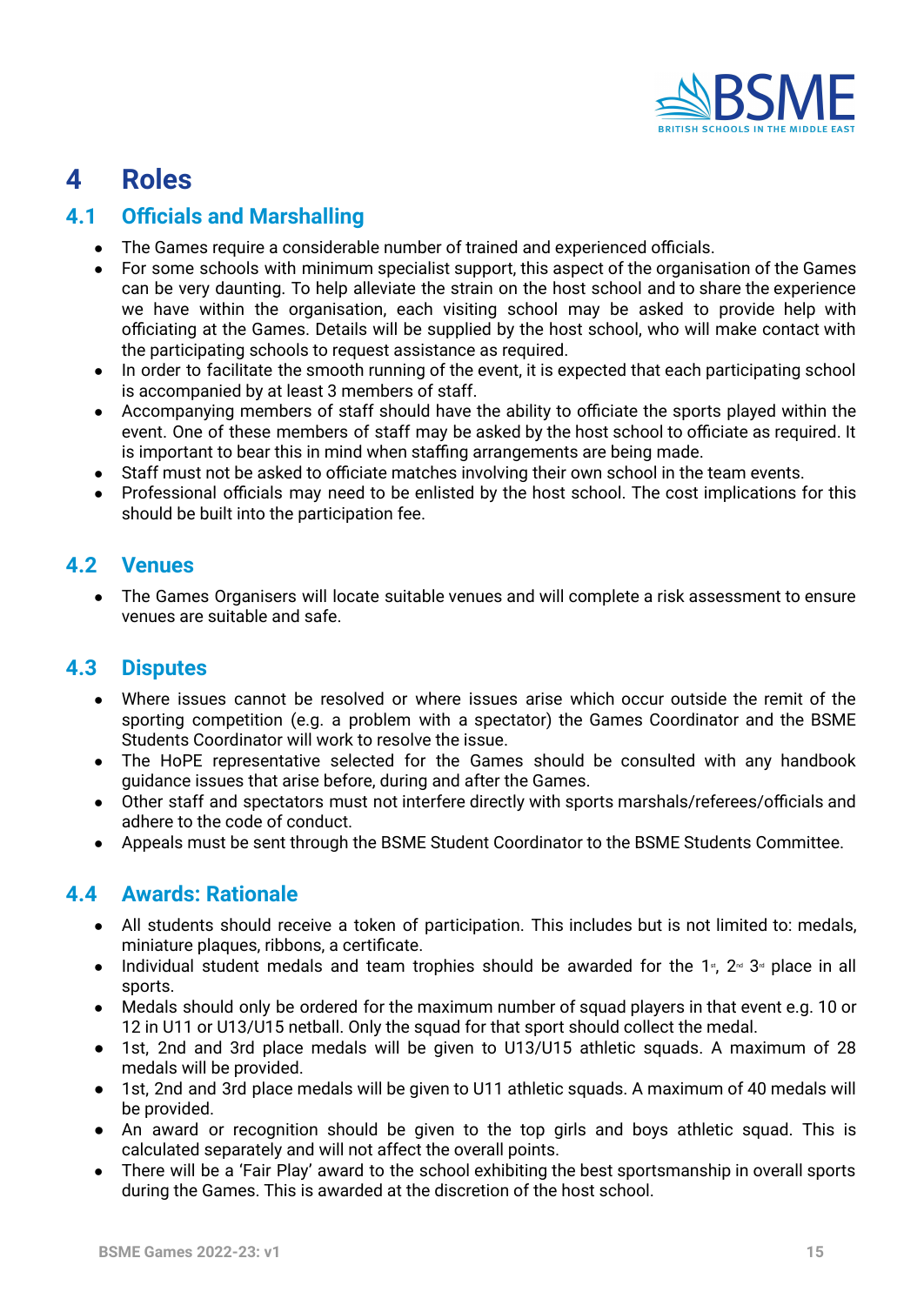

# <span id="page-14-0"></span>**4 Roles**

# <span id="page-14-1"></span>**4.1 Officials and Marshalling**

- The Games require a considerable number of trained and experienced officials.
- For some schools with minimum specialist support, this aspect of the organisation of the Games can be very daunting. To help alleviate the strain on the host school and to share the experience we have within the organisation, each visiting school may be asked to provide help with officiating at the Games. Details will be supplied by the host school, who will make contact with the participating schools to request assistance as required.
- In order to facilitate the smooth running of the event, it is expected that each participating school is accompanied by at least 3 members of staff.
- Accompanying members of staff should have the ability to officiate the sports played within the event. One of these members of staff may be asked by the host school to officiate as required. It is important to bear this in mind when staffing arrangements are being made.
- Staff must not be asked to officiate matches involving their own school in the team events.
- Professional officials may need to be enlisted by the host school. The cost implications for this should be built into the participation fee.

# <span id="page-14-2"></span>**4.2 Venues**

The Games Organisers will locate suitable venues and will complete a risk assessment to ensure venues are suitable and safe.

# <span id="page-14-3"></span>**4.3 Disputes**

- Where issues cannot be resolved or where issues arise which occur outside the remit of the sporting competition (e.g. a problem with a spectator) the Games Coordinator and the BSME Students Coordinator will work to resolve the issue.
- The HoPE representative selected for the Games should be consulted with any handbook guidance issues that arise before, during and after the Games.
- Other staff and spectators must not interfere directly with sports marshals/referees/officials and adhere to the code of conduct.
- Appeals must be sent through the BSME Student Coordinator to the BSME Students Committee.

# <span id="page-14-4"></span>**4.4 Awards: Rationale**

- All students should receive a token of participation. This includes but is not limited to: medals, miniature plaques, ribbons, a certificate.
- Individual student medals and team trophies should be awarded for the 1<sup>s</sup>, 2<sup> $\text{rd}$ </sup> 3<sup> $\text{rd}$ </sup> place in all sports.
- Medals should only be ordered for the maximum number of squad players in that event e.g. 10 or 12 in U11 or U13/U15 netball. Only the squad for that sport should collect the medal.
- 1st, 2nd and 3rd place medals will be given to U13/U15 athletic squads. A maximum of 28 medals will be provided.
- 1st, 2nd and 3rd place medals will be given to U11 athletic squads. A maximum of 40 medals will be provided.
- An award or recognition should be given to the top girls and boys athletic squad. This is calculated separately and will not affect the overall points.
- There will be a 'Fair Play' award to the school exhibiting the best sportsmanship in overall sports during the Games. This is awarded at the discretion of the host school.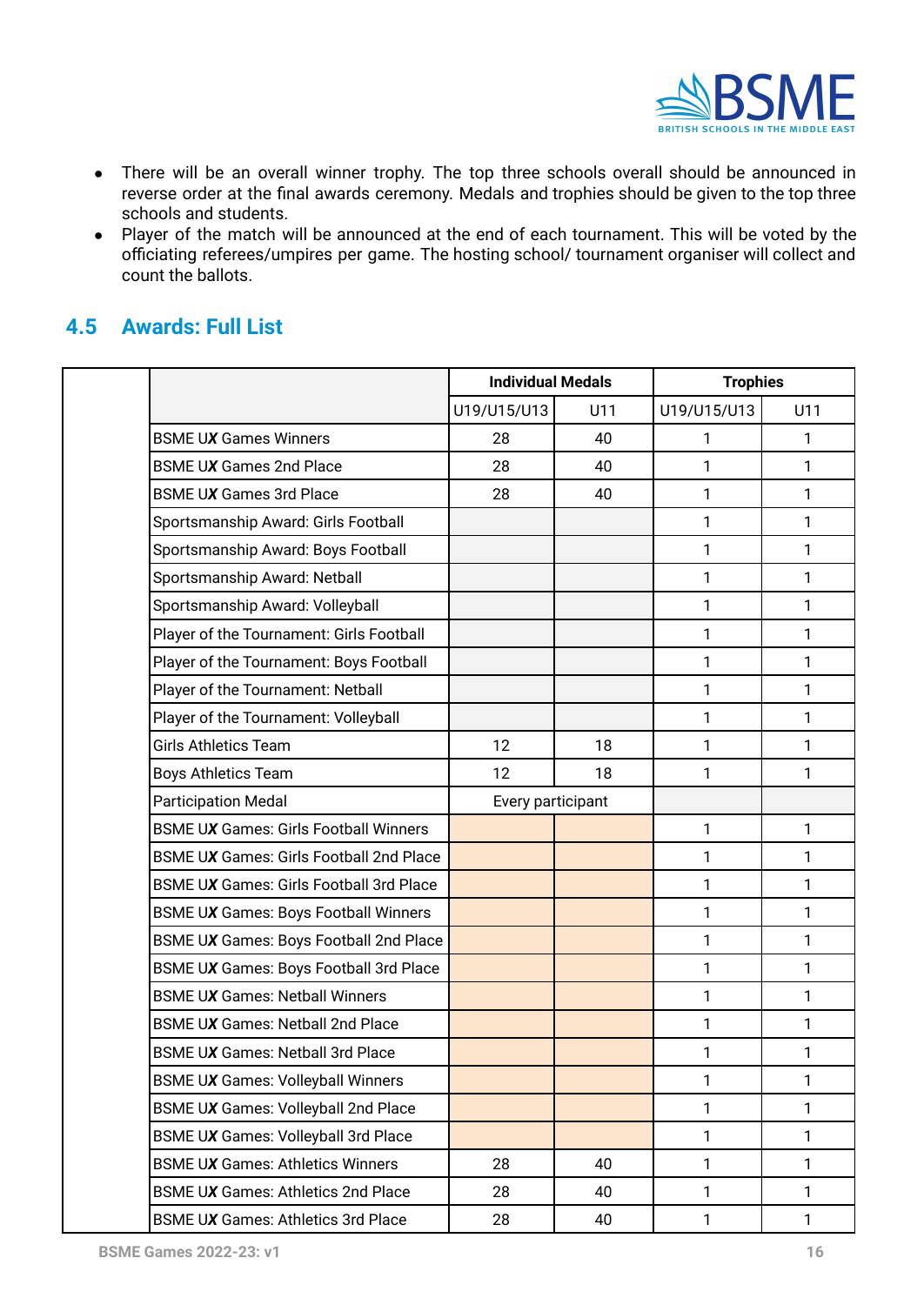

- There will be an overall winner trophy. The top three schools overall should be announced in reverse order at the final awards ceremony. Medals and trophies should be given to the top three schools and students.
- Player of the match will be announced at the end of each tournament. This will be voted by the officiating referees/umpires per game. The hosting school/ tournament organiser will collect and count the ballots.

# <span id="page-15-0"></span>**4.5 Awards: Full List**

|                                                | <b>Individual Medals</b> |     | <b>Trophies</b> |     |
|------------------------------------------------|--------------------------|-----|-----------------|-----|
|                                                | U19/U15/U13              | U11 | U19/U15/U13     | U11 |
| <b>BSME UX Games Winners</b>                   | 28                       | 40  | 1               | 1   |
| <b>BSME UX Games 2nd Place</b>                 | 28                       | 40  | 1               | 1   |
| <b>BSME UX Games 3rd Place</b>                 | 28                       | 40  | 1               | 1   |
| Sportsmanship Award: Girls Football            |                          |     | 1               | 1   |
| Sportsmanship Award: Boys Football             |                          |     | 1               | 1   |
| Sportsmanship Award: Netball                   |                          |     | 1               | 1   |
| Sportsmanship Award: Volleyball                |                          |     | 1               | 1   |
| Player of the Tournament: Girls Football       |                          |     | 1               | 1   |
| Player of the Tournament: Boys Football        |                          |     | 1               | 1   |
| Player of the Tournament: Netball              |                          |     | 1               | 1   |
| Player of the Tournament: Volleyball           |                          |     | 1               | 1   |
| <b>Girls Athletics Team</b>                    | 12                       | 18  | 1               | 1   |
| Boys Athletics Team                            | 12                       | 18  | 1               | 1   |
| <b>Participation Medal</b>                     | Every participant        |     |                 |     |
| <b>BSME UX Games: Girls Football Winners</b>   |                          |     | 1               | 1   |
| <b>BSME UX Games: Girls Football 2nd Place</b> |                          |     | 1               | 1   |
| <b>BSME UX Games: Girls Football 3rd Place</b> |                          |     | 1               | 1   |
| <b>BSME UX Games: Boys Football Winners</b>    |                          |     | 1               | 1   |
| BSME UX Games: Boys Football 2nd Place         |                          |     | 1               | 1   |
| BSME UX Games: Boys Football 3rd Place         |                          |     | 1               | 1   |
| <b>BSME UX Games: Netball Winners</b>          |                          |     | 1               | 1   |
| <b>BSME UX Games: Netball 2nd Place</b>        |                          |     | 1               | 1   |
| <b>BSME UX Games: Netball 3rd Place</b>        |                          |     | 1               | 1   |
| <b>BSME UX Games: Volleyball Winners</b>       |                          |     | 1               | 1   |
| BSME UX Games: Volleyball 2nd Place            |                          |     | 1               | 1   |
| BSME UX Games: Volleyball 3rd Place            |                          |     | 1               | 1   |
| <b>BSME UX Games: Athletics Winners</b>        | 28                       | 40  | 1               | 1   |
| <b>BSME UX Games: Athletics 2nd Place</b>      | 28                       | 40  | 1               | 1   |
| <b>BSME UX Games: Athletics 3rd Place</b>      | 28                       | 40  | 1               | 1   |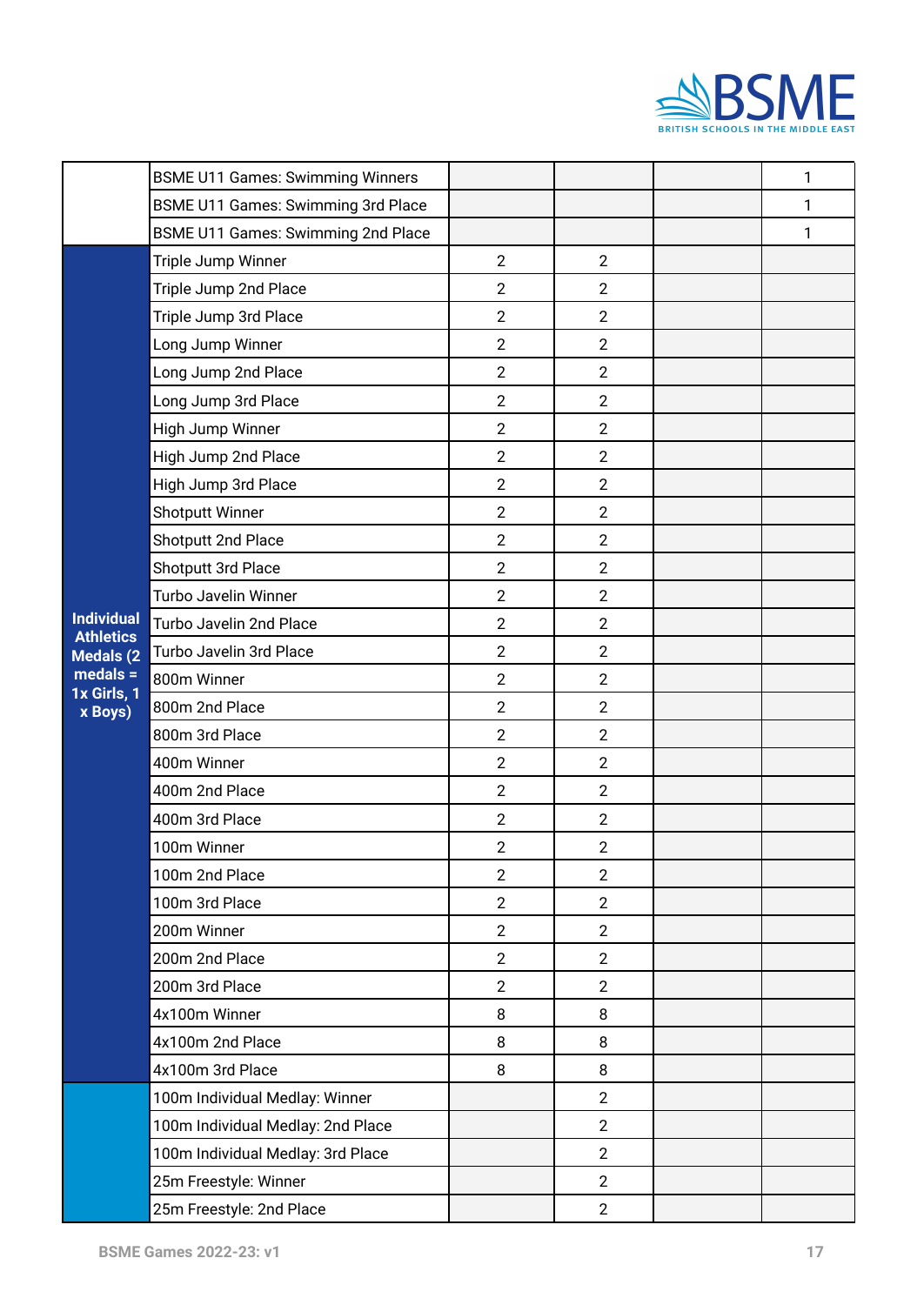

|                                       | <b>BSME U11 Games: Swimming Winners</b>   |                |                | 1 |
|---------------------------------------|-------------------------------------------|----------------|----------------|---|
|                                       | <b>BSME U11 Games: Swimming 3rd Place</b> |                |                | 1 |
|                                       | BSME U11 Games: Swimming 2nd Place        |                |                | 1 |
|                                       | Triple Jump Winner                        | $\overline{2}$ | $\overline{2}$ |   |
|                                       | Triple Jump 2nd Place                     | $\overline{2}$ | $\overline{2}$ |   |
|                                       | Triple Jump 3rd Place                     | $\overline{2}$ | $\overline{2}$ |   |
|                                       | Long Jump Winner                          | $\overline{2}$ | $\overline{2}$ |   |
|                                       | Long Jump 2nd Place                       | $\overline{2}$ | $\overline{2}$ |   |
|                                       | Long Jump 3rd Place                       | $\overline{2}$ | $\overline{2}$ |   |
|                                       | High Jump Winner                          | $\overline{2}$ | $\overline{2}$ |   |
|                                       | High Jump 2nd Place                       | $\overline{2}$ | $\overline{2}$ |   |
|                                       | High Jump 3rd Place                       | $\overline{2}$ | $\overline{2}$ |   |
|                                       | Shotputt Winner                           | $\overline{2}$ | $\overline{2}$ |   |
|                                       | Shotputt 2nd Place                        | $\overline{2}$ | $\overline{2}$ |   |
|                                       | Shotputt 3rd Place                        | $\overline{2}$ | $\overline{2}$ |   |
|                                       | Turbo Javelin Winner                      | $\overline{2}$ | $\overline{2}$ |   |
| <b>Individual</b><br><b>Athletics</b> | Turbo Javelin 2nd Place                   | $\overline{2}$ | $\overline{2}$ |   |
| Medals (2                             | Turbo Javelin 3rd Place                   | $\overline{2}$ | $\overline{2}$ |   |
| $medals =$<br>1x Girls, 1             | 800m Winner                               | $\overline{2}$ | $\overline{2}$ |   |
| x Boys)                               | 800m 2nd Place                            | $\overline{2}$ | $\overline{2}$ |   |
|                                       | 800m 3rd Place                            | $\overline{2}$ | $\overline{2}$ |   |
|                                       | 400m Winner                               | $\overline{2}$ | $\overline{2}$ |   |
|                                       | 400m 2nd Place                            | $\overline{2}$ | $\overline{2}$ |   |
|                                       | 400m 3rd Place                            | $\overline{2}$ | $\overline{2}$ |   |
|                                       | 100m Winner                               | $\overline{2}$ | $\overline{2}$ |   |
|                                       | 100m 2nd Place                            | $\overline{2}$ | $\overline{2}$ |   |
|                                       | 100m 3rd Place                            | $\overline{2}$ | $\overline{2}$ |   |
|                                       | 200m Winner                               | $\overline{2}$ | $\overline{2}$ |   |
|                                       | 200m 2nd Place                            | $\overline{2}$ | $\overline{2}$ |   |
|                                       | 200m 3rd Place                            | $\overline{2}$ | $\overline{2}$ |   |
|                                       | 4x100m Winner                             | 8              | 8              |   |
|                                       | 4x100m 2nd Place                          | 8              | 8              |   |
|                                       | 4x100m 3rd Place                          | 8              | 8              |   |
|                                       | 100m Individual Medlay: Winner            |                | $\overline{2}$ |   |
|                                       | 100m Individual Medlay: 2nd Place         |                | $\overline{2}$ |   |
|                                       | 100m Individual Medlay: 3rd Place         |                | $\overline{2}$ |   |
|                                       | 25m Freestyle: Winner                     |                | $\overline{2}$ |   |
|                                       | 25m Freestyle: 2nd Place                  |                | $\overline{2}$ |   |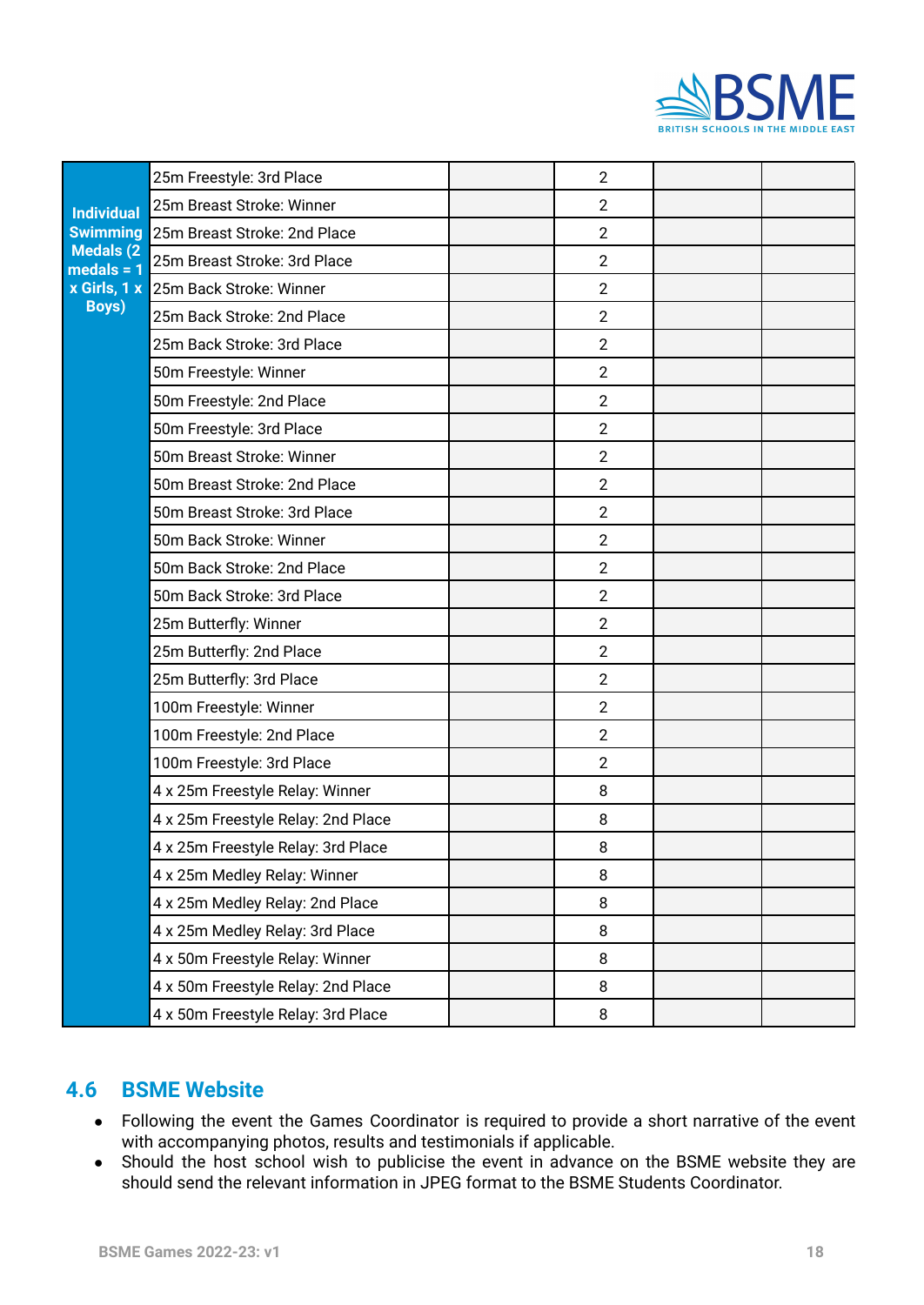

| <b>Individual</b>         | 25m Freestyle: 3rd Place           | $\overline{2}$ |  |
|---------------------------|------------------------------------|----------------|--|
|                           | 25m Breast Stroke: Winner          | $\overline{2}$ |  |
| <b>Swimming</b>           | 25m Breast Stroke: 2nd Place       | $\overline{2}$ |  |
| Medals (2<br>$medals = 1$ | 25m Breast Stroke: 3rd Place       | $\overline{2}$ |  |
| x Girls, 1 x              | 25m Back Stroke: Winner            | $\overline{2}$ |  |
| <b>Boys)</b>              | 25m Back Stroke: 2nd Place         | $\overline{2}$ |  |
|                           | 25m Back Stroke: 3rd Place         | $\overline{2}$ |  |
|                           | 50m Freestyle: Winner              | $\overline{2}$ |  |
|                           | 50m Freestyle: 2nd Place           | $\overline{2}$ |  |
|                           | 50m Freestyle: 3rd Place           | $\overline{2}$ |  |
|                           | 50m Breast Stroke: Winner          | $\overline{2}$ |  |
|                           | 50m Breast Stroke: 2nd Place       | $\overline{2}$ |  |
|                           | 50m Breast Stroke: 3rd Place       | $\overline{2}$ |  |
|                           | 50m Back Stroke: Winner            | $\overline{2}$ |  |
|                           | 50m Back Stroke: 2nd Place         | $\overline{2}$ |  |
|                           | 50m Back Stroke: 3rd Place         | $\overline{2}$ |  |
|                           | 25m Butterfly: Winner              | $\overline{2}$ |  |
|                           | 25m Butterfly: 2nd Place           | $\overline{2}$ |  |
|                           | 25m Butterfly: 3rd Place           | $\overline{2}$ |  |
|                           | 100m Freestyle: Winner             | $\overline{2}$ |  |
|                           | 100m Freestyle: 2nd Place          | $\overline{2}$ |  |
|                           | 100m Freestyle: 3rd Place          | $\overline{2}$ |  |
|                           | 4 x 25m Freestyle Relay: Winner    | 8              |  |
|                           | 4 x 25m Freestyle Relay: 2nd Place | 8              |  |
|                           | 4 x 25m Freestyle Relay: 3rd Place | 8              |  |
|                           | 4 x 25m Medley Relay: Winner       | 8              |  |
|                           | 4 x 25m Medley Relay: 2nd Place    | 8              |  |
|                           | 4 x 25m Medley Relay: 3rd Place    | 8              |  |
|                           | 4 x 50m Freestyle Relay: Winner    | 8              |  |
|                           | 4 x 50m Freestyle Relay: 2nd Place | 8              |  |
|                           | 4 x 50m Freestyle Relay: 3rd Place | 8              |  |

# <span id="page-17-0"></span>**4.6 BSME Website**

- Following the event the Games Coordinator is required to provide a short narrative of the event with accompanying photos, results and testimonials if applicable.
- Should the host school wish to publicise the event in advance on the BSME website they are should send the relevant information in JPEG format to the BSME Students Coordinator.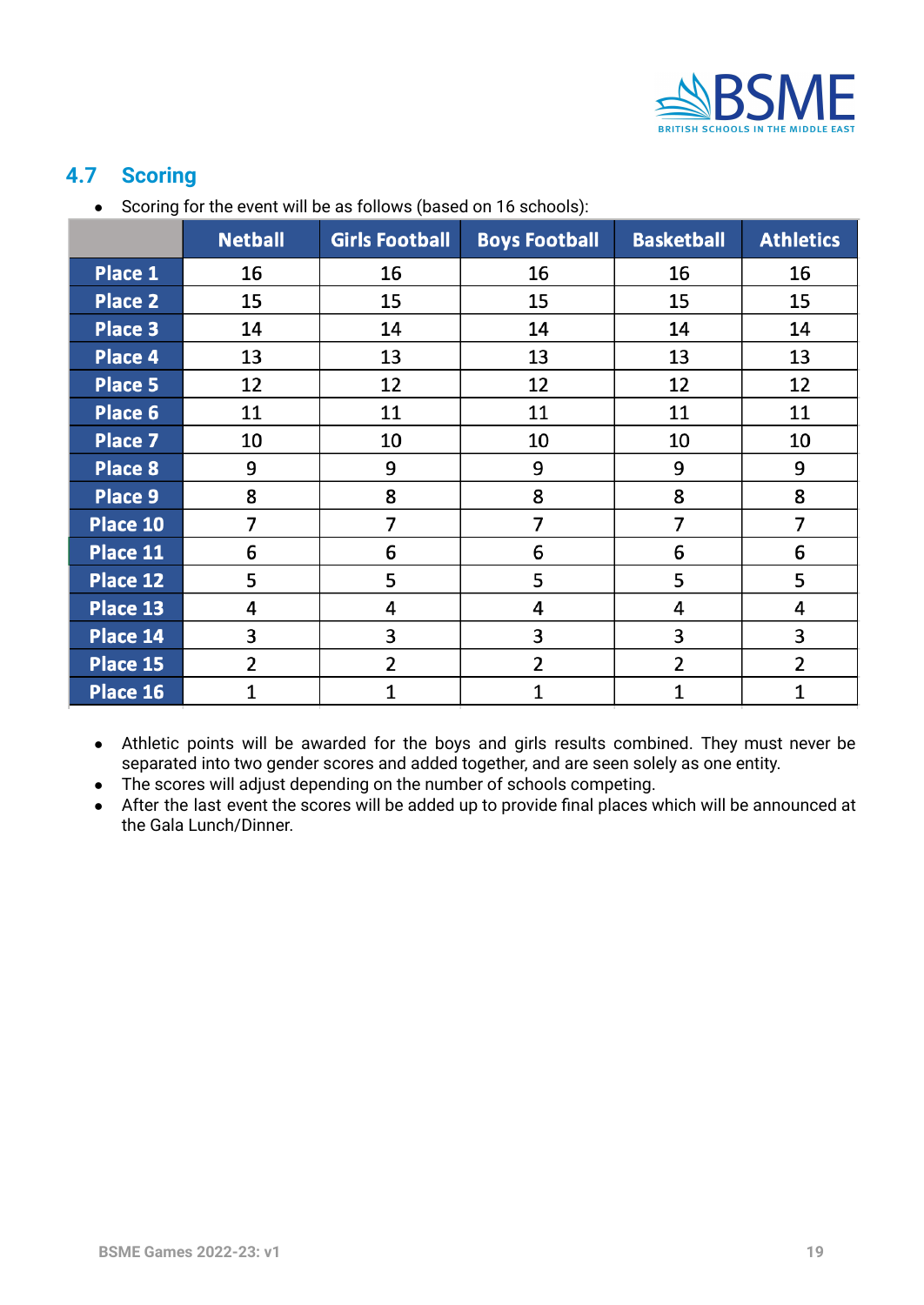

# <span id="page-18-0"></span>**4.7 Scoring**

● Scoring for the event will be as follows (based on 16 schools):

|                | <b>Netball</b> | <b>Girls Football</b> | <b>Boys Football</b> | <b>Basketball</b> | <b>Athletics</b> |
|----------------|----------------|-----------------------|----------------------|-------------------|------------------|
| Place 1        | 16             | 16                    | 16                   | 16                | 16               |
| <b>Place 2</b> | 15             | 15                    | 15                   | 15                | 15               |
| Place 3        | 14             | 14                    | 14                   | 14                | 14               |
| Place 4        | 13             | 13                    | 13                   | 13                | 13               |
| Place 5        | 12             | 12                    | 12                   | 12                | 12               |
| Place 6        | 11             | 11                    | 11                   | 11                | 11               |
| Place 7        | 10             | 10                    | 10                   | 10                | 10               |
| Place 8        | 9              | 9                     | 9                    | 9                 | 9                |
| Place 9        | 8              | 8                     | 8                    | 8                 | 8                |
| Place 10       | 7              | $\overline{7}$        | 7                    | $\overline{7}$    | $\overline{7}$   |
| Place 11       | 6              | 6                     | 6                    | 6                 | 6                |
| Place 12       | 5              | 5                     | 5                    | 5                 | 5                |
| Place 13       | 4              | 4                     | 4                    | 4                 | 4                |
| Place 14       | 3              | 3                     | 3                    | 3                 | 3                |
| Place 15       | $\overline{2}$ | 2                     | 2                    | $\overline{2}$    | $\overline{2}$   |
| Place 16       | 1              | 1                     | $\mathbf{1}$         | 1                 | 1                |

- Athletic points will be awarded for the boys and girls results combined. They must never be separated into two gender scores and added together, and are seen solely as one entity.
- The scores will adjust depending on the number of schools competing.
- After the last event the scores will be added up to provide final places which will be announced at the Gala Lunch/Dinner.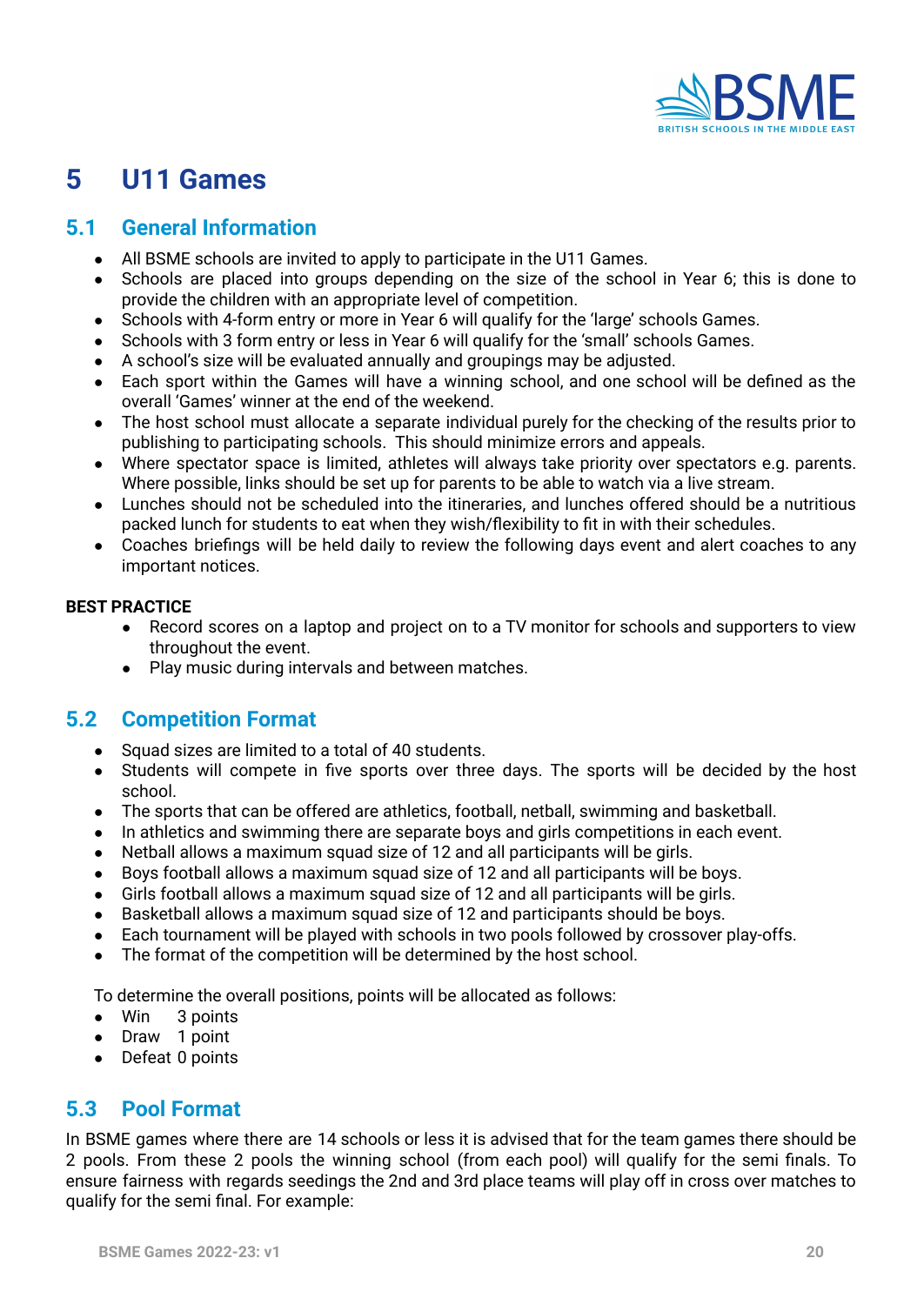

# <span id="page-19-0"></span>**5 U11 Games**

# <span id="page-19-1"></span>**5.1 General Information**

- All BSME schools are invited to apply to participate in the U11 Games.
- Schools are placed into groups depending on the size of the school in Year 6; this is done to provide the children with an appropriate level of competition.
- Schools with 4-form entry or more in Year 6 will qualify for the 'large' schools Games.
- Schools with 3 form entry or less in Year 6 will qualify for the 'small' schools Games.
- A school's size will be evaluated annually and groupings may be adjusted.
- Each sport within the Games will have a winning school, and one school will be defined as the overall 'Games' winner at the end of the weekend.
- The host school must allocate a separate individual purely for the checking of the results prior to publishing to participating schools. This should minimize errors and appeals.
- Where spectator space is limited, athletes will always take priority over spectators e.g. parents. Where possible, links should be set up for parents to be able to watch via a live stream.
- Lunches should not be scheduled into the itineraries, and lunches offered should be a nutritious packed lunch for students to eat when they wish/flexibility to fit in with their schedules.
- Coaches briefings will be held daily to review the following days event and alert coaches to any important notices.

#### **BEST PRACTICE**

- Record scores on a laptop and project on to a TV monitor for schools and supporters to view throughout the event.
- Play music during intervals and between matches.

# <span id="page-19-2"></span>**5.2 Competition Format**

- Squad sizes are limited to a total of 40 students.
- Students will compete in five sports over three days. The sports will be decided by the host school.
- The sports that can be offered are athletics, football, netball, swimming and basketball.
- In athletics and swimming there are separate boys and girls competitions in each event.
- Netball allows a maximum squad size of 12 and all participants will be girls.
- Boys football allows a maximum squad size of 12 and all participants will be boys.
- Girls football allows a maximum squad size of 12 and all participants will be girls.
- Basketball allows a maximum squad size of 12 and participants should be boys.
- Each tournament will be played with schools in two pools followed by crossover play-offs.
- The format of the competition will be determined by the host school.

To determine the overall positions, points will be allocated as follows:

- Win 3 points
- Draw 1 point
- Defeat 0 points

# <span id="page-19-3"></span>**5.3 Pool Format**

In BSME games where there are 14 schools or less it is advised that for the team games there should be 2 pools. From these 2 pools the winning school (from each pool) will qualify for the semi finals. To ensure fairness with regards seedings the 2nd and 3rd place teams will play off in cross over matches to qualify for the semi final. For example: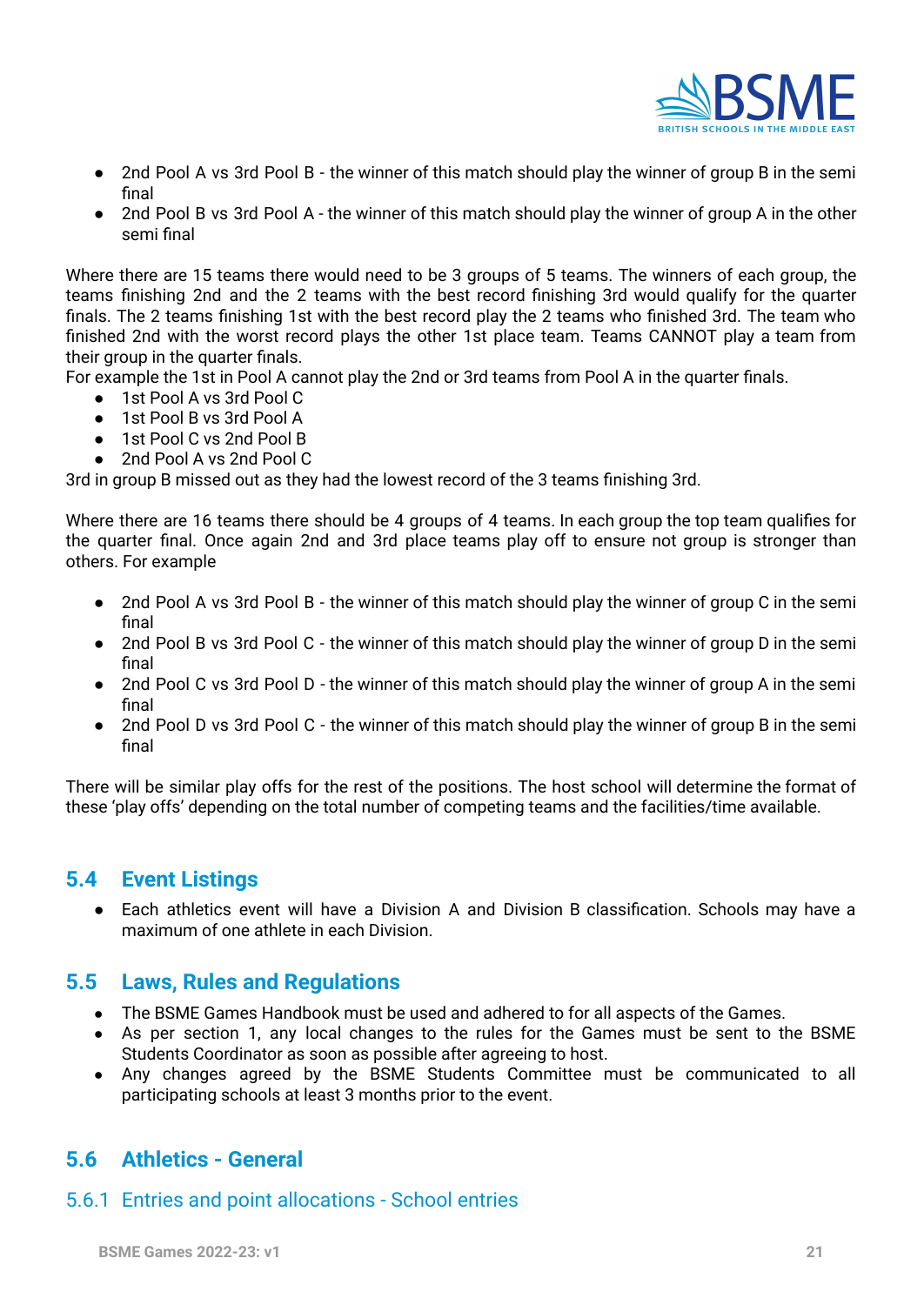

- 2nd Pool A vs 3rd Pool B the winner of this match should play the winner of group B in the semi final
- 2nd Pool B vs 3rd Pool A the winner of this match should play the winner of group A in the other semi final

Where there are 15 teams there would need to be 3 groups of 5 teams. The winners of each group, the teams finishing 2nd and the 2 teams with the best record finishing 3rd would qualify for the quarter finals. The 2 teams finishing 1st with the best record play the 2 teams who finished 3rd. The team who finished 2nd with the worst record plays the other 1st place team. Teams CANNOT play a team from their group in the quarter finals.

For example the 1st in Pool A cannot play the 2nd or 3rd teams from Pool A in the quarter finals.

- 1st Pool A vs 3rd Pool C
- 1st Pool B vs 3rd Pool A
- 1st Pool C vs 2nd Pool B
- 2nd Pool A vs 2nd Pool C

3rd in group B missed out as they had the lowest record of the 3 teams finishing 3rd.

Where there are 16 teams there should be 4 groups of 4 teams. In each group the top team qualifies for the quarter final. Once again 2nd and 3rd place teams play off to ensure not group is stronger than others. For example

- 2nd Pool A vs 3rd Pool B the winner of this match should play the winner of group C in the semi final
- 2nd Pool B vs 3rd Pool C the winner of this match should play the winner of group D in the semi final
- 2nd Pool C vs 3rd Pool D the winner of this match should play the winner of group A in the semi final
- 2nd Pool D vs 3rd Pool C the winner of this match should play the winner of group B in the semi final

There will be similar play offs for the rest of the positions. The host school will determine the format of these 'play offs' depending on the total number of competing teams and the facilities/time available.

### <span id="page-20-0"></span>**5.4 Event Listings**

● Each athletics event will have a Division A and Division B classification. Schools may have a maximum of one athlete in each Division.

### <span id="page-20-1"></span>**5.5 Laws, Rules and Regulations**

- The BSME Games Handbook must be used and adhered to for all aspects of the Games.
- As per section 1, any local changes to the rules for the Games must be sent to the BSME Students Coordinator as soon as possible after agreeing to host.
- Any changes agreed by the BSME Students Committee must be communicated to all participating schools at least 3 months prior to the event.

### <span id="page-20-2"></span>**5.6 Athletics - General**

#### <span id="page-20-3"></span>5.6.1 Entries and point allocations - School entries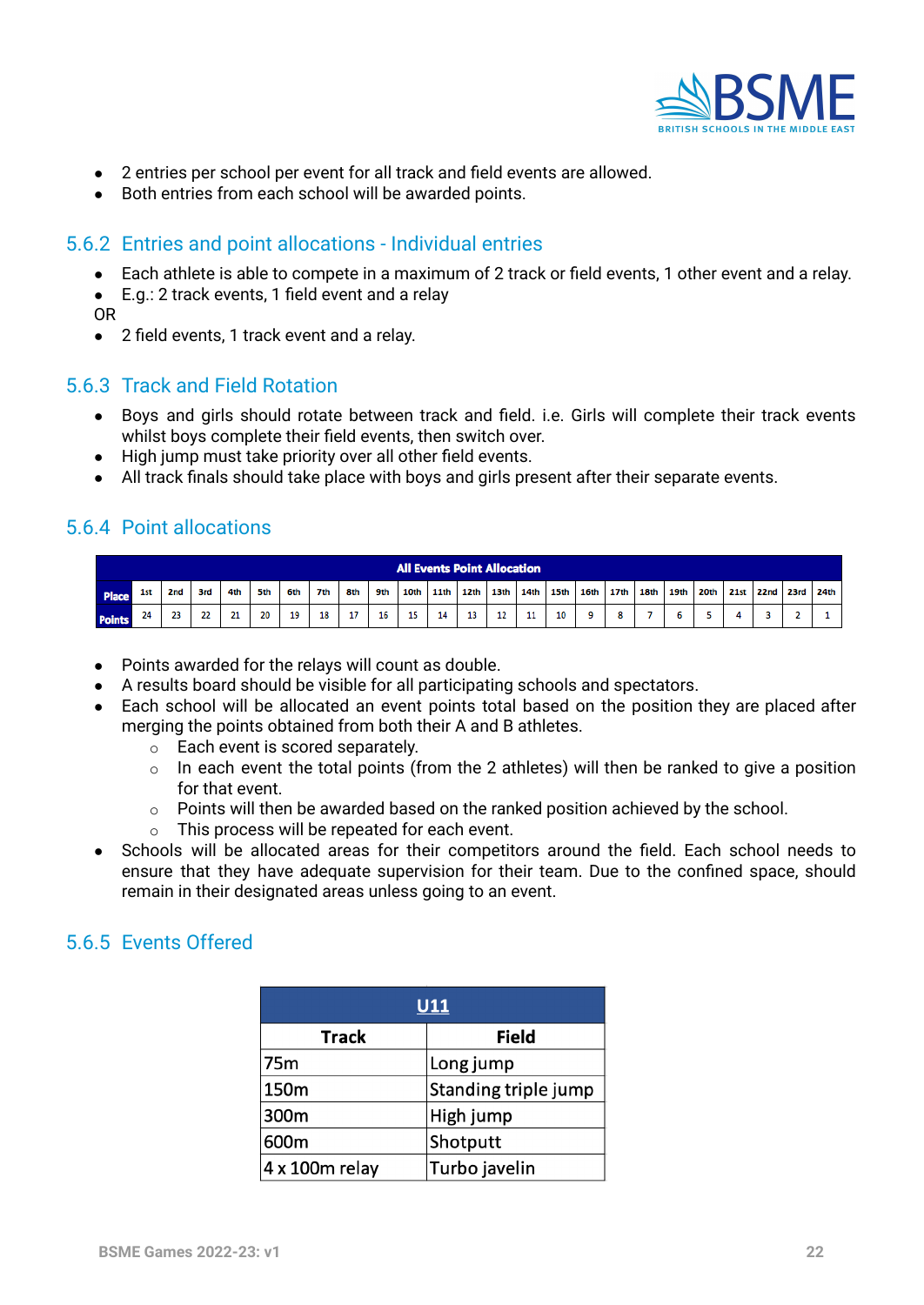

- 2 entries per school per event for all track and field events are allowed.
- Both entries from each school will be awarded points.

#### <span id="page-21-0"></span>5.6.2 Entries and point allocations - Individual entries

- Each athlete is able to compete in a maximum of 2 track or field events, 1 other event and a relay.
- E.g.: 2 track events, 1 field event and a relay

OR

● 2 field events, 1 track event and a relay.

#### <span id="page-21-1"></span>5.6.3 Track and Field Rotation

- Boys and girls should rotate between track and field. i.e. Girls will complete their track events whilst boys complete their field events, then switch over.
- High jump must take priority over all other field events.
- All track finals should take place with boys and girls present after their separate events.

### <span id="page-21-2"></span>5.6.4 Point allocations

|               | <b>All Events Point Allocation</b> |                 |     |     |     |     |     |     |     |      |      |      |      |                  |                  |           |      |      |      |      |           |                  |
|---------------|------------------------------------|-----------------|-----|-----|-----|-----|-----|-----|-----|------|------|------|------|------------------|------------------|-----------|------|------|------|------|-----------|------------------|
| Place         | 1st                                | 2 <sub>nd</sub> | 3rd | 4th | 5th | 6th | 7th | 8th | 9th | 10th | 11th | 12th | 13th | 14 <sub>th</sub> | 15 <sub>th</sub> | 16th 17th | 18th | 19th | 20th | 21st | 22nd 23rd | 24 <sub>th</sub> |
| <b>Points</b> |                                    | 23              | 22  | 21  | 20  | 19  | 18  | 17  | 16  | 15   | 14   | 13   | 12   | 11               | 10               |           |      |      |      |      |           |                  |

- Points awarded for the relays will count as double.
- A results board should be visible for all participating schools and spectators.
- Each school will be allocated an event points total based on the position they are placed after merging the points obtained from both their A and B athletes.
	- o Each event is scored separately.
	- o In each event the total points (from the 2 athletes) will then be ranked to give a position for that event.
	- $\circ$  Points will then be awarded based on the ranked position achieved by the school.
	- o This process will be repeated for each event.
- <span id="page-21-4"></span>● Schools will be allocated areas for their competitors around the field. Each school needs to ensure that they have adequate supervision for their team. Due to the confined space, should remain in their designated areas unless going to an event.

### <span id="page-21-3"></span>5.6.5 Events Offered

| <b>U11</b>              |                      |  |  |  |  |  |  |  |
|-------------------------|----------------------|--|--|--|--|--|--|--|
| <b>Track</b>            | <b>Field</b>         |  |  |  |  |  |  |  |
| 75m                     | Long jump            |  |  |  |  |  |  |  |
| 150m                    | Standing triple jump |  |  |  |  |  |  |  |
| 300m                    | High jump            |  |  |  |  |  |  |  |
| 600m                    | Shotputt             |  |  |  |  |  |  |  |
| $ 4 \times 100$ m relay | Turbo javelin        |  |  |  |  |  |  |  |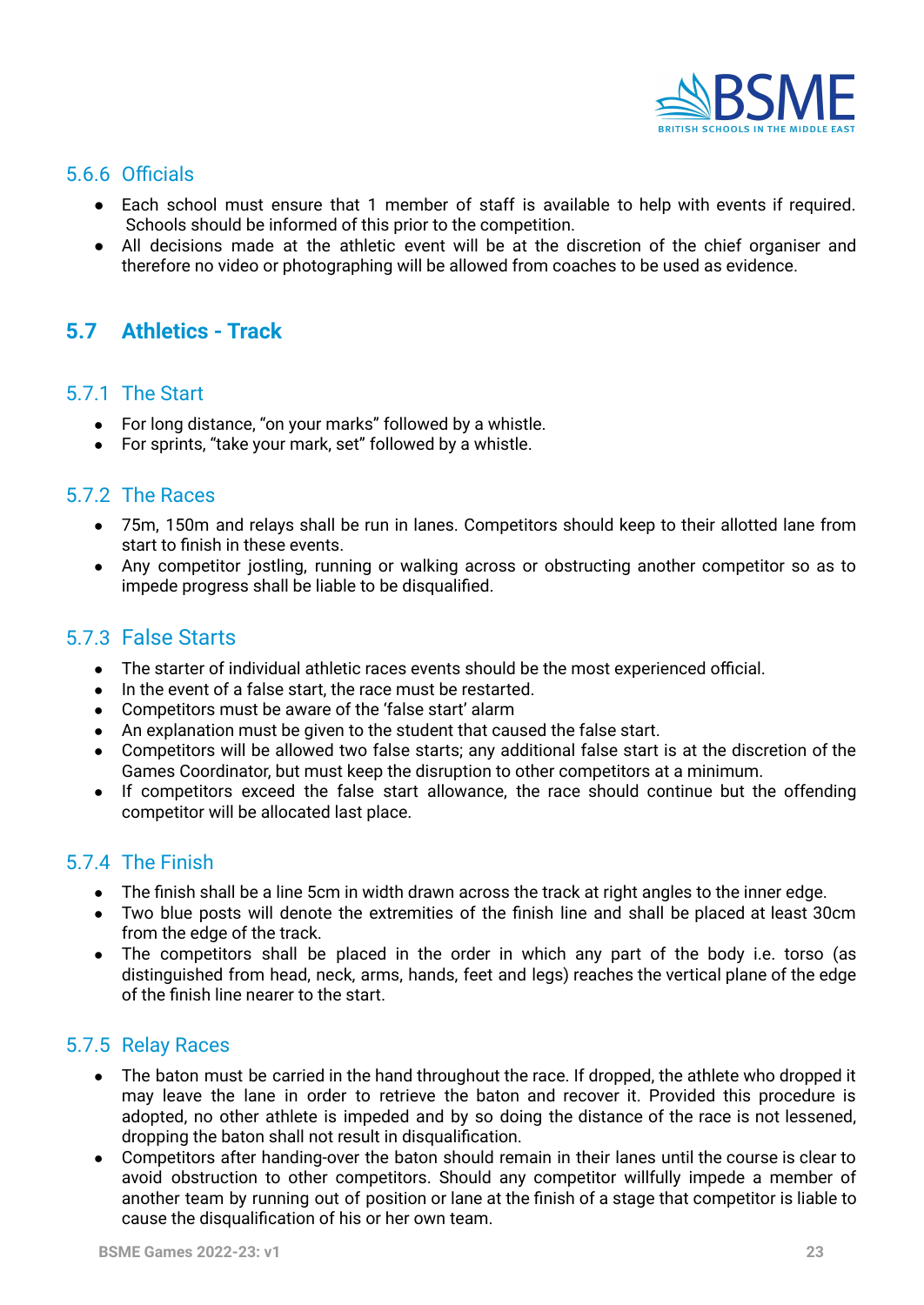

# <span id="page-22-0"></span>5.6.6 Officials

- Each school must ensure that 1 member of staff is available to help with events if required. Schools should be informed of this prior to the competition.
- All decisions made at the athletic event will be at the discretion of the chief organiser and therefore no video or photographing will be allowed from coaches to be used as evidence.

# <span id="page-22-1"></span>**5.7 Athletics - Track**

#### <span id="page-22-2"></span>5.7.1 The Start

- For long distance, "on your marks" followed by a whistle.
- For sprints, "take your mark, set" followed by a whistle.

#### <span id="page-22-3"></span>5.7.2 The Races

- 75m, 150m and relays shall be run in lanes. Competitors should keep to their allotted lane from start to finish in these events.
- Any competitor jostling, running or walking across or obstructing another competitor so as to impede progress shall be liable to be disqualified.

### <span id="page-22-4"></span>5.7.3 False Starts

- The starter of individual athletic races events should be the most experienced official.
- In the event of a false start, the race must be restarted.
- Competitors must be aware of the 'false start' alarm
- An explanation must be given to the student that caused the false start.
- Competitors will be allowed two false starts; any additional false start is at the discretion of the Games Coordinator, but must keep the disruption to other competitors at a minimum.
- If competitors exceed the false start allowance, the race should continue but the offending competitor will be allocated last place.

# <span id="page-22-5"></span>5.7.4 The Finish

- The finish shall be a line 5cm in width drawn across the track at right angles to the inner edge.
- Two blue posts will denote the extremities of the finish line and shall be placed at least 30cm from the edge of the track.
- The competitors shall be placed in the order in which any part of the body i.e. torso (as distinguished from head, neck, arms, hands, feet and legs) reaches the vertical plane of the edge of the finish line nearer to the start.

#### <span id="page-22-6"></span>5.7.5 Relay Races

- The baton must be carried in the hand throughout the race. If dropped, the athlete who dropped it may leave the lane in order to retrieve the baton and recover it. Provided this procedure is adopted, no other athlete is impeded and by so doing the distance of the race is not lessened, dropping the baton shall not result in disqualification.
- Competitors after handing-over the baton should remain in their lanes until the course is clear to avoid obstruction to other competitors. Should any competitor willfully impede a member of another team by running out of position or lane at the finish of a stage that competitor is liable to cause the disqualification of his or her own team.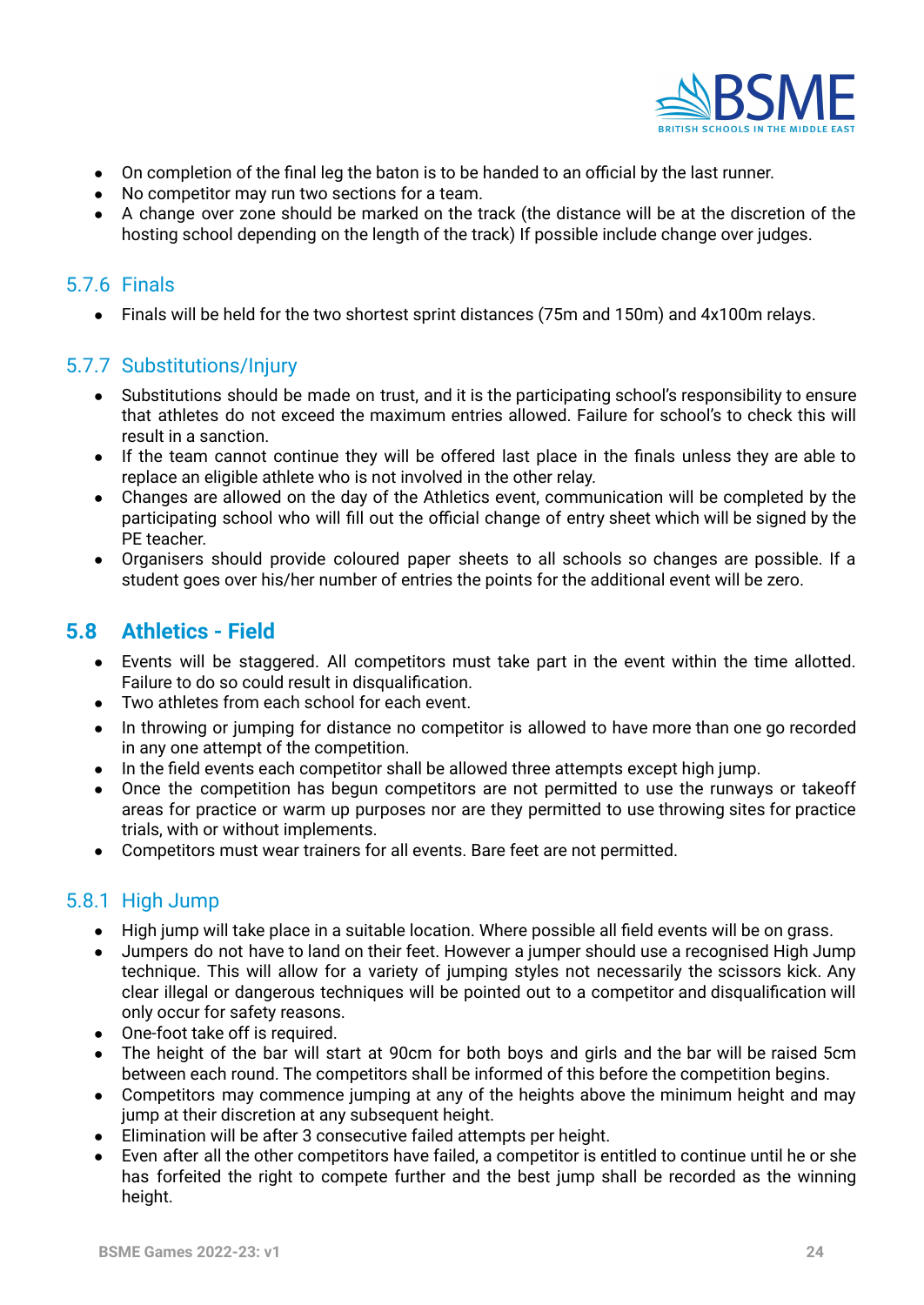

- On completion of the final leg the baton is to be handed to an official by the last runner.
- No competitor may run two sections for a team.
- A change over zone should be marked on the track (the distance will be at the discretion of the hosting school depending on the length of the track) If possible include change over judges.

#### <span id="page-23-0"></span>5.7.6 Finals

● Finals will be held for the two shortest sprint distances (75m and 150m) and 4x100m relays.

#### <span id="page-23-1"></span>5.7.7 Substitutions/Injury

- **●** Substitutions should be made on trust, and it is the participating school's responsibility to ensure that athletes do not exceed the maximum entries allowed. Failure for school's to check this will result in a sanction.
- If the team cannot continue they will be offered last place in the finals unless they are able to replace an eligible athlete who is not involved in the other relay.
- Changes are allowed on the day of the Athletics event, communication will be completed by the participating school who will fill out the official change of entry sheet which will be signed by the PE teacher.
- Organisers should provide coloured paper sheets to all schools so changes are possible. If a student goes over his/her number of entries the points for the additional event will be zero.

# <span id="page-23-2"></span>**5.8 Athletics - Field**

- Events will be staggered. All competitors must take part in the event within the time allotted. Failure to do so could result in disqualification.
- Two athletes from each school for each event.
- In throwing or jumping for distance no competitor is allowed to have more than one go recorded in any one attempt of the competition.
- In the field events each competitor shall be allowed three attempts except high jump.
- Once the competition has begun competitors are not permitted to use the runways or takeoff areas for practice or warm up purposes nor are they permitted to use throwing sites for practice trials, with or without implements.
- Competitors must wear trainers for all events. Bare feet are not permitted.

#### <span id="page-23-3"></span>5.8.1 High Jump

- High jump will take place in a suitable location. Where possible all field events will be on grass.
- Jumpers do not have to land on their feet. However a jumper should use a recognised High Jump technique. This will allow for a variety of jumping styles not necessarily the scissors kick. Any clear illegal or dangerous techniques will be pointed out to a competitor and disqualification will only occur for safety reasons.
- One-foot take off is required.
- The height of the bar will start at 90cm for both boys and girls and the bar will be raised 5cm between each round. The competitors shall be informed of this before the competition begins.
- Competitors may commence jumping at any of the heights above the minimum height and may jump at their discretion at any subsequent height.
- Elimination will be after 3 consecutive failed attempts per height.
- Even after all the other competitors have failed, a competitor is entitled to continue until he or she has forfeited the right to compete further and the best jump shall be recorded as the winning height.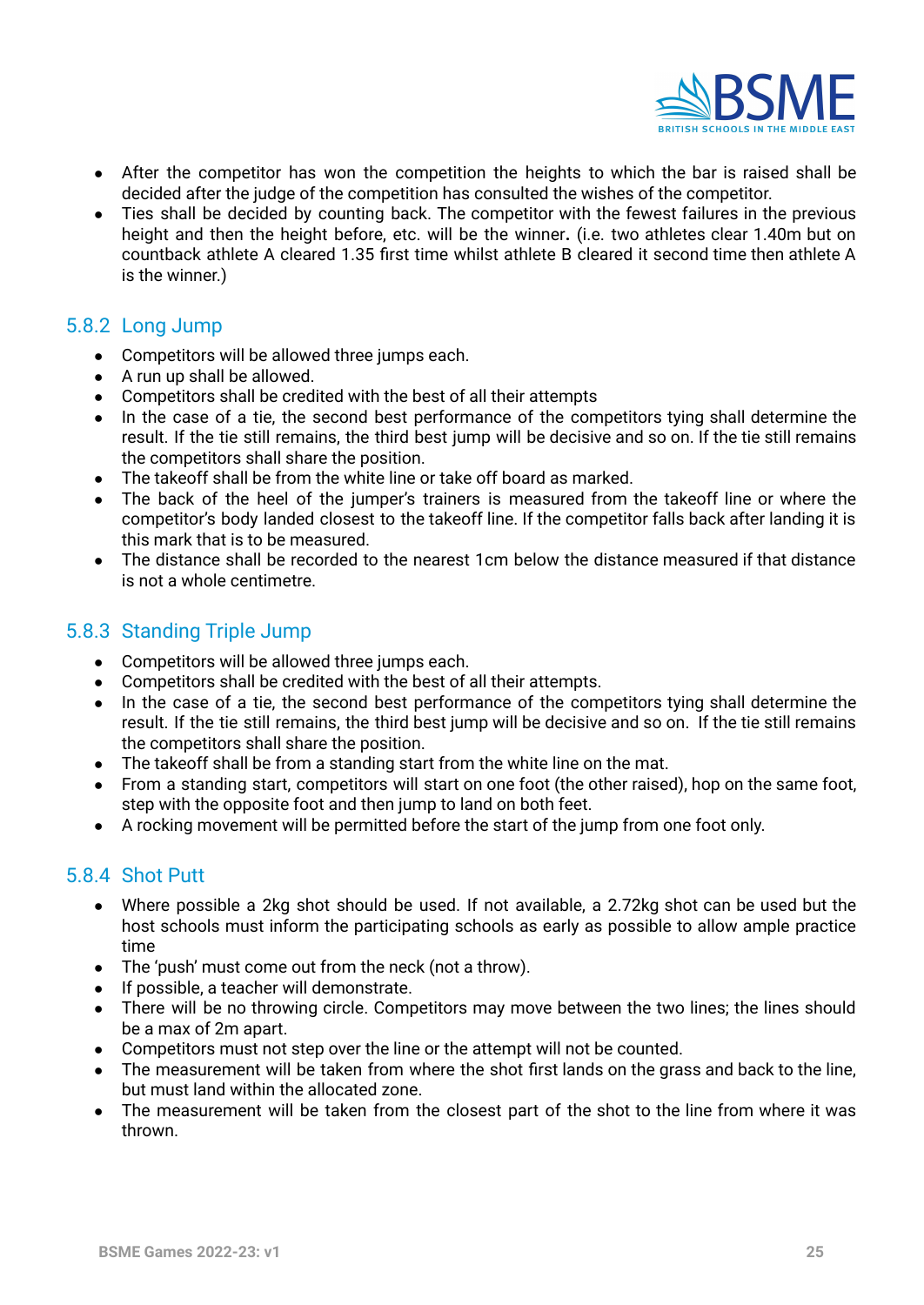

- After the competitor has won the competition the heights to which the bar is raised shall be decided after the judge of the competition has consulted the wishes of the competitor.
- Ties shall be decided by counting back. The competitor with the fewest failures in the previous height and then the height before, etc. will be the winner**.** (i.e. two athletes clear 1.40m but on countback athlete A cleared 1.35 first time whilst athlete B cleared it second time then athlete A is the winner.)

#### <span id="page-24-0"></span>5.8.2 Long Jump

- Competitors will be allowed three jumps each.
- A run up shall be allowed.
- Competitors shall be credited with the best of all their attempts
- In the case of a tie, the second best performance of the competitors tying shall determine the result. If the tie still remains, the third best jump will be decisive and so on. If the tie still remains the competitors shall share the position.
- The takeoff shall be from the white line or take off board as marked.
- The back of the heel of the jumper's trainers is measured from the takeoff line or where the competitor's body landed closest to the takeoff line. If the competitor falls back after landing it is this mark that is to be measured.
- The distance shall be recorded to the nearest 1cm below the distance measured if that distance is not a whole centimetre.

### <span id="page-24-1"></span>5.8.3 Standing Triple Jump

- Competitors will be allowed three jumps each.
- Competitors shall be credited with the best of all their attempts.
- In the case of a tie, the second best performance of the competitors tying shall determine the result. If the tie still remains, the third best jump will be decisive and so on. If the tie still remains the competitors shall share the position.
- The takeoff shall be from a standing start from the white line on the mat.
- From a standing start, competitors will start on one foot (the other raised), hop on the same foot, step with the opposite foot and then jump to land on both feet.
- A rocking movement will be permitted before the start of the jump from one foot only.

### <span id="page-24-2"></span>5.8.4 Shot Putt

- Where possible a 2kg shot should be used. If not available, a 2.72kg shot can be used but the host schools must inform the participating schools as early as possible to allow ample practice time
- The 'push' must come out from the neck (not a throw).
- If possible, a teacher will demonstrate.
- There will be no throwing circle. Competitors may move between the two lines; the lines should be a max of 2m apart.
- Competitors must not step over the line or the attempt will not be counted.
- The measurement will be taken from where the shot first lands on the grass and back to the line, but must land within the allocated zone.
- The measurement will be taken from the closest part of the shot to the line from where it was thrown.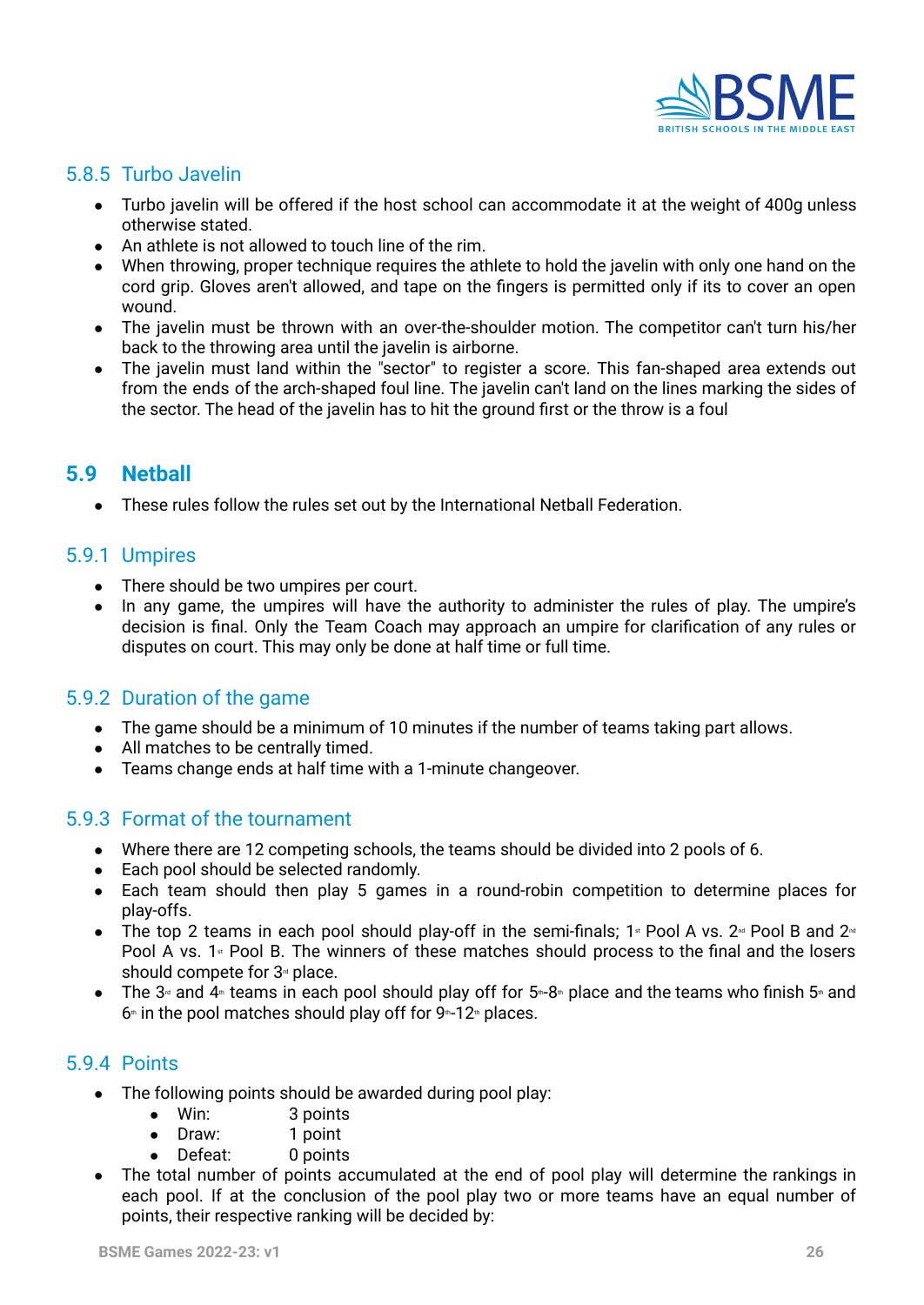

# <span id="page-25-0"></span>5.8.5 Turbo Javelin

- **●** Turbo javelin will be offered if the host school can accommodate it at the weight of 400g unless otherwise stated.
- An athlete is not allowed to touch line of the rim.
- When throwing, proper technique requires the athlete to hold the javelin with only one hand on the cord grip. Gloves aren't allowed, and tape on the fingers is permitted only if its to cover an open wound.
- The javelin must be thrown with an over-the-shoulder motion. The competitor can't turn his/her back to the throwing area until the javelin is airborne.
- The javelin must land within the "sector" to register a score. This fan-shaped area extends out from the ends of the arch-shaped foul line. The javelin can't land on the lines marking the sides of the sector. The head of the javelin has to hit the ground first or the throw is a foul

# <span id="page-25-2"></span><span id="page-25-1"></span>**5.9 Netball**

● These rules follow the rules set out by the International Netball Federation.

#### <span id="page-25-3"></span>5.9.1 Umpires

- There should be two umpires per court.
- In any game, the umpires will have the authority to administer the rules of play. The umpire's decision is final. Only the Team Coach may approach an umpire for clarification of any rules or disputes on court. This may only be done at half time or full time.

### <span id="page-25-4"></span>5.9.2 Duration of the game

- **●** The game should be a minimum of 10 minutes if the number of teams taking part allows.
- **●** All matches to be centrally timed.
- **●** Teams change ends at half time with a 1-minute changeover.

#### <span id="page-25-5"></span>5.9.3 Format of the tournament

- **●** Where there are 12 competing schools, the teams should be divided into 2 pools of 6.
- **●** Each pool should be selected randomly.
- **●** Each team should then play 5 games in a round-robin competition to determine places for play-offs.
- The top 2 teams in each pool should play-off in the semi-finals; 1<sup>st</sup> Pool A vs. 2<sup> $\alpha$ </sup> Pool B and 2<sup> $\alpha$ </sup> Pool A vs. 1<sup>st</sup> Pool B. The winners of these matches should process to the final and the losers should compete for  $3<sup>d</sup>$  place.
- The 3<sup>d</sup> and 4<sup>th</sup> teams in each pool should play off for 5<sup>th</sup>-8<sup>th</sup> place and the teams who finish 5<sup>th</sup> and  $6*$  in the pool matches should play off for  $9*12*$  places.

### <span id="page-25-6"></span>5.9.4 Points

- The following points should be awarded during pool play:
	- Win: 3 points
	- Draw: 1 point
	- Defeat: 0 points
- The total number of points accumulated at the end of pool play will determine the rankings in each pool. If at the conclusion of the pool play two or more teams have an equal number of points, their respective ranking will be decided by: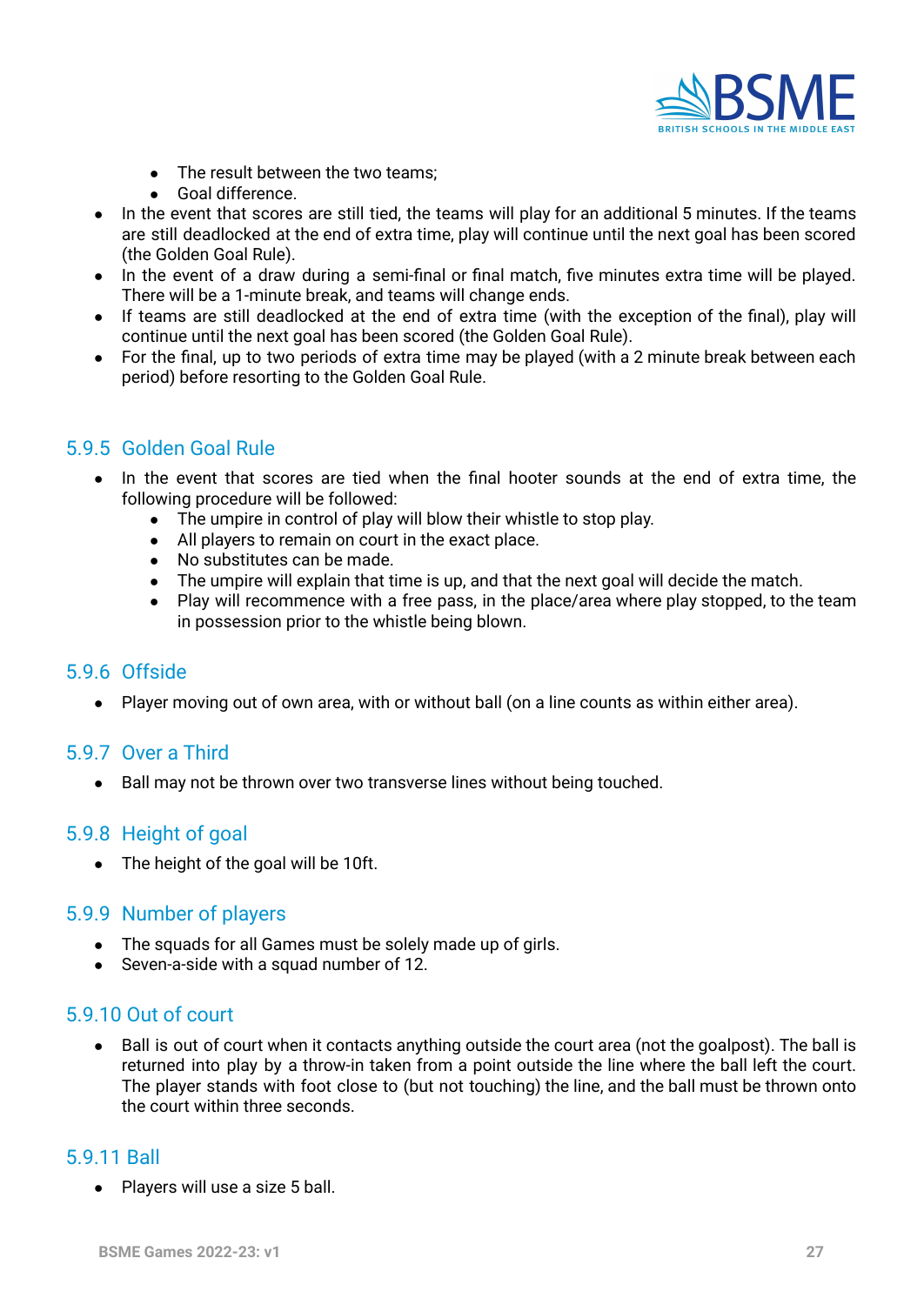

- The result between the two teams;
- Goal difference.
- In the event that scores are still tied, the teams will play for an additional 5 minutes. If the teams are still deadlocked at the end of extra time, play will continue until the next goal has been scored (the Golden Goal Rule).
- In the event of a draw during a semi-final or final match, five minutes extra time will be played. There will be a 1-minute break, and teams will change ends.
- If teams are still deadlocked at the end of extra time (with the exception of the final), play will continue until the next goal has been scored (the Golden Goal Rule).
- For the final, up to two periods of extra time may be played (with a 2 minute break between each period) before resorting to the Golden Goal Rule.

#### <span id="page-26-0"></span>5.9.5 Golden Goal Rule

- **●** In the event that scores are tied when the final hooter sounds at the end of extra time, the following procedure will be followed:
	- **●** The umpire in control of play will blow their whistle to stop play.
	- **●** All players to remain on court in the exact place.
	- **●** No substitutes can be made.
	- **●** The umpire will explain that time is up, and that the next goal will decide the match.
	- **●** Play will recommence with a free pass, in the place/area where play stopped, to the team in possession prior to the whistle being blown.

#### <span id="page-26-1"></span>5.9.6 Offside

● Player moving out of own area, with or without ball (on a line counts as within either area).

#### <span id="page-26-2"></span>5.9.7 Over a Third

● Ball may not be thrown over two transverse lines without being touched.

#### <span id="page-26-3"></span>5.9.8 Height of goal

● The height of the goal will be 10ft.

#### <span id="page-26-4"></span>5.9.9 Number of players

- The squads for all Games must be solely made up of girls.
- Seven-a-side with a squad number of 12.

#### <span id="page-26-5"></span>5.9.10 Out of court

● Ball is out of court when it contacts anything outside the court area (not the goalpost). The ball is returned into play by a throw-in taken from a point outside the line where the ball left the court. The player stands with foot close to (but not touching) the line, and the ball must be thrown onto the court within three seconds.

#### <span id="page-26-6"></span>5.9.11 Ball

● Players will use a size 5 ball.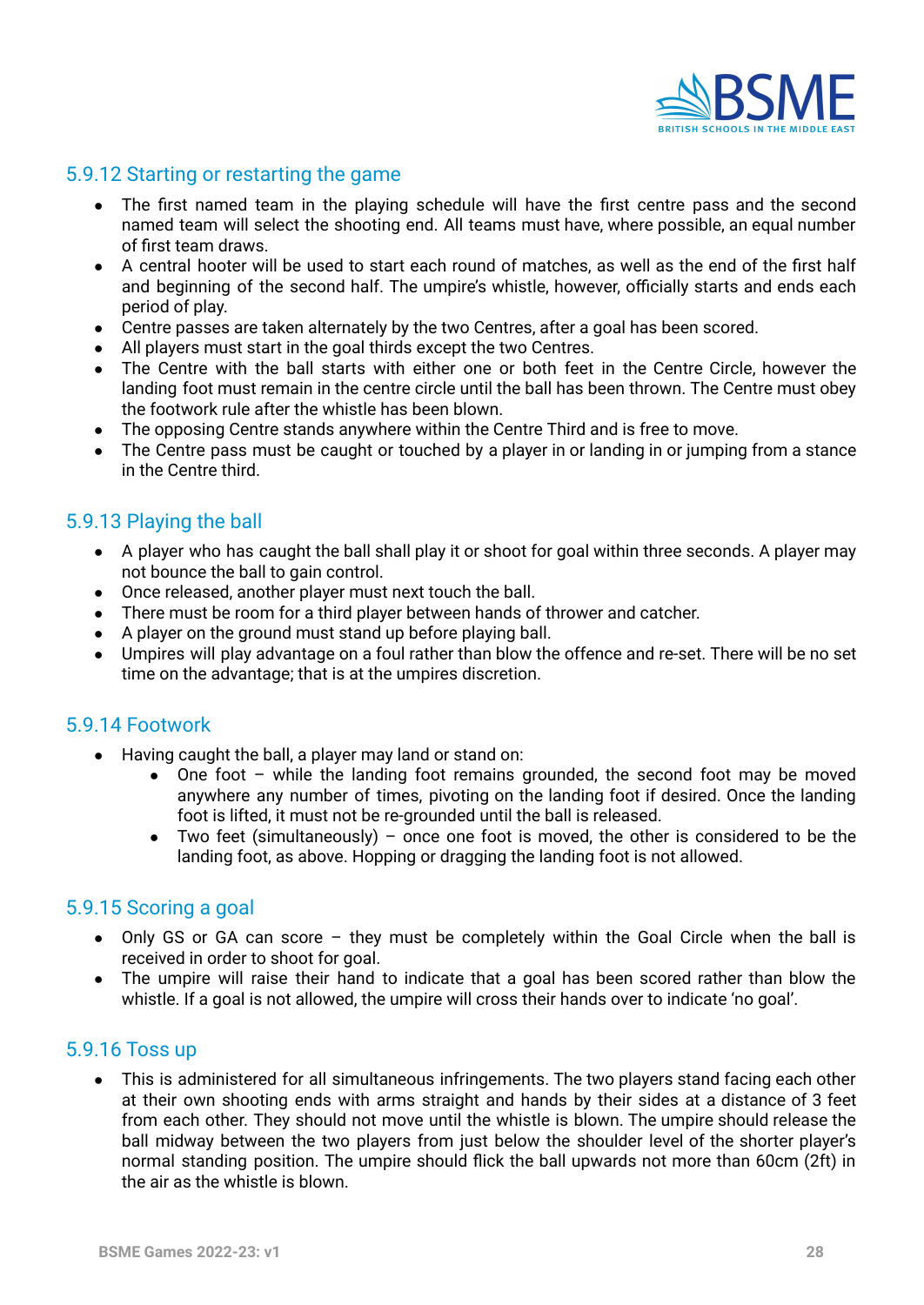

## <span id="page-27-0"></span>5.9.12 Starting or restarting the game

- The first named team in the playing schedule will have the first centre pass and the second named team will select the shooting end. All teams must have, where possible, an equal number of first team draws.
- A central hooter will be used to start each round of matches, as well as the end of the first half and beginning of the second half. The umpire's whistle, however, officially starts and ends each period of play.
- Centre passes are taken alternately by the two Centres, after a goal has been scored.
- All players must start in the goal thirds except the two Centres.
- The Centre with the ball starts with either one or both feet in the Centre Circle, however the landing foot must remain in the centre circle until the ball has been thrown. The Centre must obey the footwork rule after the whistle has been blown.
- The opposing Centre stands anywhere within the Centre Third and is free to move.
- The Centre pass must be caught or touched by a player in or landing in or jumping from a stance in the Centre third.

### <span id="page-27-1"></span>5.9.13 Playing the ball

- A player who has caught the ball shall play it or shoot for goal within three seconds. A player may not bounce the ball to gain control.
- Once released, another player must next touch the ball.
- There must be room for a third player between hands of thrower and catcher.
- A player on the ground must stand up before playing ball.
- Umpires will play advantage on a foul rather than blow the offence and re-set. There will be no set time on the advantage; that is at the umpires discretion.

#### <span id="page-27-2"></span>5.9.14 Footwork

- Having caught the ball, a player may land or stand on:
	- One foot while the landing foot remains grounded, the second foot may be moved anywhere any number of times, pivoting on the landing foot if desired. Once the landing foot is lifted, it must not be re-grounded until the ball is released.
	- Two feet (simultaneously) once one foot is moved, the other is considered to be the landing foot, as above. Hopping or dragging the landing foot is not allowed.

#### <span id="page-27-3"></span>5.9.15 Scoring a goal

- Only GS or GA can score they must be completely within the Goal Circle when the ball is received in order to shoot for goal.
- The umpire will raise their hand to indicate that a goal has been scored rather than blow the whistle. If a goal is not allowed, the umpire will cross their hands over to indicate 'no goal'.

#### <span id="page-27-4"></span>5.9.16 Toss up

● This is administered for all simultaneous infringements. The two players stand facing each other at their own shooting ends with arms straight and hands by their sides at a distance of 3 feet from each other. They should not move until the whistle is blown. The umpire should release the ball midway between the two players from just below the shoulder level of the shorter player's normal standing position. The umpire should flick the ball upwards not more than 60cm (2ft) in the air as the whistle is blown.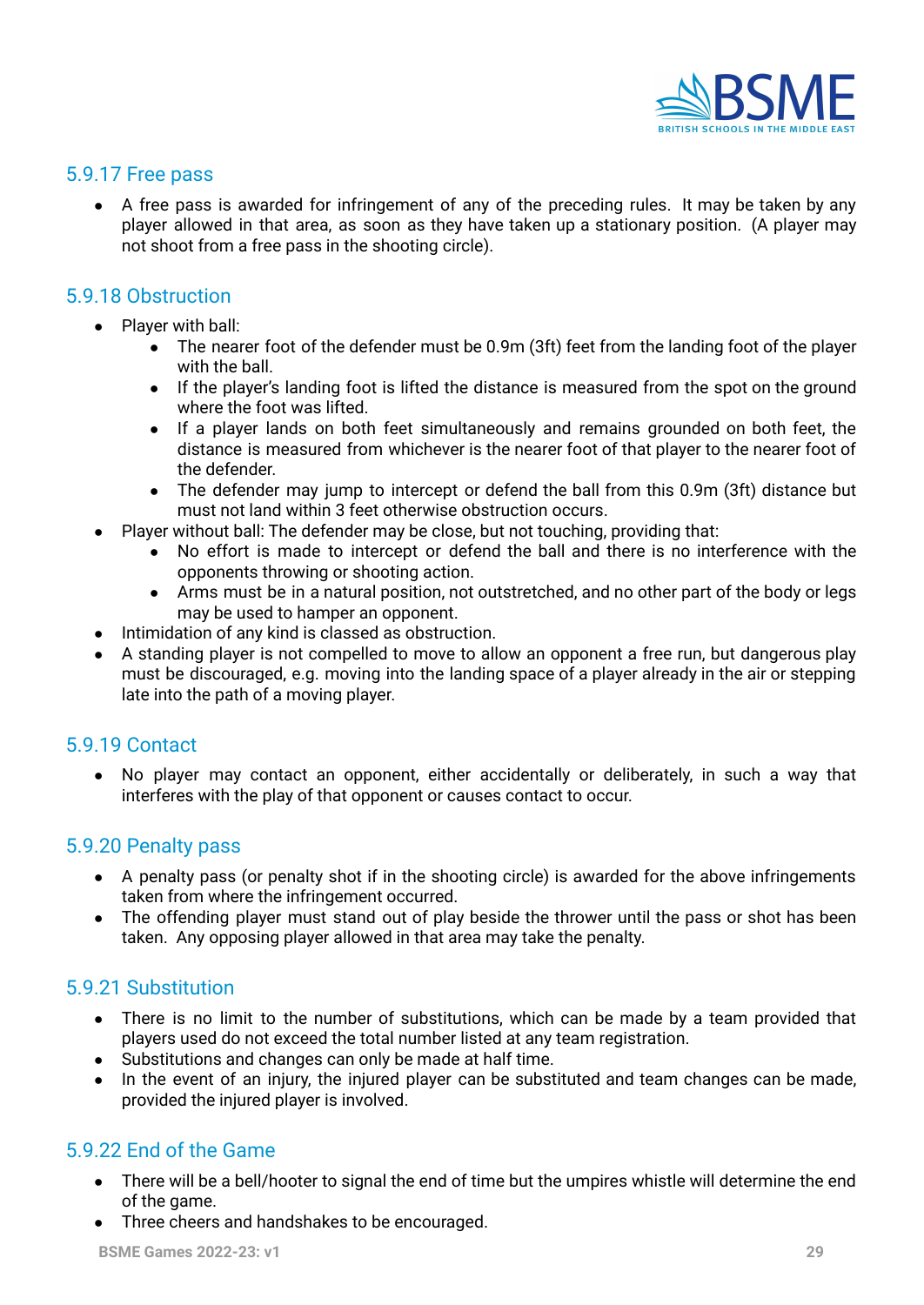

#### <span id="page-28-0"></span>5.9.17 Free pass

• A free pass is awarded for infringement of any of the preceding rules. It may be taken by any player allowed in that area, as soon as they have taken up a stationary position. (A player may not shoot from a free pass in the shooting circle).

#### <span id="page-28-1"></span>5.9.18 Obstruction

- Player with ball:
	- The nearer foot of the defender must be 0.9m (3ft) feet from the landing foot of the player with the ball.
	- If the player's landing foot is lifted the distance is measured from the spot on the ground where the foot was lifted.
	- If a player lands on both feet simultaneously and remains grounded on both feet, the distance is measured from whichever is the nearer foot of that player to the nearer foot of the defender.
	- The defender may jump to intercept or defend the ball from this 0.9m (3ft) distance but must not land within 3 feet otherwise obstruction occurs.
- Player without ball: The defender may be close, but not touching, providing that:
	- No effort is made to intercept or defend the ball and there is no interference with the opponents throwing or shooting action.
	- Arms must be in a natural position, not outstretched, and no other part of the body or legs may be used to hamper an opponent.
- Intimidation of any kind is classed as obstruction.
- A standing player is not compelled to move to allow an opponent a free run, but dangerous play must be discouraged, e.g. moving into the landing space of a player already in the air or stepping late into the path of a moving player.

#### <span id="page-28-2"></span>5.9.19 Contact

**●** No player may contact an opponent, either accidentally or deliberately, in such a way that interferes with the play of that opponent or causes contact to occur.

#### <span id="page-28-3"></span>5.9.20 Penalty pass

- A penalty pass (or penalty shot if in the shooting circle) is awarded for the above infringements taken from where the infringement occurred.
- The offending player must stand out of play beside the thrower until the pass or shot has been taken. Any opposing player allowed in that area may take the penalty.

#### <span id="page-28-4"></span>5.9.21 Substitution

- There is no limit to the number of substitutions, which can be made by a team provided that players used do not exceed the total number listed at any team registration.
- Substitutions and changes can only be made at half time.
- In the event of an injury, the injured player can be substituted and team changes can be made, provided the injured player is involved.

### <span id="page-28-5"></span>5.9.22 End of the Game

- There will be a bell/hooter to signal the end of time but the umpires whistle will determine the end of the game.
- Three cheers and handshakes to be encouraged.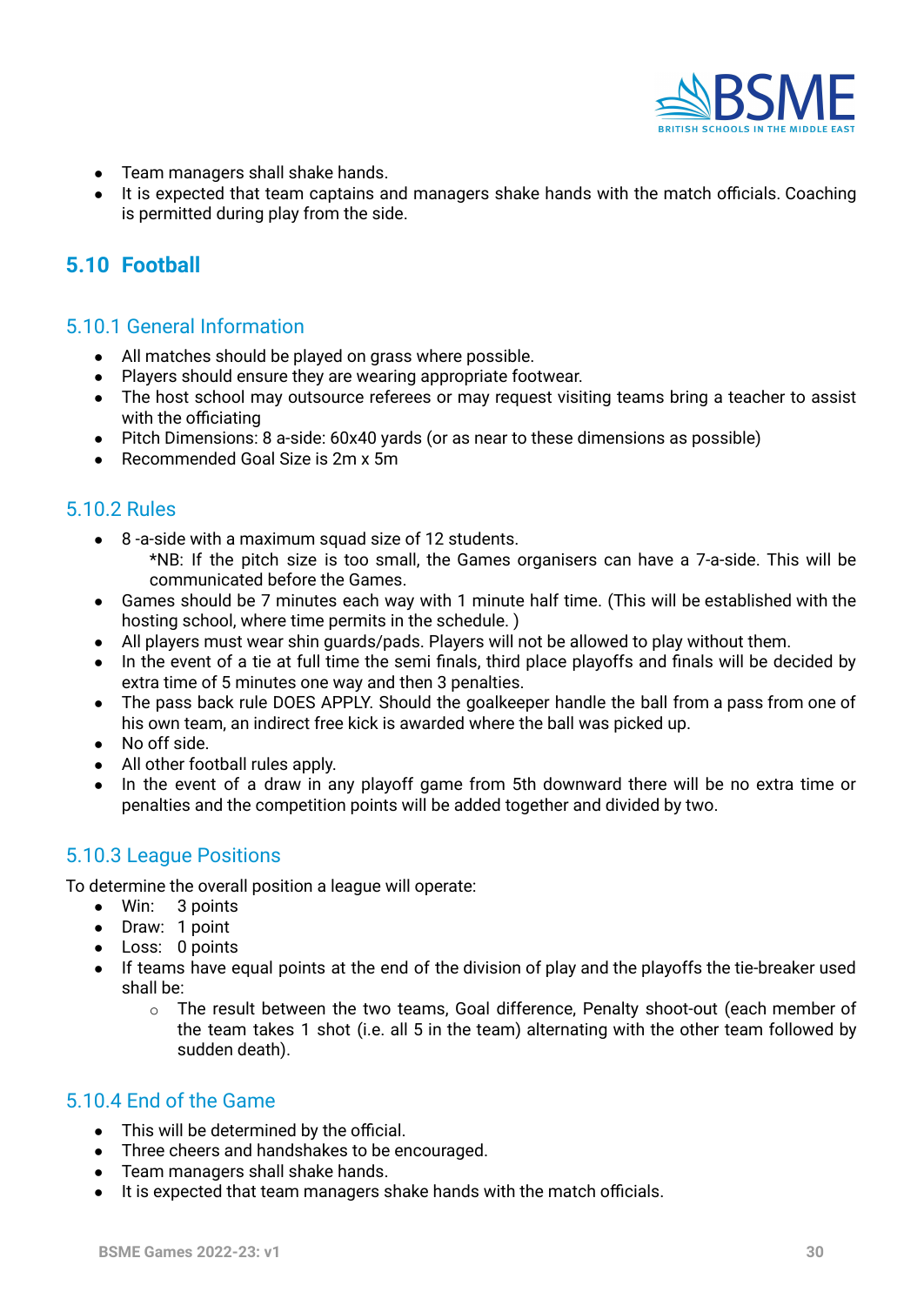

- Team managers shall shake hands.
- It is expected that team captains and managers shake hands with the match officials. Coaching is permitted during play from the side.

# <span id="page-29-0"></span>**5.10 Football**

#### <span id="page-29-1"></span>5.10.1 General Information

- All matches should be played on grass where possible.
- Players should ensure they are wearing appropriate footwear.
- The host school may outsource referees or may request visiting teams bring a teacher to assist with the officiating
- Pitch Dimensions: 8 a-side: 60x40 yards (or as near to these dimensions as possible)
- Recommended Goal Size is 2m x 5m

#### <span id="page-29-2"></span>5.10.2 Rules

- 8 -a-side with a maximum squad size of 12 students.
	- \*NB: If the pitch size is too small, the Games organisers can have a 7-a-side. This will be communicated before the Games.
- Games should be 7 minutes each way with 1 minute half time. (This will be established with the hosting school, where time permits in the schedule. )
- All players must wear shin guards/pads. Players will not be allowed to play without them.
- In the event of a tie at full time the semi finals, third place playoffs and finals will be decided by extra time of 5 minutes one way and then 3 penalties.
- The pass back rule DOES APPLY. Should the goalkeeper handle the ball from a pass from one of his own team, an indirect free kick is awarded where the ball was picked up.
- No off side.
- All other football rules apply.
- In the event of a draw in any playoff game from 5th downward there will be no extra time or penalties and the competition points will be added together and divided by two.

### <span id="page-29-3"></span>5.10.3 League Positions

To determine the overall position a league will operate:

- Win: 3 points
- Draw: 1 point
- Loss: 0 points
- If teams have equal points at the end of the division of play and the playoffs the tie-breaker used shall be:
	- o The result between the two teams, Goal difference, Penalty shoot-out (each member of the team takes 1 shot (i.e. all 5 in the team) alternating with the other team followed by sudden death).

#### <span id="page-29-4"></span>5.10.4 End of the Game

- **●** This will be determined by the official.
- **●** Three cheers and handshakes to be encouraged.
- **●** Team managers shall shake hands.
- **●** It is expected that team managers shake hands with the match officials.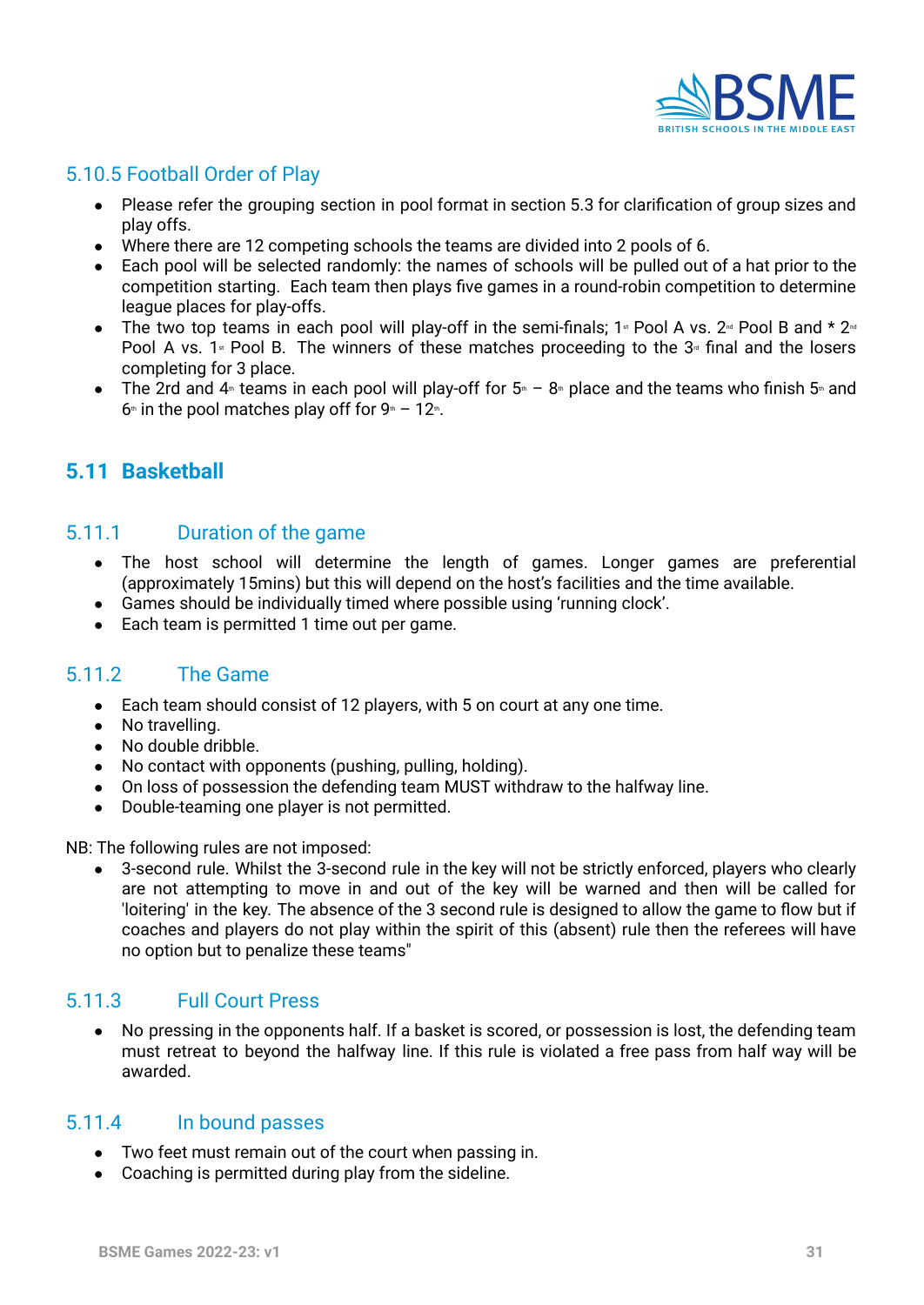

# <span id="page-30-0"></span>5.10.5 Football Order of Play

- Please refer the grouping section in pool format in section 5.3 for clarification of group sizes and play offs.
- Where there are 12 competing schools the teams are divided into 2 pools of 6.
- Each pool will be selected randomly: the names of schools will be pulled out of a hat prior to the competition starting. Each team then plays five games in a round-robin competition to determine league places for play-offs.
- The two top teams in each pool will play-off in the semi-finals;  $1*$  Pool A vs.  $2*$  Pool B and  $*$   $2*$ Pool A vs. 1<sup>st</sup> Pool B. The winners of these matches proceeding to the  $3<sup>d</sup>$  final and the losers completing for 3 place.
- The 2rd and  $4$ <sup>th</sup> teams in each pool will play-off for  $5$ <sup>th</sup> 8<sup>th</sup> place and the teams who finish 5<sup>th</sup> and  $6<sup>th</sup>$  in the pool matches play off for  $9<sup>th</sup> - 12<sup>th</sup>$ .

# <span id="page-30-1"></span>**5.11 Basketball**

#### <span id="page-30-2"></span>5.11.1 Duration of the game

- The host school will determine the length of games. Longer games are preferential (approximately 15mins) but this will depend on the host's facilities and the time available.
- Games should be individually timed where possible using 'running clock'.
- Each team is permitted 1 time out per game.

#### <span id="page-30-3"></span>5.11.2 The Game

- Each team should consist of 12 players, with 5 on court at any one time.
- No travelling.
- No double dribble.
- No contact with opponents (pushing, pulling, holding).
- On loss of possession the defending team MUST withdraw to the halfway line.
- Double-teaming one player is not permitted.

NB: The following rules are not imposed:

• 3-second rule. Whilst the 3-second rule in the key will not be strictly enforced, players who clearly are not attempting to move in and out of the key will be warned and then will be called for 'loitering' in the key. The absence of the 3 second rule is designed to allow the game to flow but if coaches and players do not play within the spirit of this (absent) rule then the referees will have no option but to penalize these teams"

#### <span id="page-30-4"></span>5.11.3 Full Court Press

● No pressing in the opponents half. If a basket is scored, or possession is lost, the defending team must retreat to beyond the halfway line. If this rule is violated a free pass from half way will be awarded.

#### <span id="page-30-5"></span>5.11.4 In bound passes

- Two feet must remain out of the court when passing in.
- <span id="page-30-6"></span>● Coaching is permitted during play from the sideline.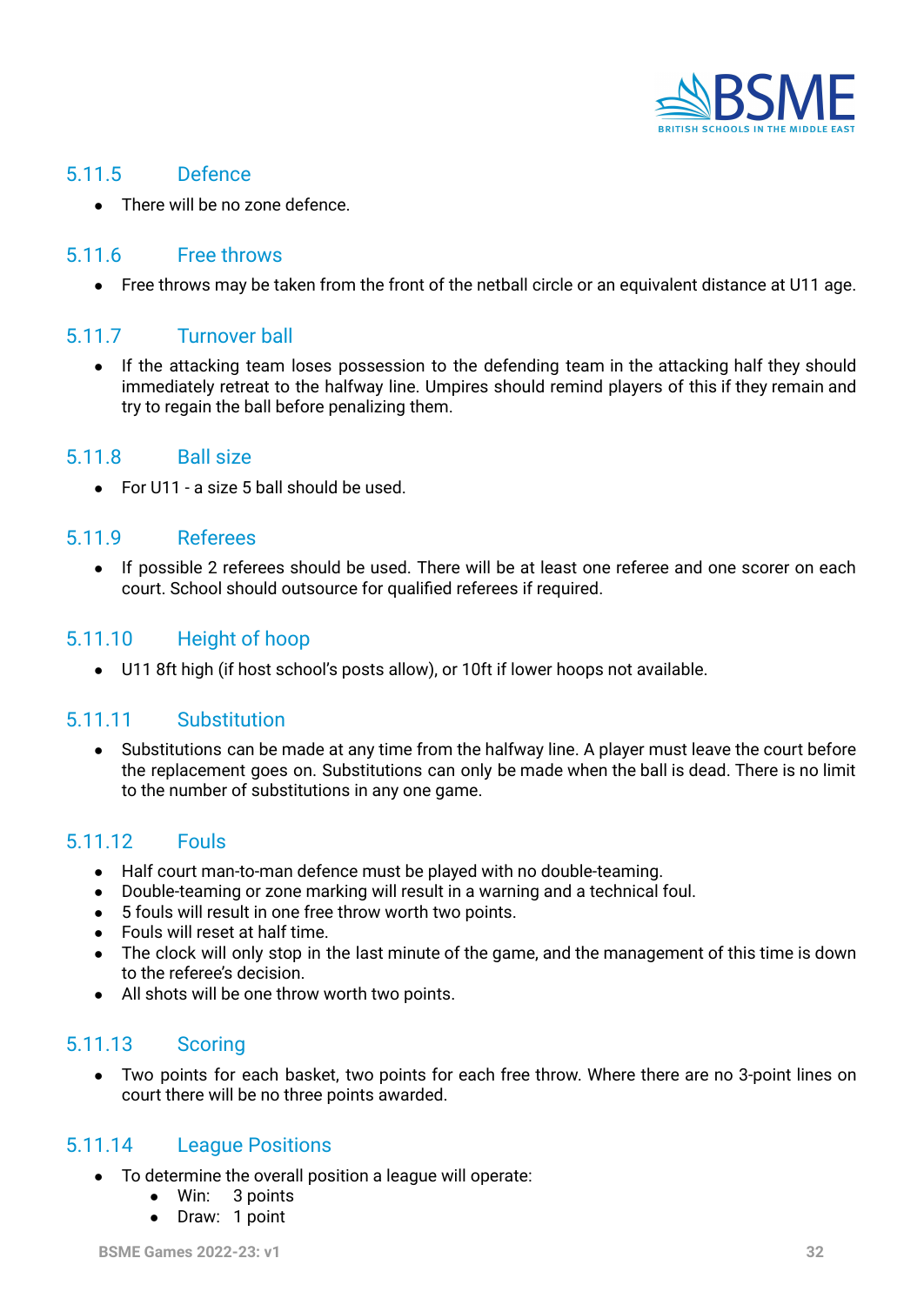

#### <span id="page-31-0"></span>5.11.5 Defence

• There will be no zone defence.

#### <span id="page-31-1"></span>5.11.6 Free throws

● Free throws may be taken from the front of the netball circle or an equivalent distance at U11 age.

#### <span id="page-31-2"></span>5.11.7 Turnover ball

● If the attacking team loses possession to the defending team in the attacking half they should immediately retreat to the halfway line. Umpires should remind players of this if they remain and try to regain the ball before penalizing them.

#### <span id="page-31-3"></span>5.11.8 Ball size

 $\bullet$  For U11 - a size 5 ball should be used.

#### <span id="page-31-4"></span>5.11.9 Referees

● If possible 2 referees should be used. There will be at least one referee and one scorer on each court. School should outsource for qualified referees if required.

#### <span id="page-31-5"></span>5.11.10 Height of hoop

● U11 8ft high (if host school's posts allow), or 10ft if lower hoops not available.

#### <span id="page-31-6"></span>5.11.11 Substitution

Substitutions can be made at any time from the halfway line. A player must leave the court before the replacement goes on. Substitutions can only be made when the ball is dead. There is no limit to the number of substitutions in any one game.

#### <span id="page-31-7"></span>5.11.12 Fouls

- Half court man-to-man defence must be played with no double-teaming.
- Double-teaming or zone marking will result in a warning and a technical foul.
- 5 fouls will result in one free throw worth two points.
- Fouls will reset at half time.
- The clock will only stop in the last minute of the game, and the management of this time is down to the referee's decision.
- All shots will be one throw worth two points.

#### <span id="page-31-8"></span>5.11.13 Scoring

● Two points for each basket, two points for each free throw. Where there are no 3-point lines on court there will be no three points awarded.

#### <span id="page-31-9"></span>5.11.14 League Positions

- To determine the overall position a league will operate:
	- Win: 3 points
	- Draw: 1 point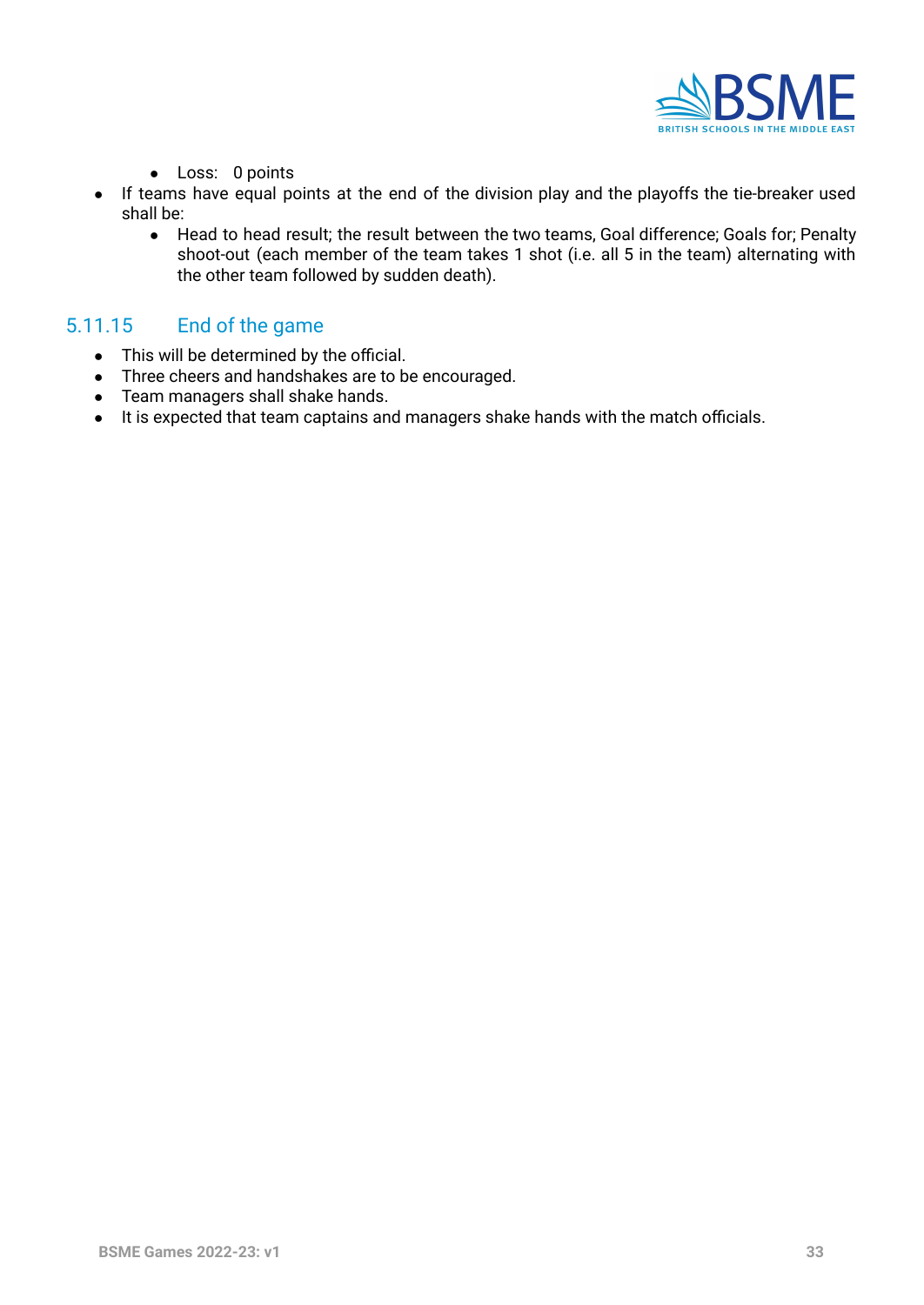

- Loss: 0 points
- If teams have equal points at the end of the division play and the playoffs the tie-breaker used shall be:
	- Head to head result; the result between the two teams, Goal difference; Goals for; Penalty shoot-out (each member of the team takes 1 shot (i.e. all 5 in the team) alternating with the other team followed by sudden death).

#### <span id="page-32-0"></span>5.11.15 End of the game

- This will be determined by the official.
- Three cheers and handshakes are to be encouraged.
- Team managers shall shake hands.
- It is expected that team captains and managers shake hands with the match officials.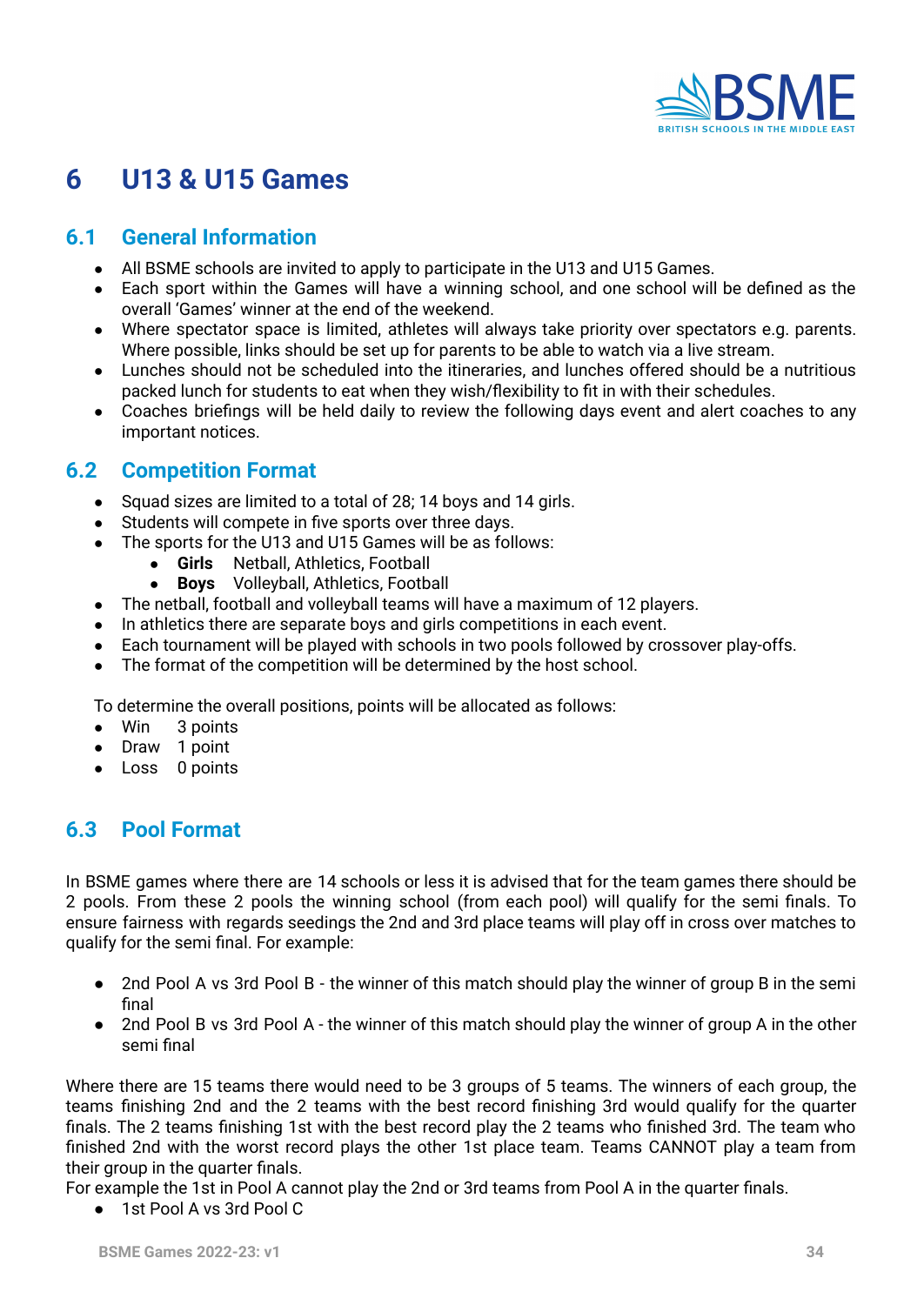

# **6 U13 & U15 Games**

# <span id="page-33-0"></span>**6.1 General Information**

- All BSME schools are invited to apply to participate in the U13 and U15 Games.
- Each sport within the Games will have a winning school, and one school will be defined as the overall 'Games' winner at the end of the weekend.
- Where spectator space is limited, athletes will always take priority over spectators e.g. parents. Where possible, links should be set up for parents to be able to watch via a live stream.
- Lunches should not be scheduled into the itineraries, and lunches offered should be a nutritious packed lunch for students to eat when they wish/flexibility to fit in with their schedules.
- Coaches briefings will be held daily to review the following days event and alert coaches to any important notices.

# <span id="page-33-1"></span>**6.2 Competition Format**

- Squad sizes are limited to a total of 28; 14 boys and 14 girls.
- Students will compete in five sports over three days.
- The sports for the U13 and U15 Games will be as follows:
	- **Girls** Netball, Athletics, Football
	- **Boys** Volleyball, Athletics, Football
- The netball, football and volleyball teams will have a maximum of 12 players.
- In athletics there are separate boys and girls competitions in each event.
- Each tournament will be played with schools in two pools followed by crossover play-offs.
- The format of the competition will be determined by the host school.

To determine the overall positions, points will be allocated as follows:

- Win 3 points
- Draw 1 point
- Loss 0 points

# <span id="page-33-2"></span>**6.3 Pool Format**

In BSME games where there are 14 schools or less it is advised that for the team games there should be 2 pools. From these 2 pools the winning school (from each pool) will qualify for the semi finals. To ensure fairness with regards seedings the 2nd and 3rd place teams will play off in cross over matches to qualify for the semi final. For example:

- 2nd Pool A vs 3rd Pool B the winner of this match should play the winner of group B in the semi final
- 2nd Pool B vs 3rd Pool A the winner of this match should play the winner of group A in the other semi final

Where there are 15 teams there would need to be 3 groups of 5 teams. The winners of each group, the teams finishing 2nd and the 2 teams with the best record finishing 3rd would qualify for the quarter finals. The 2 teams finishing 1st with the best record play the 2 teams who finished 3rd. The team who finished 2nd with the worst record plays the other 1st place team. Teams CANNOT play a team from their group in the quarter finals.

For example the 1st in Pool A cannot play the 2nd or 3rd teams from Pool A in the quarter finals.

● 1st Pool A vs 3rd Pool C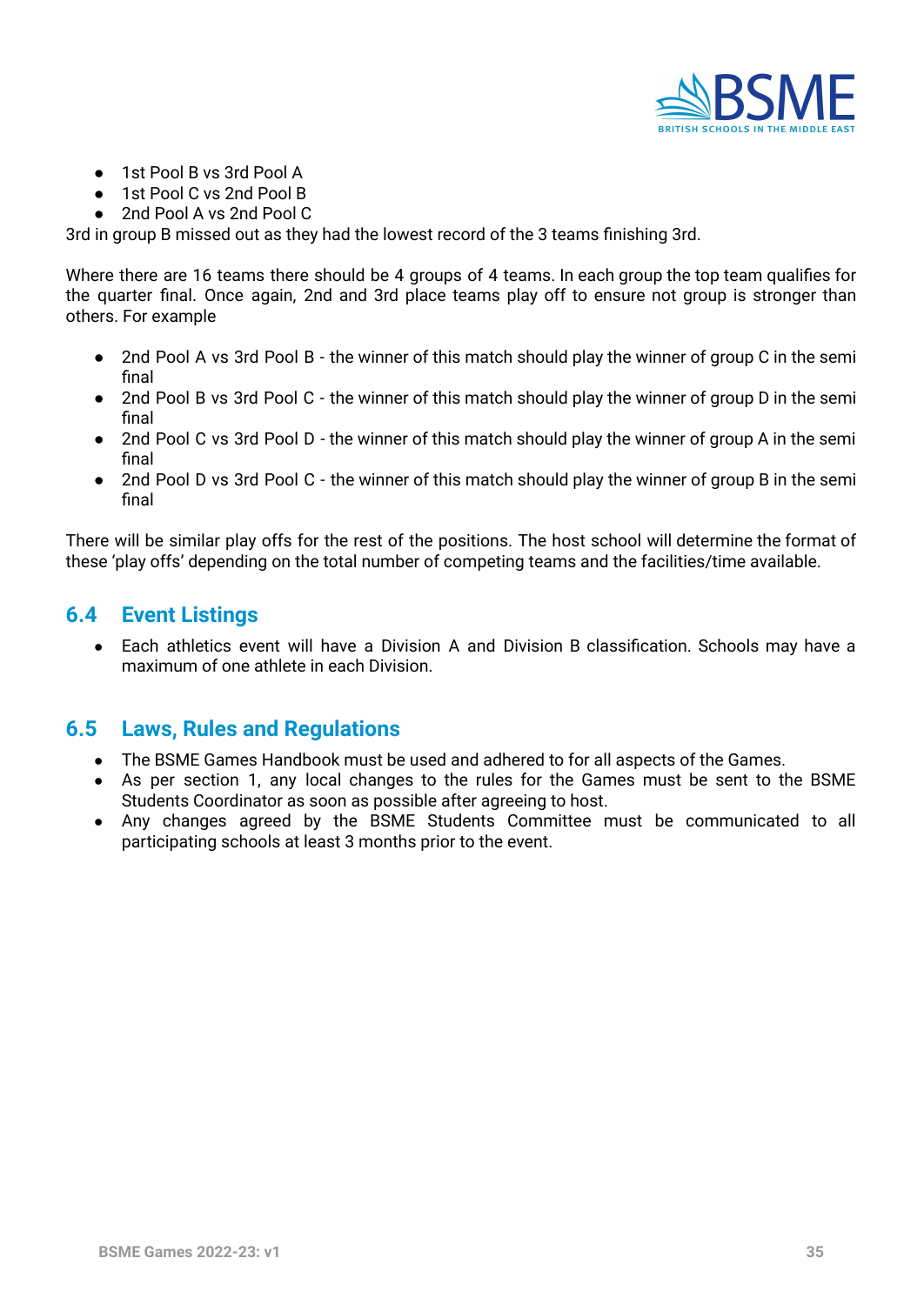

- 1st Pool B vs 3rd Pool A
- 1st Pool C vs 2nd Pool B
- 2nd Pool A vs 2nd Pool C

3rd in group B missed out as they had the lowest record of the 3 teams finishing 3rd.

Where there are 16 teams there should be 4 groups of 4 teams. In each group the top team qualifies for the quarter final. Once again, 2nd and 3rd place teams play off to ensure not group is stronger than others. For example

- 2nd Pool A vs 3rd Pool B the winner of this match should play the winner of group C in the semi final
- 2nd Pool B vs 3rd Pool C the winner of this match should play the winner of group D in the semi final
- 2nd Pool C vs 3rd Pool D the winner of this match should play the winner of group A in the semi final
- 2nd Pool D vs 3rd Pool C the winner of this match should play the winner of group B in the semi final

There will be similar play offs for the rest of the positions. The host school will determine the format of these 'play offs' depending on the total number of competing teams and the facilities/time available.

### <span id="page-34-0"></span>**6.4 Event Listings**

● Each athletics event will have a Division A and Division B classification. Schools may have a maximum of one athlete in each Division.

### <span id="page-34-1"></span>**6.5 Laws, Rules and Regulations**

- The BSME Games Handbook must be used and adhered to for all aspects of the Games.
- As per section 1, any local changes to the rules for the Games must be sent to the BSME Students Coordinator as soon as possible after agreeing to host.
- Any changes agreed by the BSME Students Committee must be communicated to all participating schools at least 3 months prior to the event.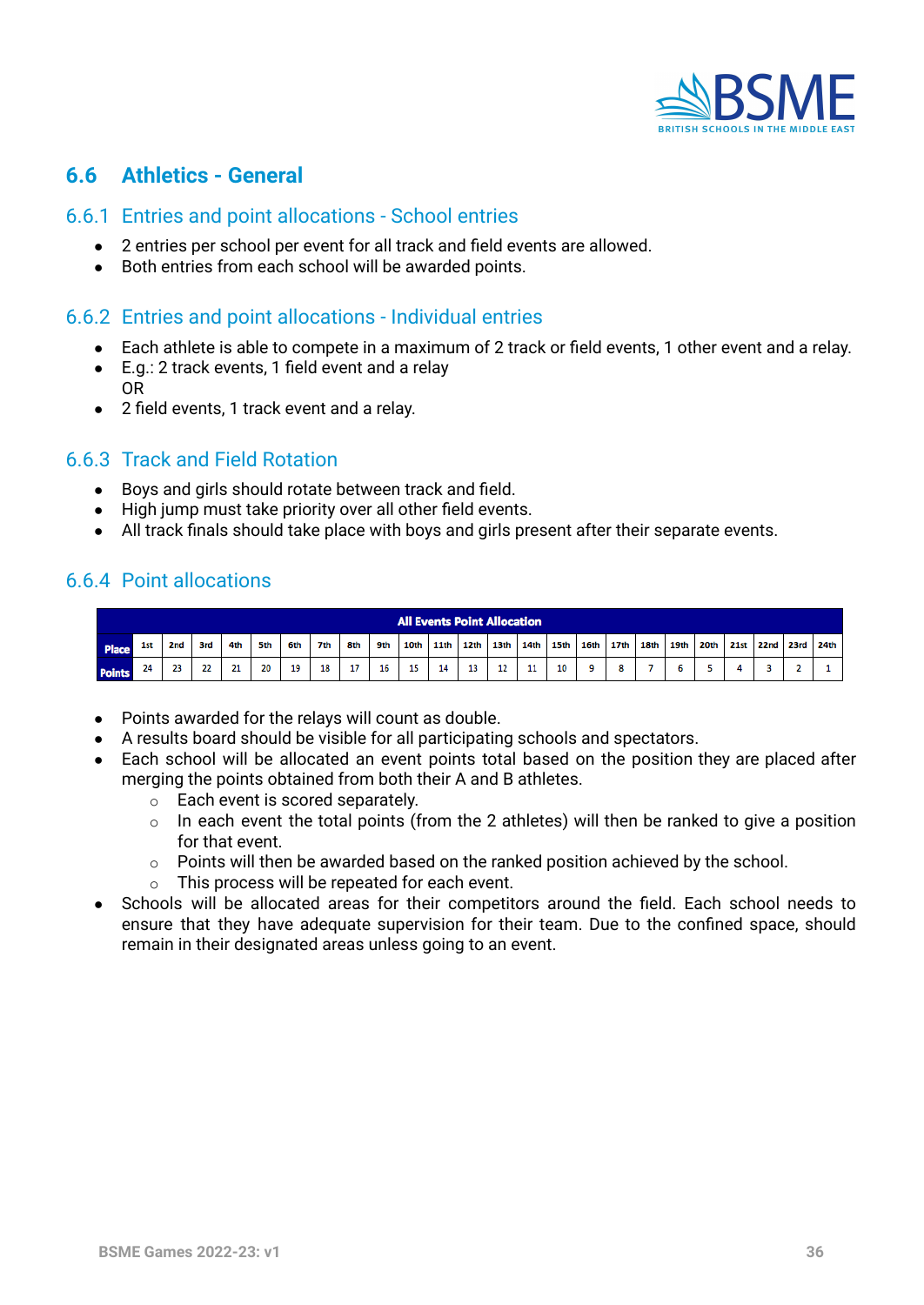

# <span id="page-35-0"></span>**6.6 Athletics - General**

#### <span id="page-35-1"></span>6.6.1 Entries and point allocations - School entries

- 2 entries per school per event for all track and field events are allowed.
- Both entries from each school will be awarded points.

#### <span id="page-35-2"></span>6.6.2 Entries and point allocations - Individual entries

- Each athlete is able to compete in a maximum of 2 track or field events, 1 other event and a relay.
- E.g.: 2 track events, 1 field event and a relay OR
- 2 field events, 1 track event and a relay.

#### <span id="page-35-3"></span>6.6.3 Track and Field Rotation

- Boys and girls should rotate between track and field.
- High jump must take priority over all other field events.
- All track finals should take place with boys and girls present after their separate events.

#### <span id="page-35-4"></span>6.6.4 Point allocations

|               | <b>All Events Point Allocation</b> |                 |     |     |     |     |     |     |     |    |           |                  |      |    |           |                           |  |      |      |           |  |      |
|---------------|------------------------------------|-----------------|-----|-----|-----|-----|-----|-----|-----|----|-----------|------------------|------|----|-----------|---------------------------|--|------|------|-----------|--|------|
| Place         | 1st                                | 2 <sub>nd</sub> | 3rd | 4th | 5th | 6th | 7th | 8th | 9th |    | 10th 11th | 12 <sub>th</sub> | 13th |    | 14th 15th | 16th   17th   18th   19th |  | 20th | 21st | 22nd 23rd |  | 24th |
| <b>Points</b> | 24                                 | 23              | つつ  | 21  | 20  | 19  | 18  | 17  | 16  | 15 | 14        | 13               | 12   | 11 | 10        |                           |  |      |      |           |  |      |

- Points awarded for the relays will count as double.
- A results board should be visible for all participating schools and spectators.
- Each school will be allocated an event points total based on the position they are placed after merging the points obtained from both their A and B athletes.
	- o Each event is scored separately.
	- $\circ$  In each event the total points (from the 2 athletes) will then be ranked to give a position for that event.
	- $\circ$  Points will then be awarded based on the ranked position achieved by the school.
	- o This process will be repeated for each event.
- <span id="page-35-5"></span>Schools will be allocated areas for their competitors around the field. Each school needs to ensure that they have adequate supervision for their team. Due to the confined space, should remain in their designated areas unless going to an event.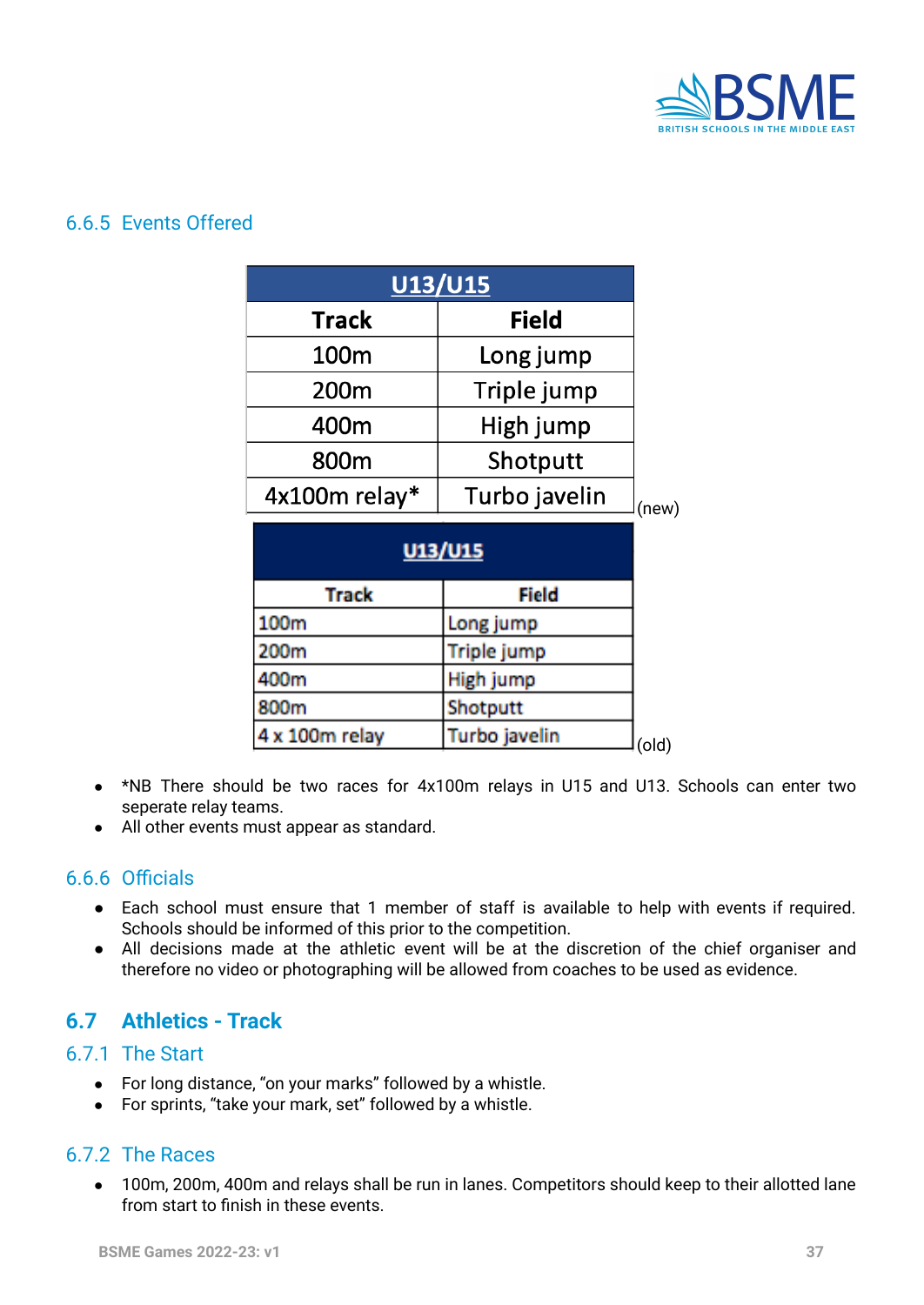

#### <span id="page-36-0"></span>6.6.5 Events Offered

| <b>U13/U15</b>   |               |  |  |  |  |  |  |
|------------------|---------------|--|--|--|--|--|--|
| <b>Track</b>     | <b>Field</b>  |  |  |  |  |  |  |
| 100m             | Long jump     |  |  |  |  |  |  |
| 200 <sub>m</sub> | Triple jump   |  |  |  |  |  |  |
| 400m             | High jump     |  |  |  |  |  |  |
| 800m             | Shotputt      |  |  |  |  |  |  |
| 4x100m relay*    | Turbo javelin |  |  |  |  |  |  |

| U13/U15        |               |      |  |  |  |  |
|----------------|---------------|------|--|--|--|--|
| <b>Track</b>   | Field         |      |  |  |  |  |
| 100m           | Long jump     |      |  |  |  |  |
| 200m           | Triple jump   |      |  |  |  |  |
| 400m           | High jump     |      |  |  |  |  |
| 800m           | Shotputt      |      |  |  |  |  |
| 4 x 100m relay | Turbo javelin | (old |  |  |  |  |

- **●** \*NB There should be two races for 4x100m relays in U15 and U13. Schools can enter two seperate relay teams.
- **●** All other events must appear as standard.

#### <span id="page-36-1"></span>6.6.6 Officials

- Each school must ensure that 1 member of staff is available to help with events if required. Schools should be informed of this prior to the competition.
- All decisions made at the athletic event will be at the discretion of the chief organiser and therefore no video or photographing will be allowed from coaches to be used as evidence.

# <span id="page-36-2"></span>**6.7 Athletics - Track**

#### <span id="page-36-3"></span>6.7.1 The Start

- For long distance, "on your marks" followed by a whistle.
- For sprints, "take your mark, set" followed by a whistle.

### <span id="page-36-4"></span>6.7.2 The Races

● 100m, 200m, 400m and relays shall be run in lanes. Competitors should keep to their allotted lane from start to finish in these events.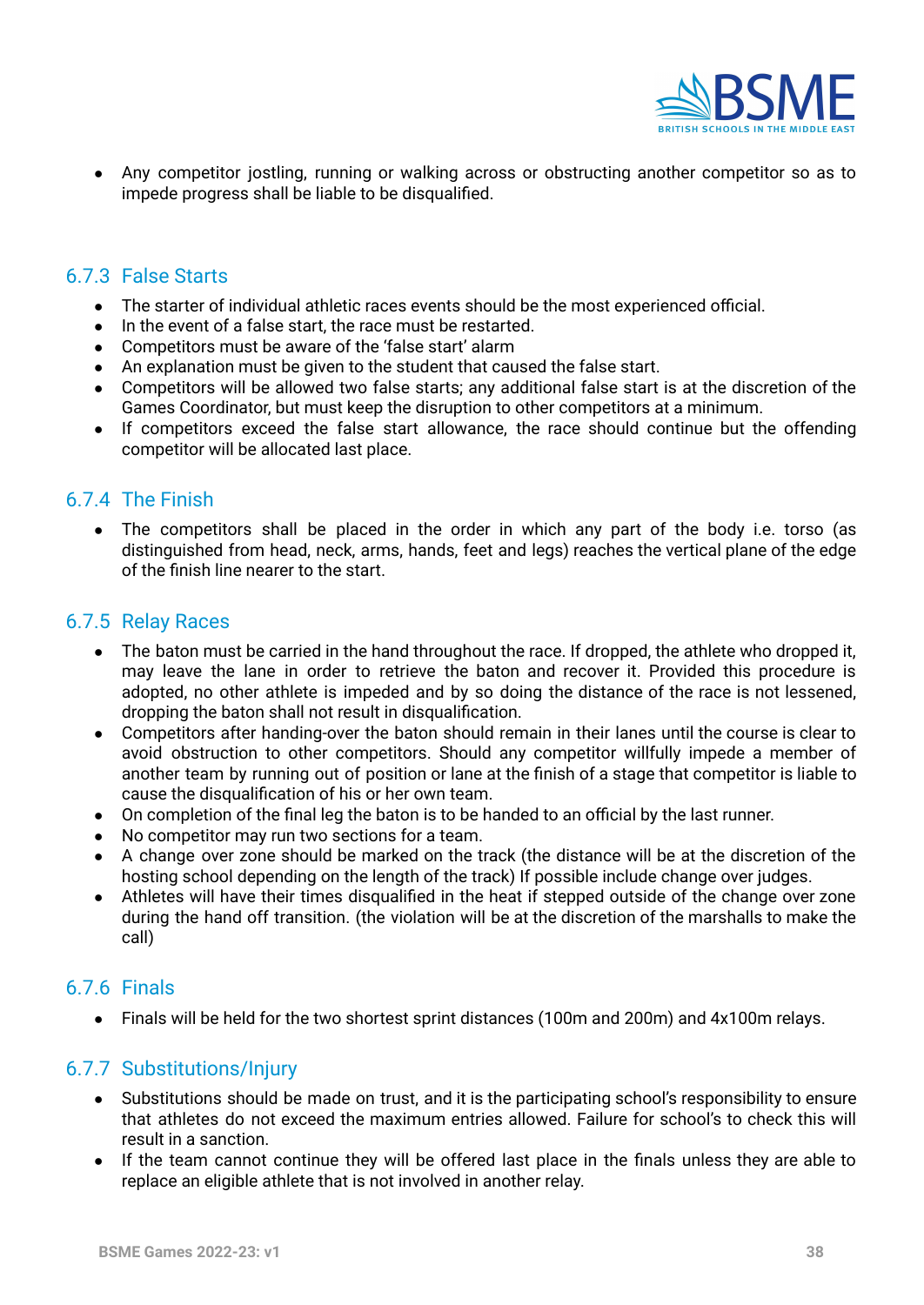

● Any competitor jostling, running or walking across or obstructing another competitor so as to impede progress shall be liable to be disqualified.

#### <span id="page-37-0"></span>6.7.3 False Starts

- The starter of individual athletic races events should be the most experienced official.
- In the event of a false start, the race must be restarted.
- Competitors must be aware of the 'false start' alarm
- An explanation must be given to the student that caused the false start.
- Competitors will be allowed two false starts; any additional false start is at the discretion of the Games Coordinator, but must keep the disruption to other competitors at a minimum.
- If competitors exceed the false start allowance, the race should continue but the offending competitor will be allocated last place.

#### <span id="page-37-1"></span>6.7.4 The Finish

• The competitors shall be placed in the order in which any part of the body i.e. torso (as distinguished from head, neck, arms, hands, feet and legs) reaches the vertical plane of the edge of the finish line nearer to the start.

#### <span id="page-37-2"></span>6.7.5 Relay Races

- The baton must be carried in the hand throughout the race. If dropped, the athlete who dropped it, may leave the lane in order to retrieve the baton and recover it. Provided this procedure is adopted, no other athlete is impeded and by so doing the distance of the race is not lessened, dropping the baton shall not result in disqualification.
- Competitors after handing-over the baton should remain in their lanes until the course is clear to avoid obstruction to other competitors. Should any competitor willfully impede a member of another team by running out of position or lane at the finish of a stage that competitor is liable to cause the disqualification of his or her own team.
- On completion of the final leg the baton is to be handed to an official by the last runner.
- No competitor may run two sections for a team.
- A change over zone should be marked on the track (the distance will be at the discretion of the hosting school depending on the length of the track) If possible include change over judges.
- Athletes will have their times disqualified in the heat if stepped outside of the change over zone during the hand off transition. (the violation will be at the discretion of the marshalls to make the call)

### <span id="page-37-3"></span>6.7.6 Finals

● Finals will be held for the two shortest sprint distances (100m and 200m) and 4x100m relays.

#### <span id="page-37-4"></span>6.7.7 Substitutions/Injury

- **●** Substitutions should be made on trust, and it is the participating school's responsibility to ensure that athletes do not exceed the maximum entries allowed. Failure for school's to check this will result in a sanction.
- If the team cannot continue they will be offered last place in the finals unless they are able to replace an eligible athlete that is not involved in another relay.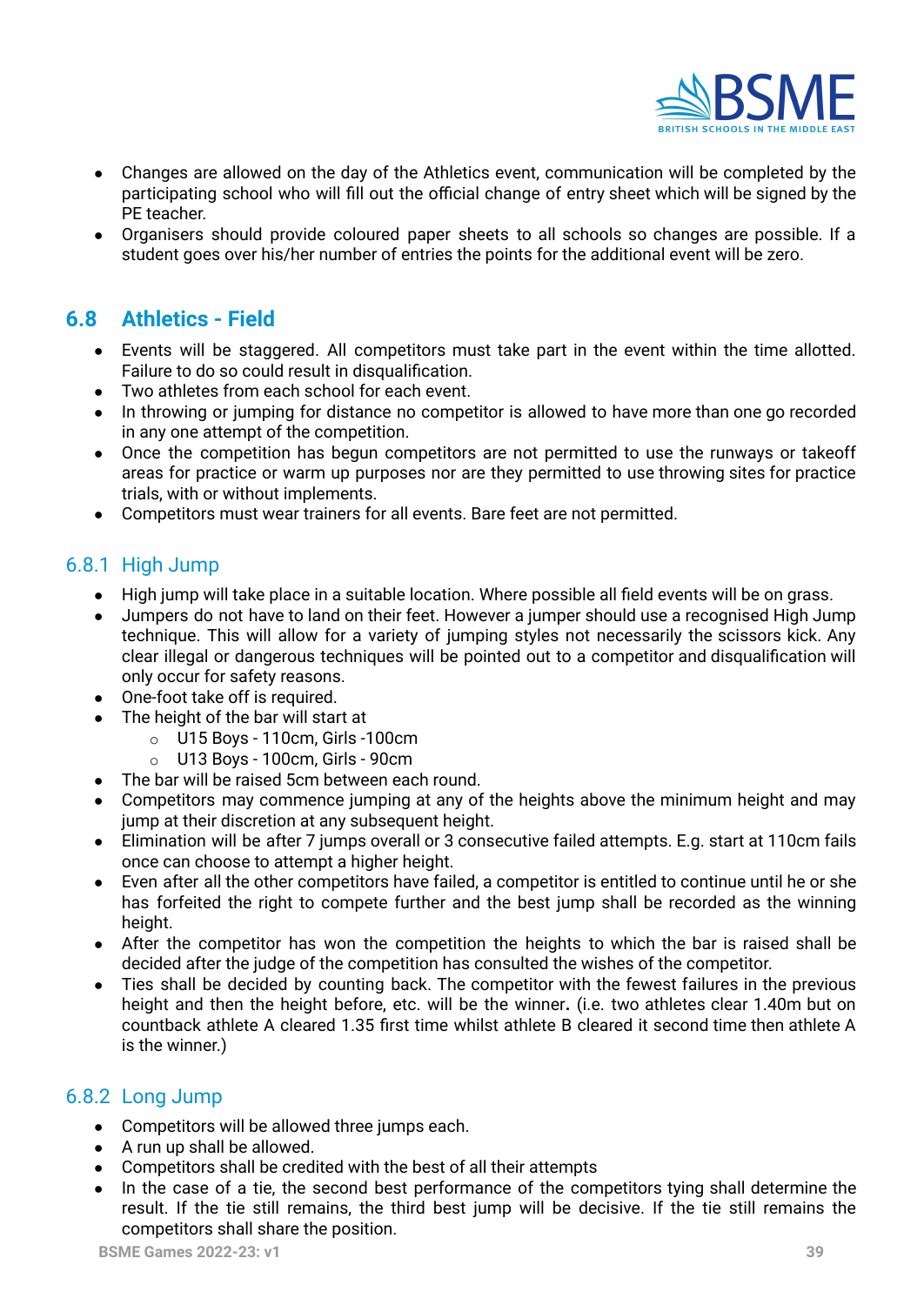

- Changes are allowed on the day of the Athletics event, communication will be completed by the participating school who will fill out the official change of entry sheet which will be signed by the PE teacher.
- Organisers should provide coloured paper sheets to all schools so changes are possible. If a student goes over his/her number of entries the points for the additional event will be zero.

# **6.8 Athletics - Field**

- Events will be staggered. All competitors must take part in the event within the time allotted. Failure to do so could result in disqualification.
- Two athletes from each school for each event.
- In throwing or jumping for distance no competitor is allowed to have more than one go recorded in any one attempt of the competition.
- Once the competition has begun competitors are not permitted to use the runways or takeoff areas for practice or warm up purposes nor are they permitted to use throwing sites for practice trials, with or without implements.
- Competitors must wear trainers for all events. Bare feet are not permitted.

#### <span id="page-38-0"></span>6.8.1 High Jump

- High jump will take place in a suitable location. Where possible all field events will be on grass.
- Jumpers do not have to land on their feet. However a jumper should use a recognised High Jump technique. This will allow for a variety of jumping styles not necessarily the scissors kick. Any clear illegal or dangerous techniques will be pointed out to a competitor and disqualification will only occur for safety reasons.
- One-foot take off is required.
- The height of the bar will start at
	- $\circ$  U15 Boys 110cm, Girls -100cm
	- o U13 Boys 100cm, Girls 90cm
- The bar will be raised 5cm between each round.
- Competitors may commence jumping at any of the heights above the minimum height and may jump at their discretion at any subsequent height.
- Elimination will be after 7 jumps overall or 3 consecutive failed attempts. E.g. start at 110cm fails once can choose to attempt a higher height.
- Even after all the other competitors have failed, a competitor is entitled to continue until he or she has forfeited the right to compete further and the best jump shall be recorded as the winning height.
- After the competitor has won the competition the heights to which the bar is raised shall be decided after the judge of the competition has consulted the wishes of the competitor.
- Ties shall be decided by counting back. The competitor with the fewest failures in the previous height and then the height before, etc. will be the winner**.** (i.e. two athletes clear 1.40m but on countback athlete A cleared 1.35 first time whilst athlete B cleared it second time then athlete A is the winner.)

#### <span id="page-38-1"></span>6.8.2 Long Jump

- Competitors will be allowed three jumps each.
- A run up shall be allowed.
- Competitors shall be credited with the best of all their attempts
- In the case of a tie, the second best performance of the competitors tying shall determine the result. If the tie still remains, the third best jump will be decisive. If the tie still remains the competitors shall share the position.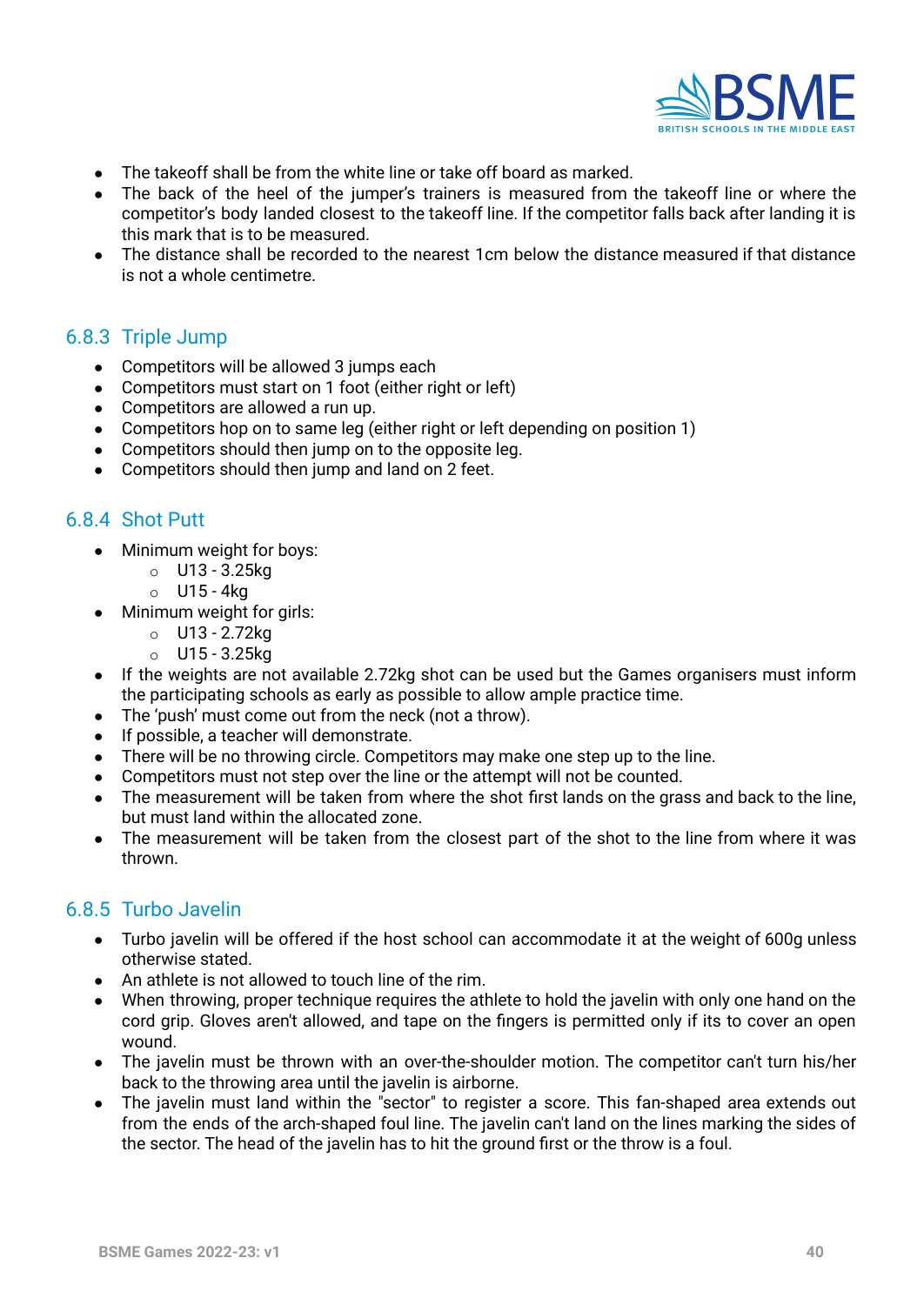

- The takeoff shall be from the white line or take off board as marked.
- The back of the heel of the jumper's trainers is measured from the takeoff line or where the competitor's body landed closest to the takeoff line. If the competitor falls back after landing it is this mark that is to be measured.
- The distance shall be recorded to the nearest 1cm below the distance measured if that distance is not a whole centimetre.

#### <span id="page-39-0"></span>6.8.3 Triple Jump

- Competitors will be allowed 3 jumps each
- Competitors must start on 1 foot (either right or left)
- Competitors are allowed a run up.
- Competitors hop on to same leg (either right or left depending on position 1)
- Competitors should then jump on to the opposite leg.
- Competitors should then jump and land on 2 feet.

#### <span id="page-39-1"></span>6.8.4 Shot Putt

- Minimum weight for boys:
	- o U13 3.25kg
	- o U15 4kg
- Minimum weight for girls:
	- o U13 2.72kg
	- o U15 3.25kg
- If the weights are not available 2.72kg shot can be used but the Games organisers must inform the participating schools as early as possible to allow ample practice time.
- The 'push' must come out from the neck (not a throw).
- If possible, a teacher will demonstrate.
- There will be no throwing circle. Competitors may make one step up to the line.
- Competitors must not step over the line or the attempt will not be counted.
- The measurement will be taken from where the shot first lands on the grass and back to the line, but must land within the allocated zone.
- The measurement will be taken from the closest part of the shot to the line from where it was thrown.

#### <span id="page-39-2"></span>6.8.5 Turbo Javelin

- **●** Turbo javelin will be offered if the host school can accommodate it at the weight of 600g unless otherwise stated.
- An athlete is not allowed to touch line of the rim.
- When throwing, proper technique requires the athlete to hold the javelin with only one hand on the cord grip. Gloves aren't allowed, and tape on the fingers is permitted only if its to cover an open wound.
- The javelin must be thrown with an over-the-shoulder motion. The competitor can't turn his/her back to the throwing area until the javelin is airborne.
- The javelin must land within the "sector" to register a score. This fan-shaped area extends out from the ends of the arch-shaped foul line. The javelin can't land on the lines marking the sides of the sector. The head of the javelin has to hit the ground first or the throw is a foul.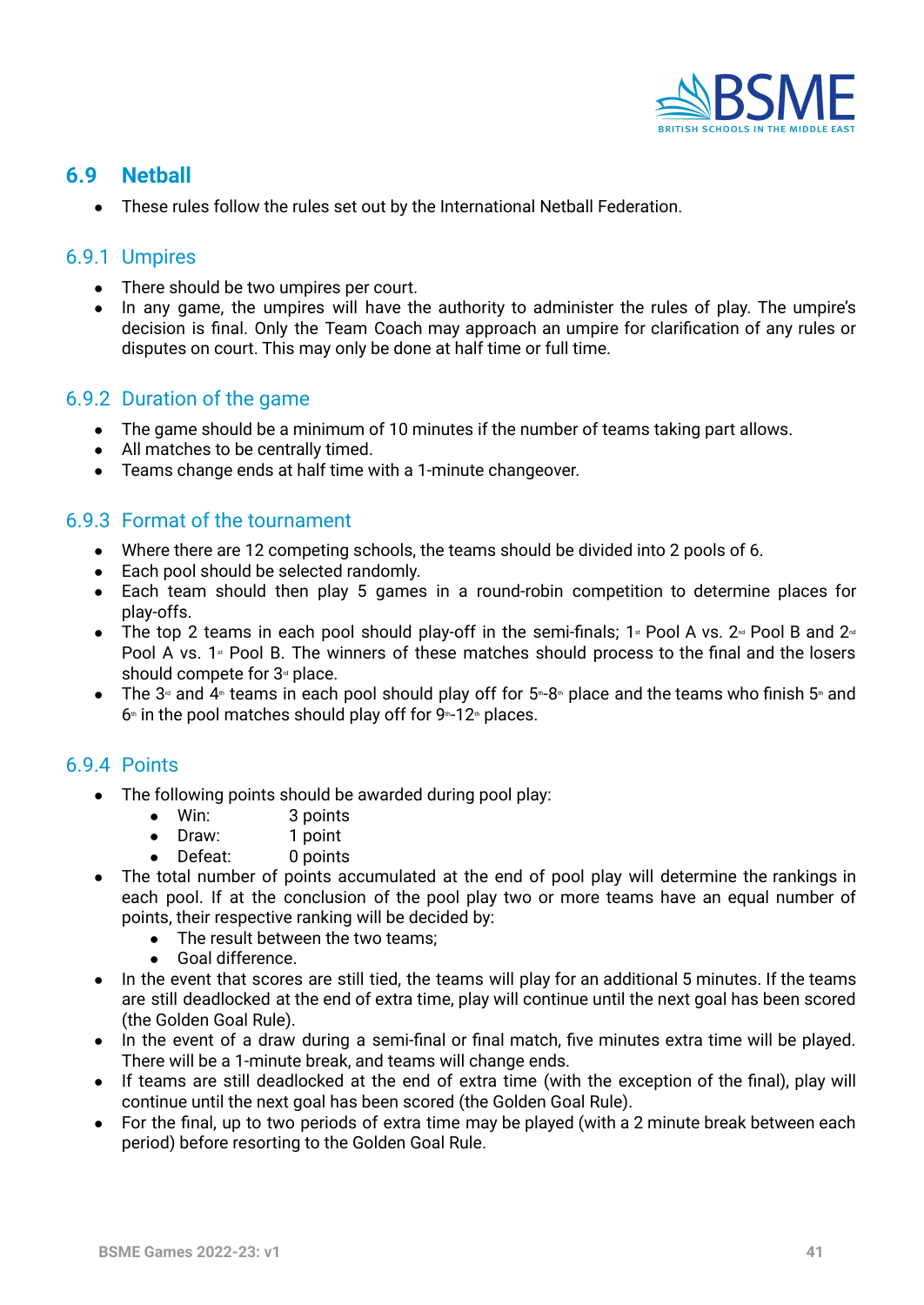

# <span id="page-40-0"></span>**6.9 Netball**

● These rules follow the rules set out by the International Netball Federation.

#### <span id="page-40-1"></span>6.9.1 Umpires

- There should be two umpires per court.
- In any game, the umpires will have the authority to administer the rules of play. The umpire's decision is final. Only the Team Coach may approach an umpire for clarification of any rules or disputes on court. This may only be done at half time or full time.

#### <span id="page-40-2"></span>6.9.2 Duration of the game

- **●** The game should be a minimum of 10 minutes if the number of teams taking part allows.
- **●** All matches to be centrally timed.
- **●** Teams change ends at half time with a 1-minute changeover.

#### <span id="page-40-3"></span>6.9.3 Format of the tournament

- **●** Where there are 12 competing schools, the teams should be divided into 2 pools of 6.
- **●** Each pool should be selected randomly.
- **●** Each team should then play 5 games in a round-robin competition to determine places for play-offs.
- The top 2 teams in each pool should play-off in the semi-finals; 1<sup>st</sup> Pool A vs. 2<sup>nd</sup> Pool B and 2<sup>nd</sup> Pool A vs. 1<sup>st</sup> Pool B. The winners of these matches should process to the final and the losers should compete for  $3<sup>d</sup>$  place.
- **•** The 3<sup> $d$ </sup> and 4<sup> $#$ </sup> teams in each pool should play off for 5<sup> $#$ </sup>-8<sup> $#$ </sup> place and the teams who finish 5 $#$  and  $6*$  in the pool matches should play off for  $9*12*$  places.

### <span id="page-40-4"></span>6.9.4 Points

- The following points should be awarded during pool play:
	- Win: 3 points
	- Draw: 1 point
	- Defeat: 0 points
- The total number of points accumulated at the end of pool play will determine the rankings in each pool. If at the conclusion of the pool play two or more teams have an equal number of points, their respective ranking will be decided by:
	- The result between the two teams;
	- Goal difference.
- In the event that scores are still tied, the teams will play for an additional 5 minutes. If the teams are still deadlocked at the end of extra time, play will continue until the next goal has been scored (the Golden Goal Rule).
- In the event of a draw during a semi-final or final match, five minutes extra time will be played. There will be a 1-minute break, and teams will change ends.
- If teams are still deadlocked at the end of extra time (with the exception of the final), play will continue until the next goal has been scored (the Golden Goal Rule).
- <span id="page-40-5"></span>● For the final, up to two periods of extra time may be played (with a 2 minute break between each period) before resorting to the Golden Goal Rule.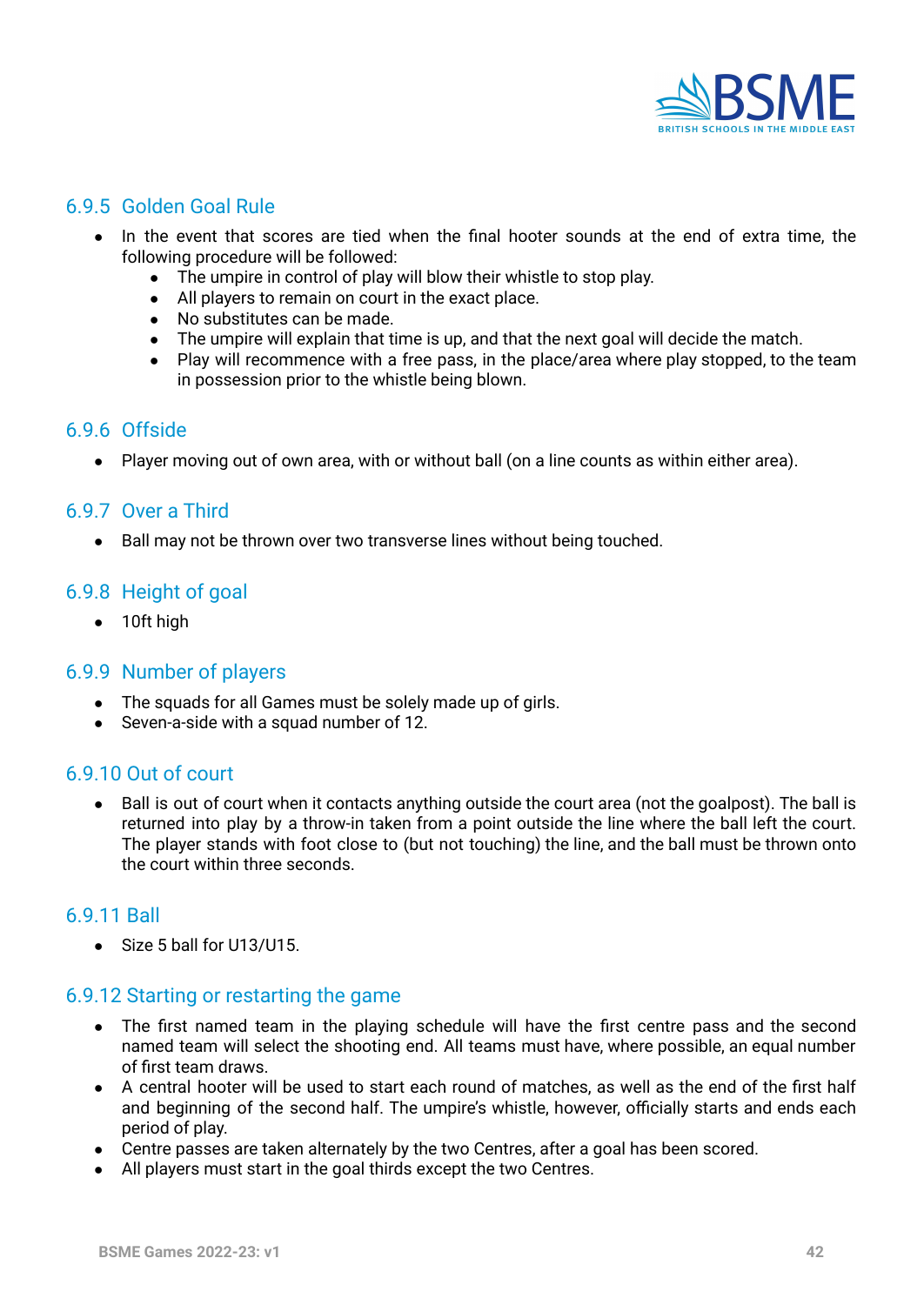

#### <span id="page-41-0"></span>6.9.5 Golden Goal Rule

- **●** In the event that scores are tied when the final hooter sounds at the end of extra time, the following procedure will be followed:
	- **●** The umpire in control of play will blow their whistle to stop play.
	- **●** All players to remain on court in the exact place.
	- **●** No substitutes can be made.
	- **●** The umpire will explain that time is up, and that the next goal will decide the match.
	- **●** Play will recommence with a free pass, in the place/area where play stopped, to the team in possession prior to the whistle being blown.

#### <span id="page-41-1"></span>6.9.6 Offside

• Player moving out of own area, with or without ball (on a line counts as within either area).

#### <span id="page-41-2"></span>6.9.7 Over a Third

● Ball may not be thrown over two transverse lines without being touched.

#### <span id="page-41-3"></span>6.9.8 Height of goal

• 10ft high

#### <span id="page-41-4"></span>6.9.9 Number of players

- The squads for all Games must be solely made up of girls.
- Seven-a-side with a squad number of 12.

#### <span id="page-41-5"></span>6.9.10 Out of court

• Ball is out of court when it contacts anything outside the court area (not the goalpost). The ball is returned into play by a throw-in taken from a point outside the line where the ball left the court. The player stands with foot close to (but not touching) the line, and the ball must be thrown onto the court within three seconds.

#### <span id="page-41-6"></span>6.9.11 Ball

● Size 5 ball for U13/U15.

#### <span id="page-41-7"></span>6.9.12 Starting or restarting the game

- The first named team in the playing schedule will have the first centre pass and the second named team will select the shooting end. All teams must have, where possible, an equal number of first team draws.
- A central hooter will be used to start each round of matches, as well as the end of the first half and beginning of the second half. The umpire's whistle, however, officially starts and ends each period of play.
- Centre passes are taken alternately by the two Centres, after a goal has been scored.
- All players must start in the goal thirds except the two Centres.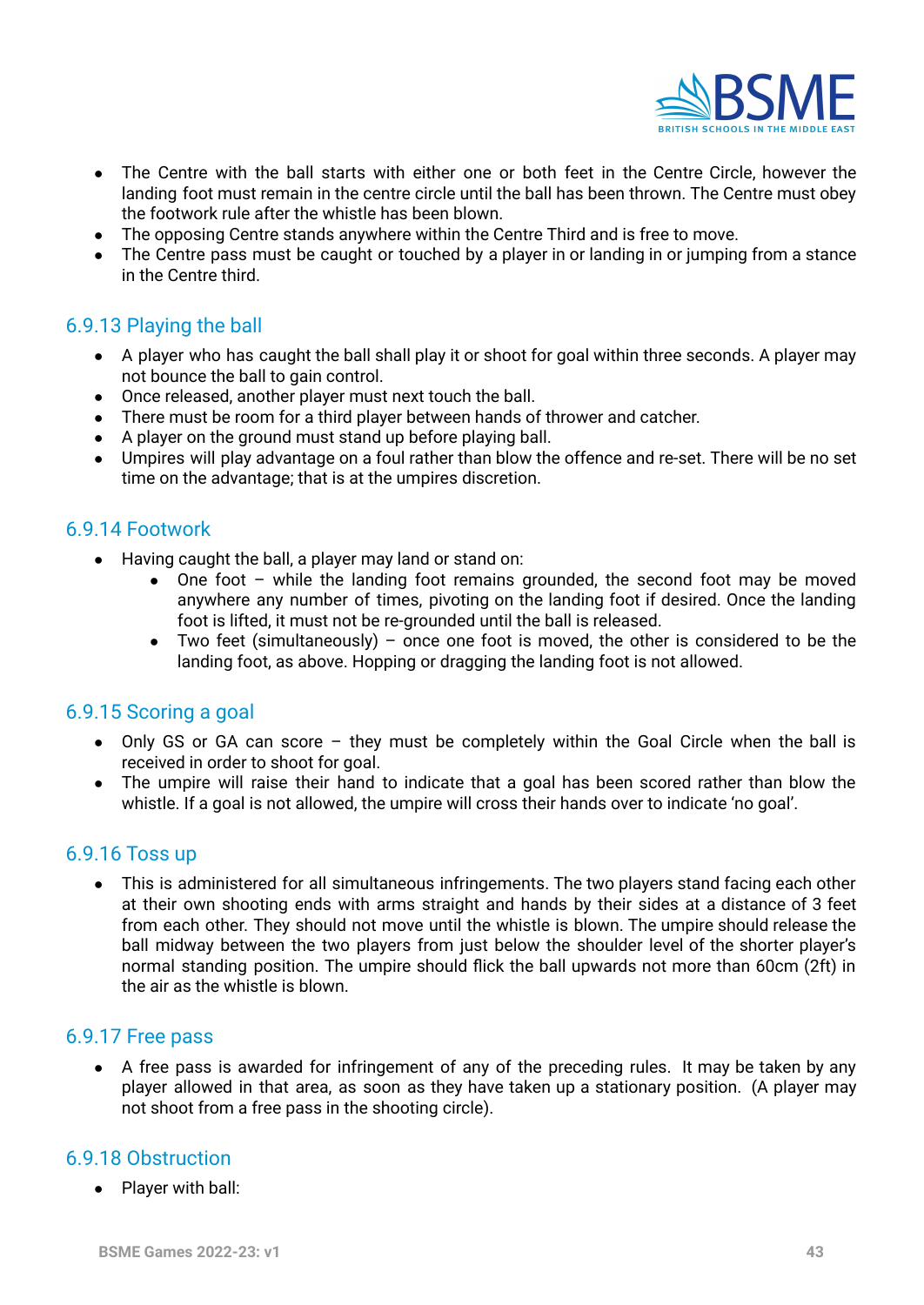

- The Centre with the ball starts with either one or both feet in the Centre Circle, however the landing foot must remain in the centre circle until the ball has been thrown. The Centre must obey the footwork rule after the whistle has been blown.
- The opposing Centre stands anywhere within the Centre Third and is free to move.
- The Centre pass must be caught or touched by a player in or landing in or jumping from a stance in the Centre third.

#### <span id="page-42-0"></span>6.9.13 Playing the ball

- A player who has caught the ball shall play it or shoot for goal within three seconds. A player may not bounce the ball to gain control.
- Once released, another player must next touch the ball.
- There must be room for a third player between hands of thrower and catcher.
- A player on the ground must stand up before playing ball.
- Umpires will play advantage on a foul rather than blow the offence and re-set. There will be no set time on the advantage; that is at the umpires discretion.

#### <span id="page-42-1"></span>6.9.14 Footwork

- Having caught the ball, a player may land or stand on:
	- One foot while the landing foot remains grounded, the second foot may be moved anywhere any number of times, pivoting on the landing foot if desired. Once the landing foot is lifted, it must not be re-grounded until the ball is released.
	- Two feet (simultaneously) once one foot is moved, the other is considered to be the landing foot, as above. Hopping or dragging the landing foot is not allowed.

#### <span id="page-42-2"></span>6.9.15 Scoring a goal

- Only GS or GA can score they must be completely within the Goal Circle when the ball is received in order to shoot for goal.
- The umpire will raise their hand to indicate that a goal has been scored rather than blow the whistle. If a goal is not allowed, the umpire will cross their hands over to indicate 'no goal'.

#### <span id="page-42-3"></span>6.9.16 Toss up

This is administered for all simultaneous infringements. The two players stand facing each other at their own shooting ends with arms straight and hands by their sides at a distance of 3 feet from each other. They should not move until the whistle is blown. The umpire should release the ball midway between the two players from just below the shoulder level of the shorter player's normal standing position. The umpire should flick the ball upwards not more than 60cm (2ft) in the air as the whistle is blown.

#### <span id="page-42-4"></span>6.9.17 Free pass

• A free pass is awarded for infringement of any of the preceding rules. It may be taken by any player allowed in that area, as soon as they have taken up a stationary position. (A player may not shoot from a free pass in the shooting circle).

#### <span id="page-42-5"></span>6.9.18 Obstruction

● Player with ball: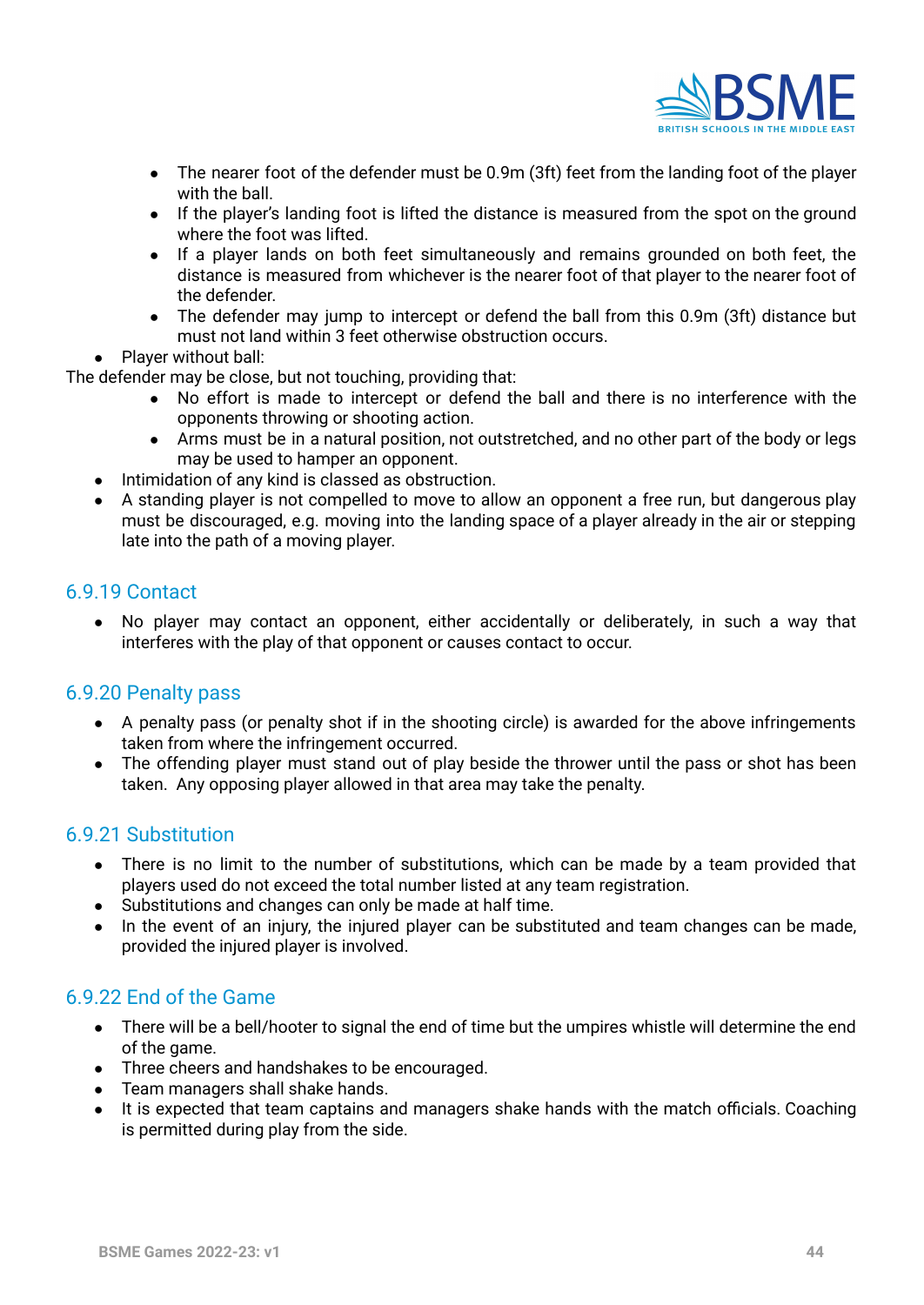

- The nearer foot of the defender must be 0.9m (3ft) feet from the landing foot of the player with the ball.
- If the player's landing foot is lifted the distance is measured from the spot on the ground where the foot was lifted.
- If a player lands on both feet simultaneously and remains grounded on both feet, the distance is measured from whichever is the nearer foot of that player to the nearer foot of the defender.
- The defender may jump to intercept or defend the ball from this 0.9m (3ft) distance but must not land within 3 feet otherwise obstruction occurs.
- Player without ball:

The defender may be close, but not touching, providing that:

- No effort is made to intercept or defend the ball and there is no interference with the opponents throwing or shooting action.
- Arms must be in a natural position, not outstretched, and no other part of the body or legs may be used to hamper an opponent.
- Intimidation of any kind is classed as obstruction.
- A standing player is not compelled to move to allow an opponent a free run, but dangerous play must be discouraged, e.g. moving into the landing space of a player already in the air or stepping late into the path of a moving player.

#### <span id="page-43-0"></span>6.9.19 Contact

**●** No player may contact an opponent, either accidentally or deliberately, in such a way that interferes with the play of that opponent or causes contact to occur.

#### <span id="page-43-1"></span>6.9.20 Penalty pass

- A penalty pass (or penalty shot if in the shooting circle) is awarded for the above infringements taken from where the infringement occurred.
- The offending player must stand out of play beside the thrower until the pass or shot has been taken. Any opposing player allowed in that area may take the penalty.

#### <span id="page-43-2"></span>6.9.21 Substitution

- There is no limit to the number of substitutions, which can be made by a team provided that players used do not exceed the total number listed at any team registration.
- Substitutions and changes can only be made at half time.
- In the event of an injury, the injured player can be substituted and team changes can be made, provided the injured player is involved.

#### <span id="page-43-3"></span>6.9.22 End of the Game

- There will be a bell/hooter to signal the end of time but the umpires whistle will determine the end of the game.
- Three cheers and handshakes to be encouraged.
- Team managers shall shake hands.
- It is expected that team captains and managers shake hands with the match officials. Coaching is permitted during play from the side.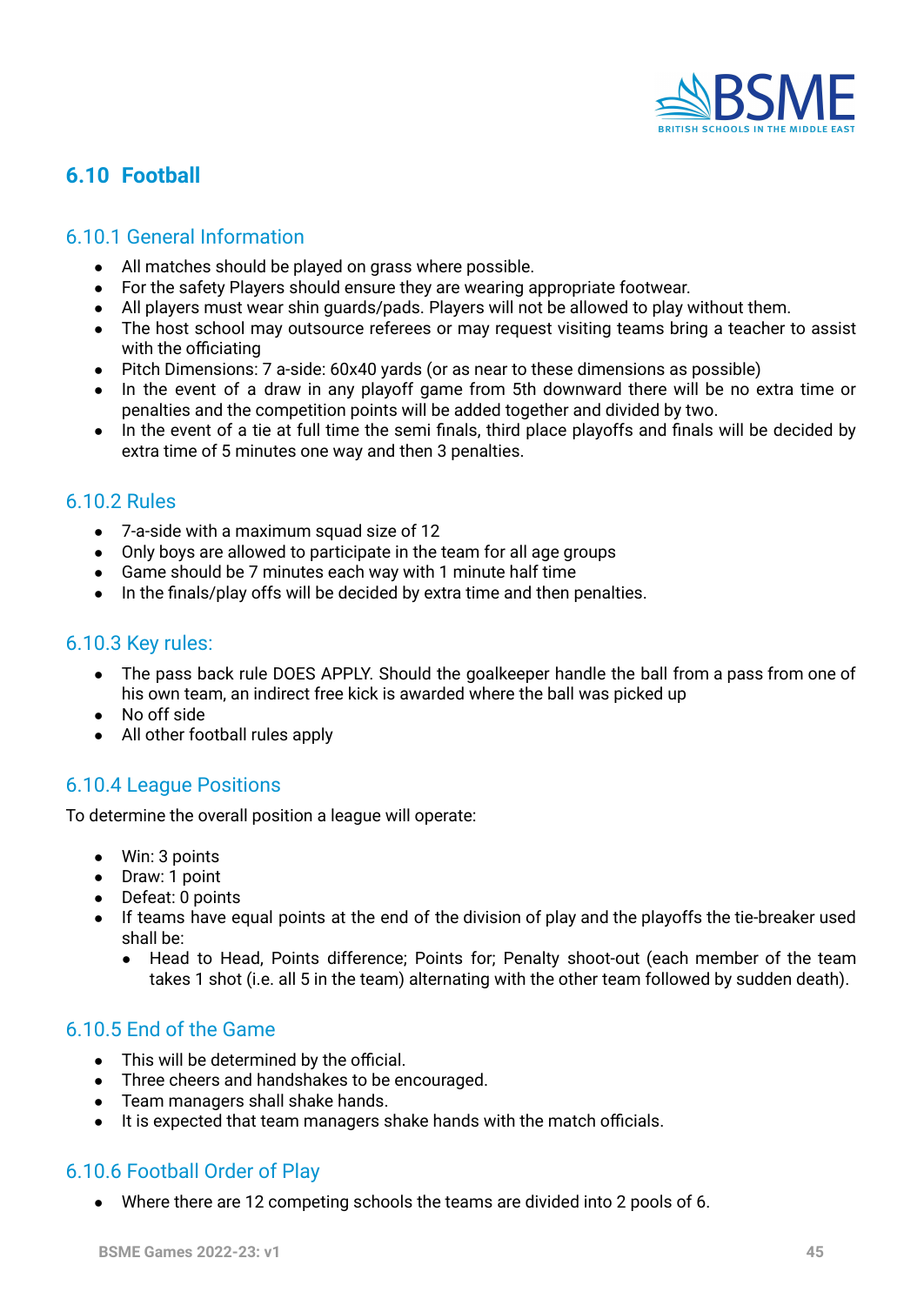

# <span id="page-44-0"></span>**6.10 Football**

#### <span id="page-44-1"></span>6.10.1 General Information

- All matches should be played on grass where possible.
- For the safety Players should ensure they are wearing appropriate footwear.
- All players must wear shin guards/pads. Players will not be allowed to play without them.
- The host school may outsource referees or may request visiting teams bring a teacher to assist with the officiating
- Pitch Dimensions: 7 a-side: 60x40 yards (or as near to these dimensions as possible)
- In the event of a draw in any playoff game from 5th downward there will be no extra time or penalties and the competition points will be added together and divided by two.
- In the event of a tie at full time the semi finals, third place playoffs and finals will be decided by extra time of 5 minutes one way and then 3 penalties.

#### <span id="page-44-2"></span>6.10.2 Rules

- 7-a-side with a maximum squad size of 12
- Only boys are allowed to participate in the team for all age groups
- Game should be 7 minutes each way with 1 minute half time
- In the finals/play offs will be decided by extra time and then penalties.

#### <span id="page-44-3"></span>6.10.3 Key rules:

- The pass back rule DOES APPLY. Should the goalkeeper handle the ball from a pass from one of his own team, an indirect free kick is awarded where the ball was picked up
- No off side
- All other football rules apply

### <span id="page-44-4"></span>6.10.4 League Positions

To determine the overall position a league will operate:

- Win: 3 points
- Draw: 1 point
- Defeat: 0 points
- If teams have equal points at the end of the division of play and the playoffs the tie-breaker used shall be:
	- Head to Head, Points difference; Points for; Penalty shoot-out (each member of the team takes 1 shot (i.e. all 5 in the team) alternating with the other team followed by sudden death).

#### <span id="page-44-5"></span>6.10.5 End of the Game

- **●** This will be determined by the official.
- **●** Three cheers and handshakes to be encouraged.
- **●** Team managers shall shake hands.
- **●** It is expected that team managers shake hands with the match officials.

### <span id="page-44-6"></span>6.10.6 Football Order of Play

● Where there are 12 competing schools the teams are divided into 2 pools of 6.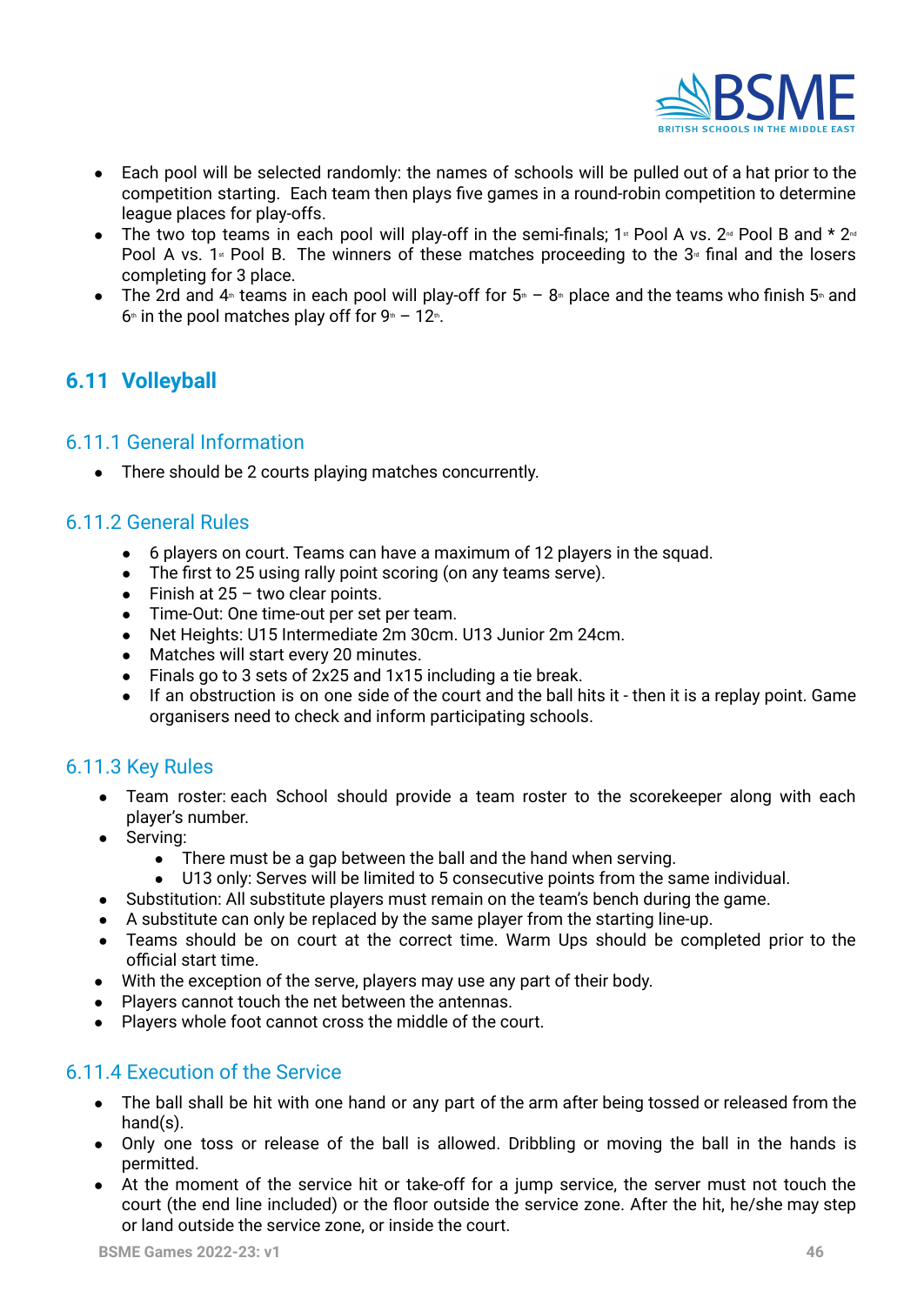

- Each pool will be selected randomly: the names of schools will be pulled out of a hat prior to the competition starting. Each team then plays five games in a round-robin competition to determine league places for play-offs.
- The two top teams in each pool will play-off in the semi-finals;  $1*$  Pool A vs.  $2*$  Pool B and  $*$   $2*$ Pool A vs. 1<sup> $\ast$ </sup> Pool B. The winners of these matches proceeding to the 3 $\ast$  final and the losers completing for 3 place.
- The 2rd and  $4$ <sup>th</sup> teams in each pool will play-off for  $5$ <sup>th</sup> 8<sup>th</sup> place and the teams who finish 5<sup>th</sup> and  $6<sup>th</sup>$  in the pool matches play off for  $9<sup>th</sup> - 12<sup>th</sup>$ .

# <span id="page-45-0"></span>**6.11 Volleyball**

#### <span id="page-45-1"></span>6.11.1 General Information

**●** There should be 2 courts playing matches concurrently.

#### <span id="page-45-2"></span>6.11.2 General Rules

- 6 players on court. Teams can have a maximum of 12 players in the squad.
- The first to 25 using rally point scoring (on any teams serve).
- $\bullet$  Finish at 25 two clear points.
- Time-Out: One time-out per set per team.
- Net Heights: U15 Intermediate 2m 30cm. U13 Junior 2m 24cm.
- Matches will start every 20 minutes.
- Finals go to 3 sets of 2x25 and 1x15 including a tie break.
- If an obstruction is on one side of the court and the ball hits it then it is a replay point. Game organisers need to check and inform participating schools.

### <span id="page-45-3"></span>6.11.3 Key Rules

- Team roster: each School should provide a team roster to the scorekeeper along with each player's number.
- Serving:
	- There must be a gap between the ball and the hand when serving.
	- U13 only: Serves will be limited to 5 consecutive points from the same individual.
- Substitution: All substitute players must remain on the team's bench during the game.
- A substitute can only be replaced by the same player from the starting line-up.
- Teams should be on court at the correct time. Warm Ups should be completed prior to the official start time.
- With the exception of the serve, players may use any part of their body.
- Players cannot touch the net between the antennas.
- Players whole foot cannot cross the middle of the court.

#### <span id="page-45-4"></span>6.11.4 Execution of the Service

- The ball shall be hit with one hand or any part of the arm after being tossed or released from the hand(s).
- Only one toss or release of the ball is allowed. Dribbling or moving the ball in the hands is permitted.
- At the moment of the service hit or take-off for a jump service, the server must not touch the court (the end line included) or the floor outside the service zone. After the hit, he/she may step or land outside the service zone, or inside the court.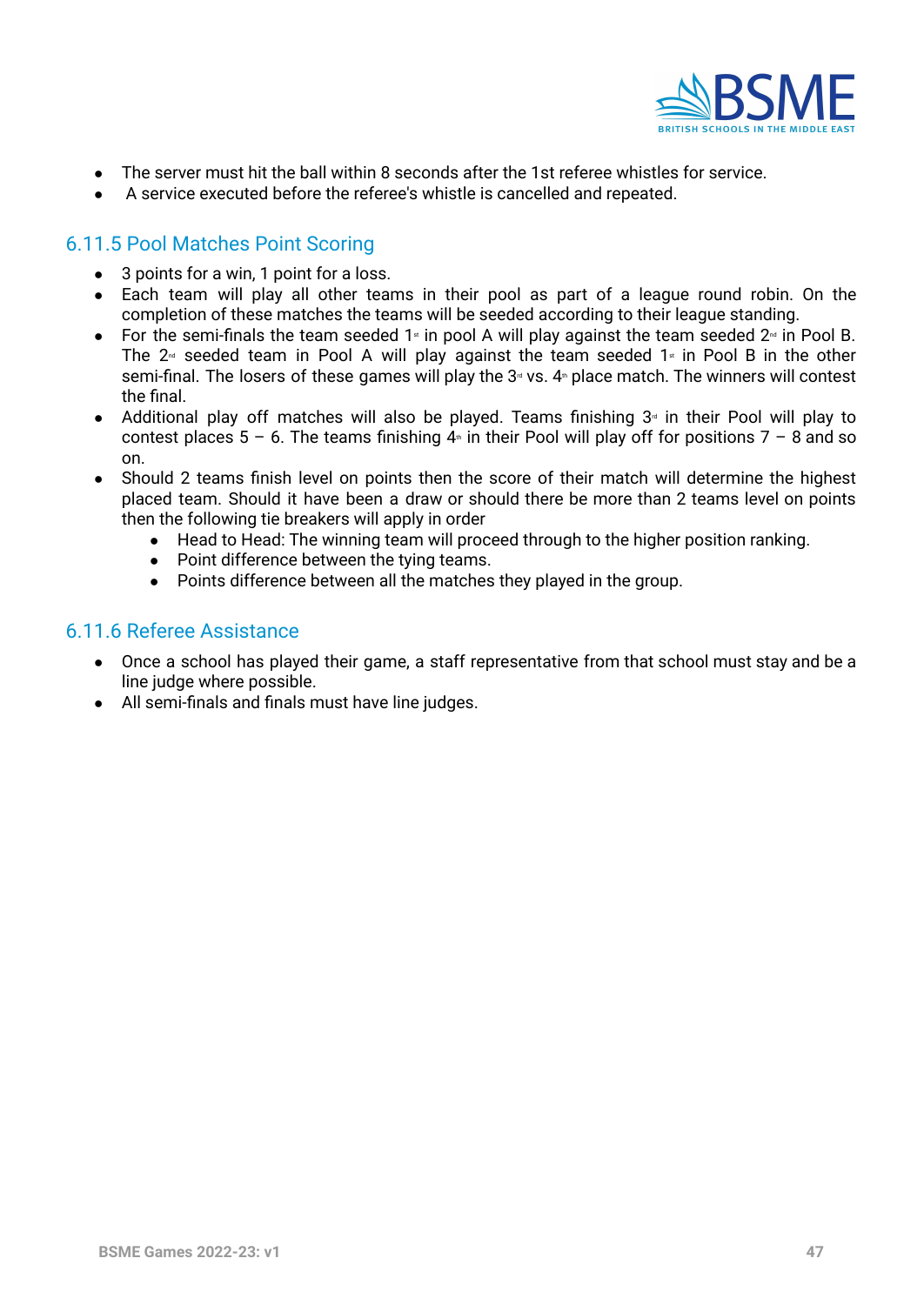

- The server must hit the ball within 8 seconds after the 1st referee whistles for service.
- A service executed before the referee's whistle is cancelled and repeated.

#### <span id="page-46-0"></span>6.11.5 Pool Matches Point Scoring

- 3 points for a win, 1 point for a loss.
- Each team will play all other teams in their pool as part of a league round robin. On the completion of these matches the teams will be seeded according to their league standing.
- For the semi-finals the team seeded  $1$ <sup>\*</sup> in pool A will play against the team seeded  $2$ <sup>\*</sup> in Pool B. The  $2<sup>nd</sup>$  seeded team in Pool A will play against the team seeded  $1<sup>nd</sup>$  in Pool B in the other semi-final. The losers of these games will play the  $3<sup>d</sup>$  vs.  $4<sup>d</sup>$  place match. The winners will contest the final.
- Additional play off matches will also be played. Teams finishing  $3<sup>a</sup>$  in their Pool will play to contest places  $5 - 6$ . The teams finishing  $4 \text{m}$  in their Pool will play off for positions  $7 - 8$  and so on.
- Should 2 teams finish level on points then the score of their match will determine the highest placed team. Should it have been a draw or should there be more than 2 teams level on points then the following tie breakers will apply in order
	- Head to Head: The winning team will proceed through to the higher position ranking.
	- Point difference between the tying teams.
	- Points difference between all the matches they played in the group.

#### <span id="page-46-1"></span>6.11.6 Referee Assistance

- Once a school has played their game, a staff representative from that school must stay and be a line judge where possible.
- All semi-finals and finals must have line judges.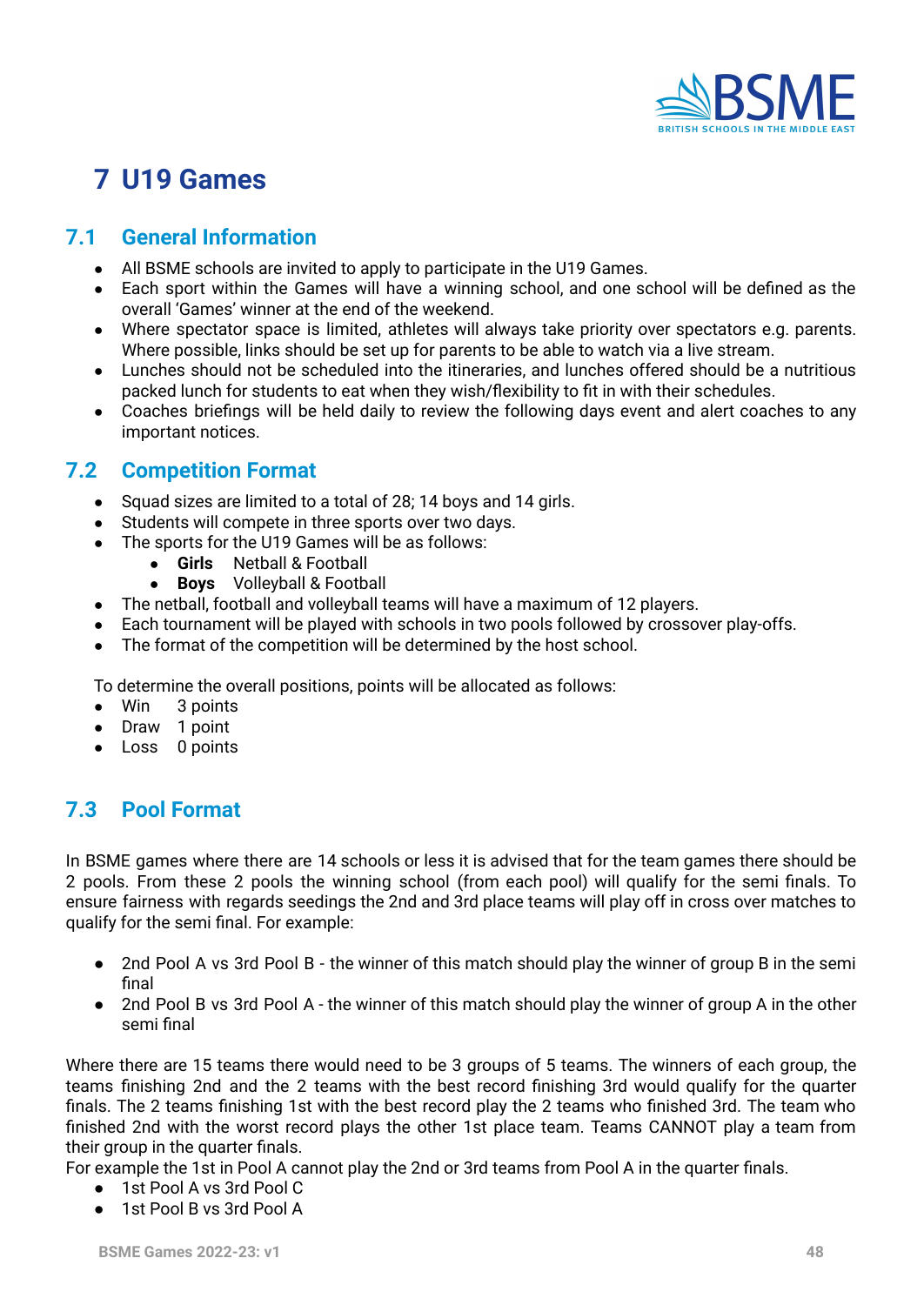

# **7 U19 Games**

# <span id="page-47-0"></span>**7.1 General Information**

- All BSME schools are invited to apply to participate in the U19 Games.
- Each sport within the Games will have a winning school, and one school will be defined as the overall 'Games' winner at the end of the weekend.
- Where spectator space is limited, athletes will always take priority over spectators e.g. parents. Where possible, links should be set up for parents to be able to watch via a live stream.
- Lunches should not be scheduled into the itineraries, and lunches offered should be a nutritious packed lunch for students to eat when they wish/flexibility to fit in with their schedules.
- Coaches briefings will be held daily to review the following days event and alert coaches to any important notices.

# <span id="page-47-1"></span>**7.2 Competition Format**

- Squad sizes are limited to a total of 28; 14 boys and 14 girls.
- Students will compete in three sports over two days.
- The sports for the U19 Games will be as follows:
	- **Girls** Netball & Football
	- **Boys** Volleyball & Football
- The netball, football and volleyball teams will have a maximum of 12 players.
- Each tournament will be played with schools in two pools followed by crossover play-offs.
- The format of the competition will be determined by the host school.

To determine the overall positions, points will be allocated as follows:

- Win 3 points
- Draw 1 point
- Loss 0 points

# <span id="page-47-2"></span>**7.3 Pool Format**

In BSME games where there are 14 schools or less it is advised that for the team games there should be 2 pools. From these 2 pools the winning school (from each pool) will qualify for the semi finals. To ensure fairness with regards seedings the 2nd and 3rd place teams will play off in cross over matches to qualify for the semi final. For example:

- 2nd Pool A vs 3rd Pool B the winner of this match should play the winner of group B in the semi final
- 2nd Pool B vs 3rd Pool A the winner of this match should play the winner of group A in the other semi final

Where there are 15 teams there would need to be 3 groups of 5 teams. The winners of each group, the teams finishing 2nd and the 2 teams with the best record finishing 3rd would qualify for the quarter finals. The 2 teams finishing 1st with the best record play the 2 teams who finished 3rd. The team who finished 2nd with the worst record plays the other 1st place team. Teams CANNOT play a team from their group in the quarter finals.

For example the 1st in Pool A cannot play the 2nd or 3rd teams from Pool A in the quarter finals.

- 1st Pool A vs 3rd Pool C
- 1st Pool B vs 3rd Pool A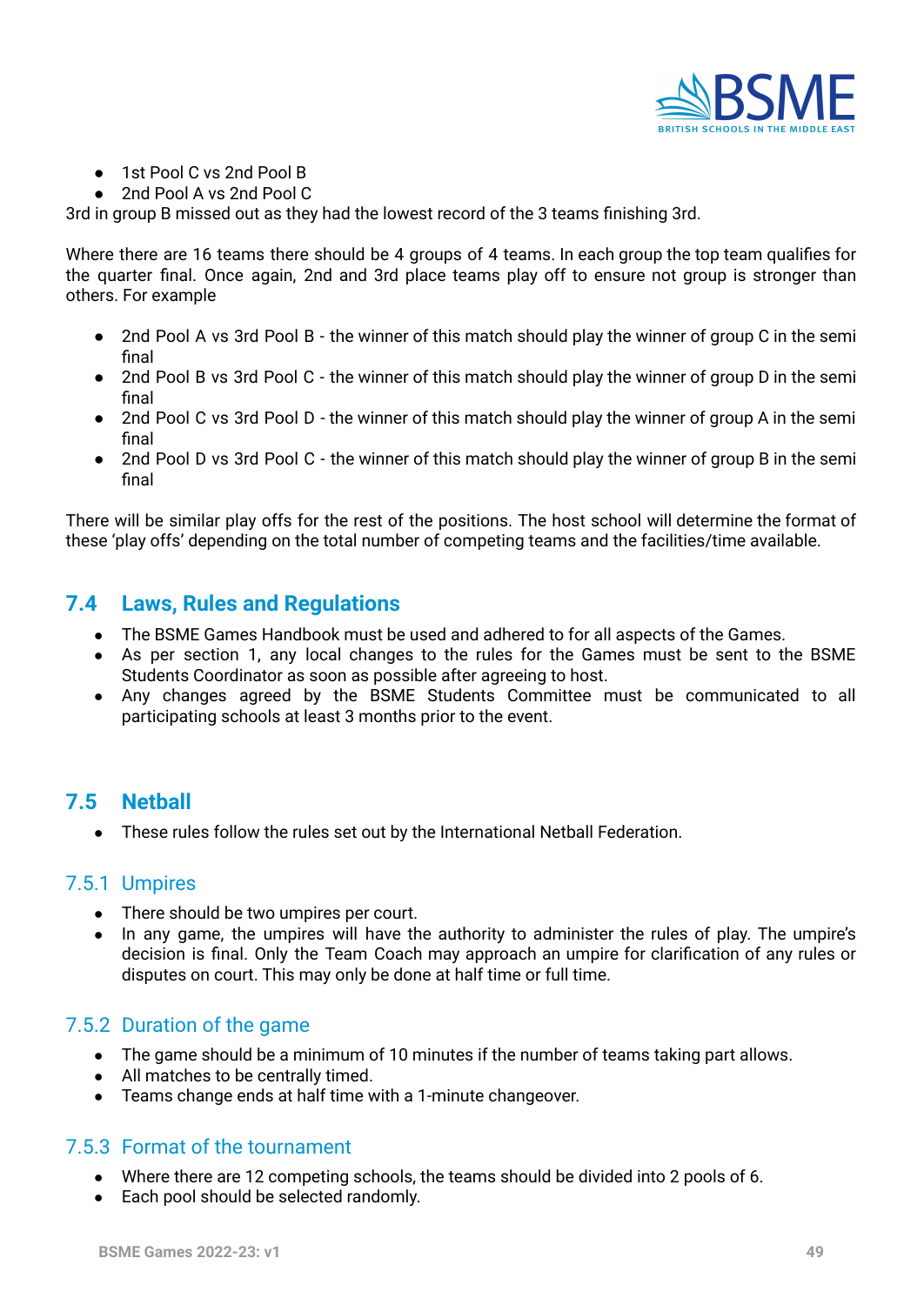

- 1st Pool C vs 2nd Pool B
- 2nd Pool A vs 2nd Pool C

3rd in group B missed out as they had the lowest record of the 3 teams finishing 3rd.

Where there are 16 teams there should be 4 groups of 4 teams. In each group the top team qualifies for the quarter final. Once again, 2nd and 3rd place teams play off to ensure not group is stronger than others. For example

- 2nd Pool A vs 3rd Pool B the winner of this match should play the winner of group C in the semi final
- 2nd Pool B vs 3rd Pool C the winner of this match should play the winner of group D in the semi final
- 2nd Pool C vs 3rd Pool D the winner of this match should play the winner of group A in the semi final
- 2nd Pool D vs 3rd Pool C the winner of this match should play the winner of group B in the semi final

There will be similar play offs for the rest of the positions. The host school will determine the format of these 'play offs' depending on the total number of competing teams and the facilities/time available.

# <span id="page-48-0"></span>**7.4 Laws, Rules and Regulations**

- The BSME Games Handbook must be used and adhered to for all aspects of the Games.
- As per section 1, any local changes to the rules for the Games must be sent to the BSME Students Coordinator as soon as possible after agreeing to host.
- Any changes agreed by the BSME Students Committee must be communicated to all participating schools at least 3 months prior to the event.

# <span id="page-48-1"></span>**7.5 Netball**

● These rules follow the rules set out by the International Netball Federation.

#### 7.5.1 Umpires

- There should be two umpires per court.
- In any game, the umpires will have the authority to administer the rules of play. The umpire's decision is final. Only the Team Coach may approach an umpire for clarification of any rules or disputes on court. This may only be done at half time or full time.

#### 7.5.2 Duration of the game

- **●** The game should be a minimum of 10 minutes if the number of teams taking part allows.
- **●** All matches to be centrally timed.
- **●** Teams change ends at half time with a 1-minute changeover.

#### 7.5.3 Format of the tournament

- **●** Where there are 12 competing schools, the teams should be divided into 2 pools of 6.
- **●** Each pool should be selected randomly.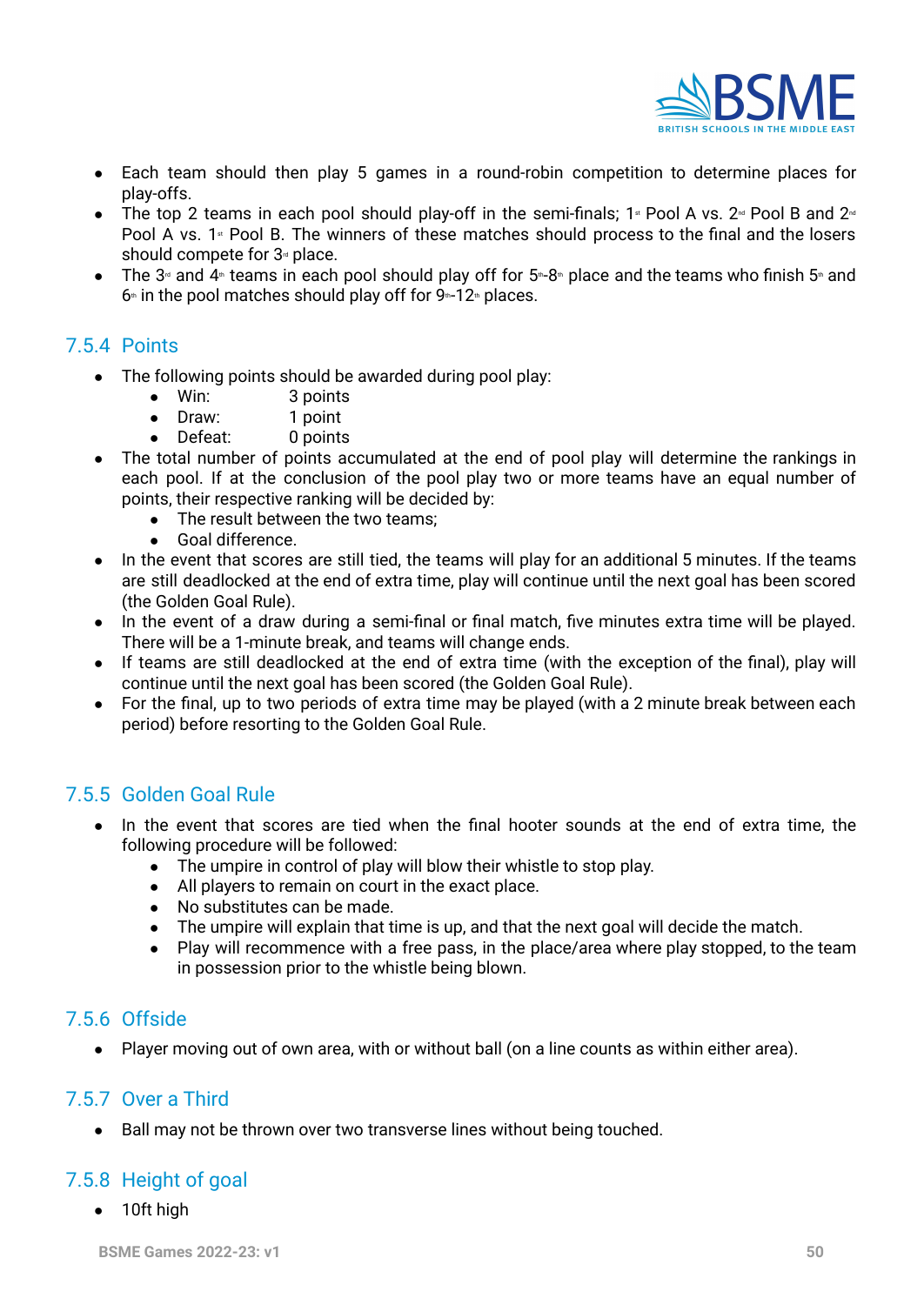

- **●** Each team should then play 5 games in a round-robin competition to determine places for play-offs.
- The top 2 teams in each pool should play-off in the semi-finals;  $1<sup>*</sup>$  Pool A vs.  $2<sup>−</sup>$  Pool B and  $2<sup>−</sup>$ Pool A vs.  $1$  Pool B. The winners of these matches should process to the final and the losers should compete for  $3<sup>d</sup>$  place.
- The 3<sup>rd</sup> and 4<sup>th</sup> teams in each pool should play off for 5<sup>th</sup>-8<sup>th</sup> place and the teams who finish 5<sup>th</sup> and  $6*$  in the pool matches should play off for  $9*12*$  places.

### 7.5.4 Points

- The following points should be awarded during pool play:
	- Win: 3 points
	- Draw: 1 point
	- Defeat: 0 points
- The total number of points accumulated at the end of pool play will determine the rankings in each pool. If at the conclusion of the pool play two or more teams have an equal number of points, their respective ranking will be decided by:
	- The result between the two teams:
	- Goal difference.
- In the event that scores are still tied, the teams will play for an additional 5 minutes. If the teams are still deadlocked at the end of extra time, play will continue until the next goal has been scored (the Golden Goal Rule).
- In the event of a draw during a semi-final or final match, five minutes extra time will be played. There will be a 1-minute break, and teams will change ends.
- If teams are still deadlocked at the end of extra time (with the exception of the final), play will continue until the next goal has been scored (the Golden Goal Rule).
- For the final, up to two periods of extra time may be played (with a 2 minute break between each period) before resorting to the Golden Goal Rule.

# 7.5.5 Golden Goal Rule

- **●** In the event that scores are tied when the final hooter sounds at the end of extra time, the following procedure will be followed:
	- **●** The umpire in control of play will blow their whistle to stop play.
	- **●** All players to remain on court in the exact place.
	- **●** No substitutes can be made.
	- **●** The umpire will explain that time is up, and that the next goal will decide the match.
	- **●** Play will recommence with a free pass, in the place/area where play stopped, to the team in possession prior to the whistle being blown.

### 7.5.6 Offside

Player moving out of own area, with or without ball (on a line counts as within either area).

#### 7.5.7 Over a Third

● Ball may not be thrown over two transverse lines without being touched.

# 7.5.8 Height of goal

● 10ft high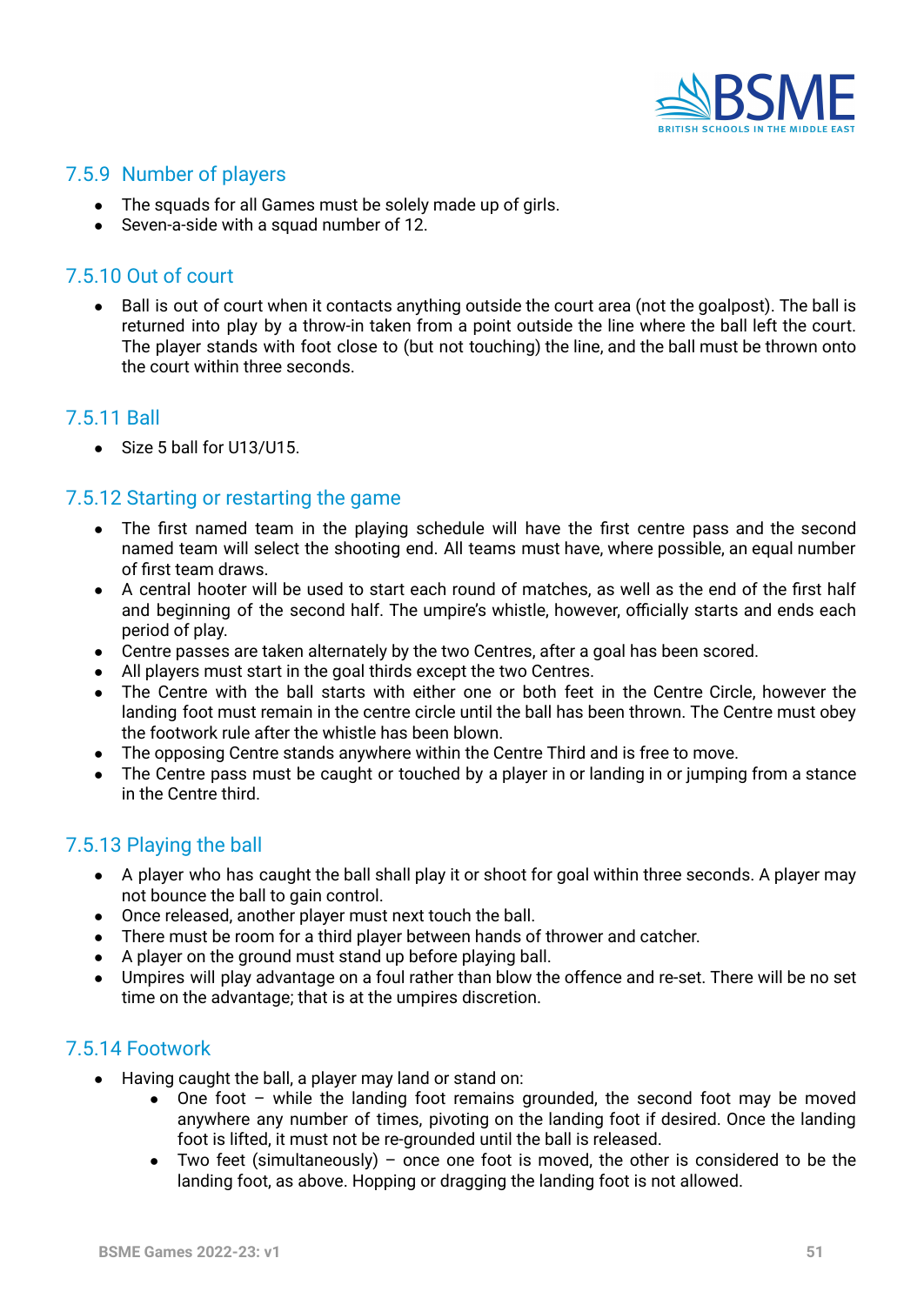

# 7.5.9 Number of players

- The squads for all Games must be solely made up of girls.
- Seven-a-side with a squad number of 12.

### 7.5.10 Out of court

● Ball is out of court when it contacts anything outside the court area (not the goalpost). The ball is returned into play by a throw-in taken from a point outside the line where the ball left the court. The player stands with foot close to (but not touching) the line, and the ball must be thrown onto the court within three seconds.

#### 7.5.11 Ball

• Size 5 ball for U13/U15.

### 7.5.12 Starting or restarting the game

- The first named team in the playing schedule will have the first centre pass and the second named team will select the shooting end. All teams must have, where possible, an equal number of first team draws.
- A central hooter will be used to start each round of matches, as well as the end of the first half and beginning of the second half. The umpire's whistle, however, officially starts and ends each period of play.
- Centre passes are taken alternately by the two Centres, after a goal has been scored.
- All players must start in the goal thirds except the two Centres.
- The Centre with the ball starts with either one or both feet in the Centre Circle, however the landing foot must remain in the centre circle until the ball has been thrown. The Centre must obey the footwork rule after the whistle has been blown.
- The opposing Centre stands anywhere within the Centre Third and is free to move.
- The Centre pass must be caught or touched by a player in or landing in or jumping from a stance in the Centre third.

### 7.5.13 Playing the ball

- A player who has caught the ball shall play it or shoot for goal within three seconds. A player may not bounce the ball to gain control.
- Once released, another player must next touch the ball.
- There must be room for a third player between hands of thrower and catcher.
- A player on the ground must stand up before playing ball.
- Umpires will play advantage on a foul rather than blow the offence and re-set. There will be no set time on the advantage; that is at the umpires discretion.

#### 7.5.14 Footwork

- Having caught the ball, a player may land or stand on:
	- One foot while the landing foot remains grounded, the second foot may be moved anywhere any number of times, pivoting on the landing foot if desired. Once the landing foot is lifted, it must not be re-grounded until the ball is released.
	- Two feet (simultaneously) once one foot is moved, the other is considered to be the landing foot, as above. Hopping or dragging the landing foot is not allowed.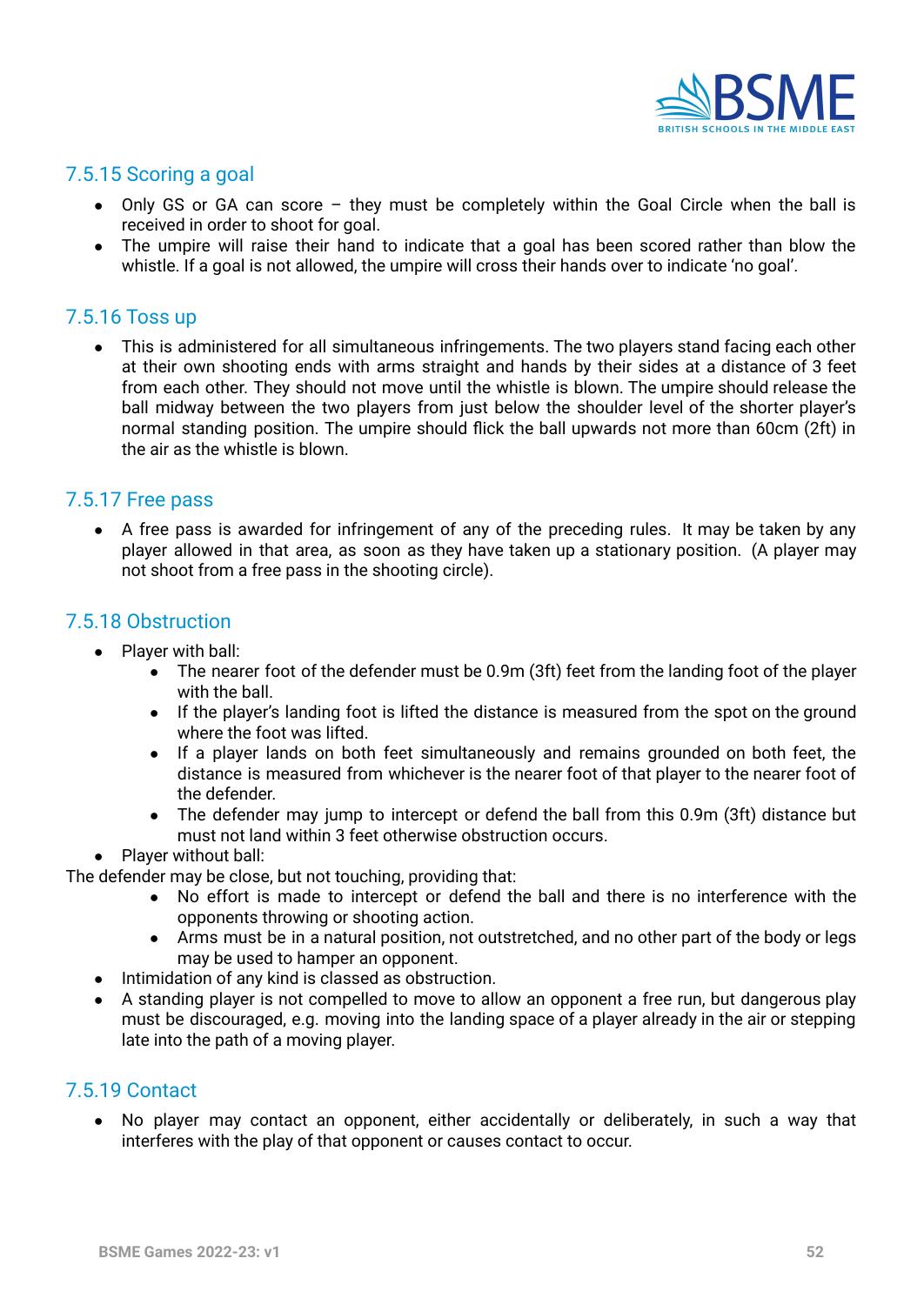

#### 7.5.15 Scoring a goal

- $\bullet$  Only GS or GA can score they must be completely within the Goal Circle when the ball is received in order to shoot for goal.
- The umpire will raise their hand to indicate that a goal has been scored rather than blow the whistle. If a goal is not allowed, the umpire will cross their hands over to indicate 'no goal'.

#### 7.5.16 Toss up

● This is administered for all simultaneous infringements. The two players stand facing each other at their own shooting ends with arms straight and hands by their sides at a distance of 3 feet from each other. They should not move until the whistle is blown. The umpire should release the ball midway between the two players from just below the shoulder level of the shorter player's normal standing position. The umpire should flick the ball upwards not more than 60cm (2ft) in the air as the whistle is blown.

#### 7.5.17 Free pass

• A free pass is awarded for infringement of any of the preceding rules. It may be taken by any player allowed in that area, as soon as they have taken up a stationary position. (A player may not shoot from a free pass in the shooting circle).

#### 7.5.18 Obstruction

- Player with ball:
	- $\bullet$  The nearer foot of the defender must be 0.9m (3ft) feet from the landing foot of the player with the ball.
	- If the player's landing foot is lifted the distance is measured from the spot on the ground where the foot was lifted.
	- If a player lands on both feet simultaneously and remains grounded on both feet, the distance is measured from whichever is the nearer foot of that player to the nearer foot of the defender.
	- The defender may jump to intercept or defend the ball from this 0.9m (3ft) distance but must not land within 3 feet otherwise obstruction occurs.
- Player without ball:

The defender may be close, but not touching, providing that:

- No effort is made to intercept or defend the ball and there is no interference with the opponents throwing or shooting action.
- Arms must be in a natural position, not outstretched, and no other part of the body or legs may be used to hamper an opponent.
- Intimidation of any kind is classed as obstruction.
- A standing player is not compelled to move to allow an opponent a free run, but dangerous play must be discouraged, e.g. moving into the landing space of a player already in the air or stepping late into the path of a moving player.

#### 7.5.19 Contact

**●** No player may contact an opponent, either accidentally or deliberately, in such a way that interferes with the play of that opponent or causes contact to occur.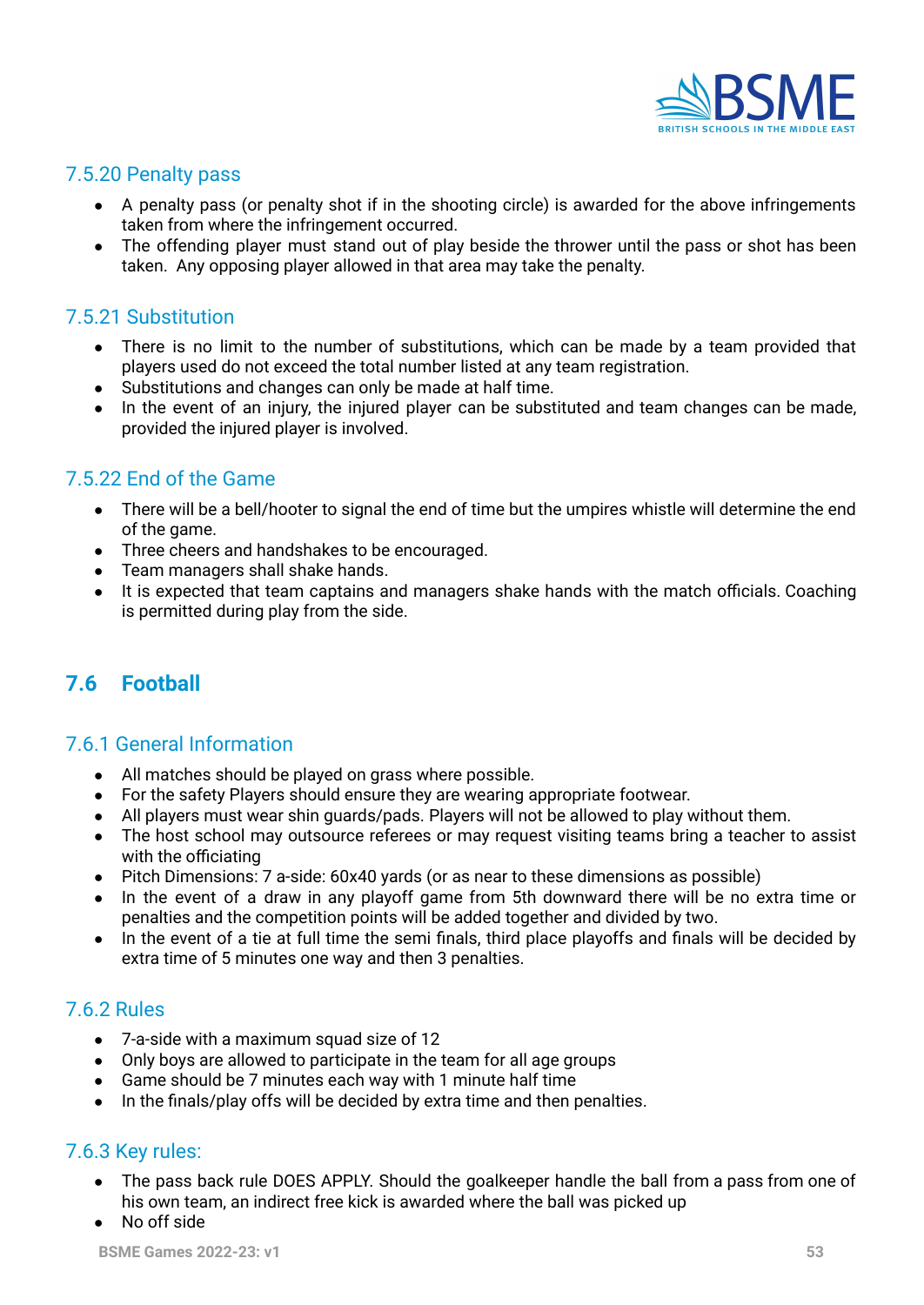

#### 7.5.20 Penalty pass

- A penalty pass (or penalty shot if in the shooting circle) is awarded for the above infringements taken from where the infringement occurred.
- The offending player must stand out of play beside the thrower until the pass or shot has been taken. Any opposing player allowed in that area may take the penalty.

# 7.5.21 Substitution

- There is no limit to the number of substitutions, which can be made by a team provided that players used do not exceed the total number listed at any team registration.
- Substitutions and changes can only be made at half time.
- In the event of an injury, the injured player can be substituted and team changes can be made, provided the injured player is involved.

### 7.5.22 End of the Game

- There will be a bell/hooter to signal the end of time but the umpires whistle will determine the end of the game.
- Three cheers and handshakes to be encouraged.
- Team managers shall shake hands.
- It is expected that team captains and managers shake hands with the match officials. Coaching is permitted during play from the side.

# **7.6 Football**

#### 7.6.1 General Information

- All matches should be played on grass where possible.
- For the safety Players should ensure they are wearing appropriate footwear.
- All players must wear shin guards/pads. Players will not be allowed to play without them.
- The host school may outsource referees or may request visiting teams bring a teacher to assist with the officiating
- Pitch Dimensions: 7 a-side: 60x40 yards (or as near to these dimensions as possible)
- In the event of a draw in any playoff game from 5th downward there will be no extra time or penalties and the competition points will be added together and divided by two.
- In the event of a tie at full time the semi finals, third place playoffs and finals will be decided by extra time of 5 minutes one way and then 3 penalties.

## 7.6.2 Rules

- 7-a-side with a maximum squad size of 12
- Only boys are allowed to participate in the team for all age groups
- Game should be 7 minutes each way with 1 minute half time
- In the finals/play offs will be decided by extra time and then penalties.

### 7.6.3 Key rules:

- The pass back rule DOES APPLY. Should the goalkeeper handle the ball from a pass from one of his own team, an indirect free kick is awarded where the ball was picked up
- No off side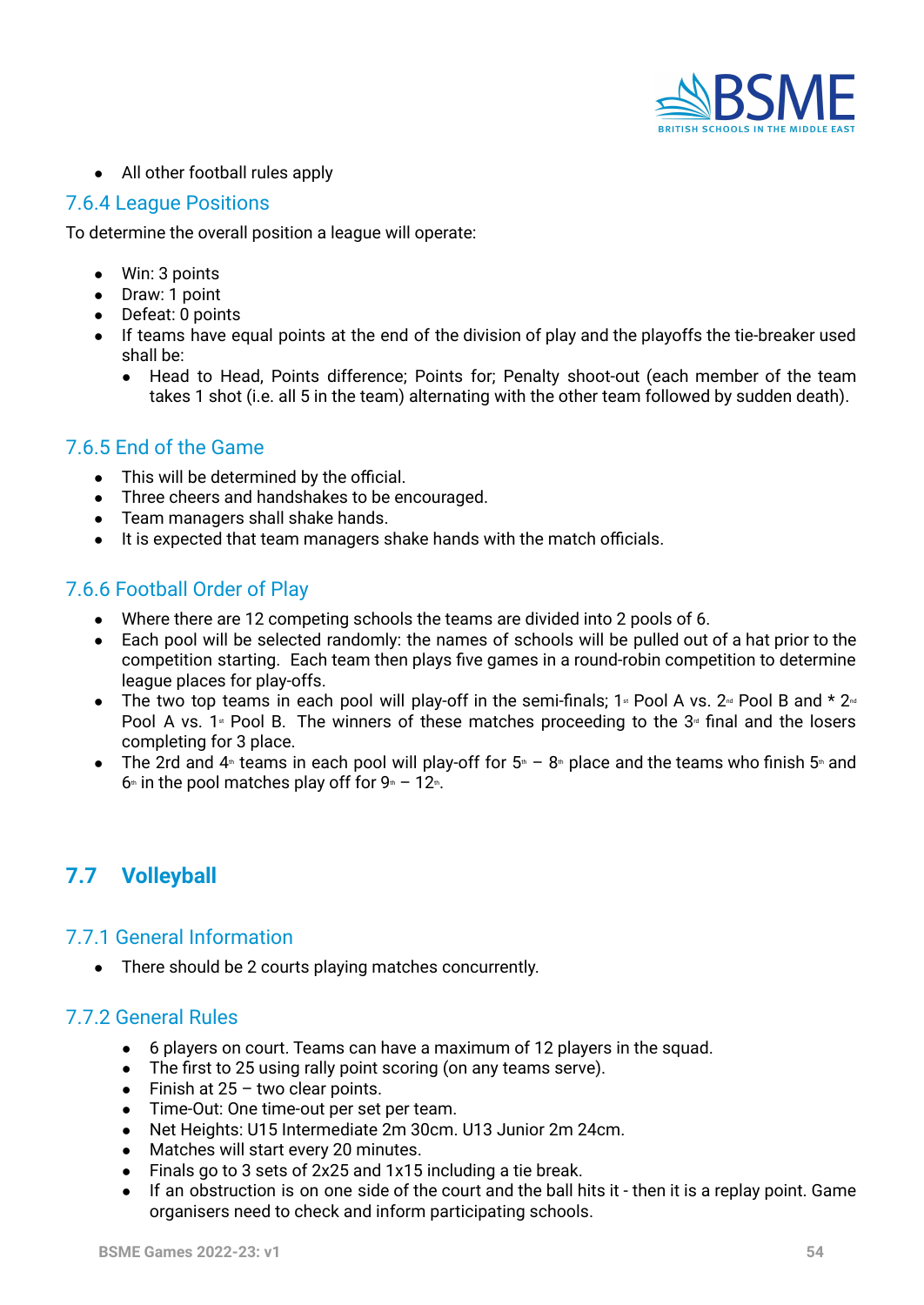

● All other football rules apply

#### 7.6.4 League Positions

To determine the overall position a league will operate:

- Win: 3 points
- Draw: 1 point
- Defeat: 0 points
- If teams have equal points at the end of the division of play and the playoffs the tie-breaker used shall be:
	- Head to Head, Points difference; Points for; Penalty shoot-out (each member of the team takes 1 shot (i.e. all 5 in the team) alternating with the other team followed by sudden death).

#### 7.6.5 End of the Game

- **●** This will be determined by the official.
- **●** Three cheers and handshakes to be encouraged.
- **●** Team managers shall shake hands.
- **●** It is expected that team managers shake hands with the match officials.

### 7.6.6 Football Order of Play

- Where there are 12 competing schools the teams are divided into 2 pools of 6.
- Each pool will be selected randomly: the names of schools will be pulled out of a hat prior to the competition starting. Each team then plays five games in a round-robin competition to determine league places for play-offs.
- The two top teams in each pool will play-off in the semi-finals;  $1*$  Pool A vs.  $2*$  Pool B and  $*$   $2*$ Pool A vs. 1<sup> $\text{st}$ </sup> Pool B. The winners of these matches proceeding to the 3<sup> $\text{st}$ </sup> final and the losers completing for 3 place.
- The 2rd and  $4$ <sup>th</sup> teams in each pool will play-off for  $5$ <sup>th</sup> 8<sup>th</sup> place and the teams who finish 5<sup>th</sup> and  $6<sup>th</sup>$  in the pool matches play off for  $9<sup>th</sup> - 12<sup>th</sup>$ .

# **7.7 Volleyball**

#### 7.7.1 General Information

**●** There should be 2 courts playing matches concurrently.

#### 7.7.2 General Rules

- 6 players on court. Teams can have a maximum of 12 players in the squad.
- The first to 25 using rally point scoring (on any teams serve).
- $\bullet$  Finish at 25 two clear points.
- Time-Out: One time-out per set per team.
- Net Heights: U15 Intermediate 2m 30cm. U13 Junior 2m 24cm.
- Matches will start every 20 minutes.
- Finals go to 3 sets of 2x25 and 1x15 including a tie break.
- If an obstruction is on one side of the court and the ball hits it then it is a replay point. Game organisers need to check and inform participating schools.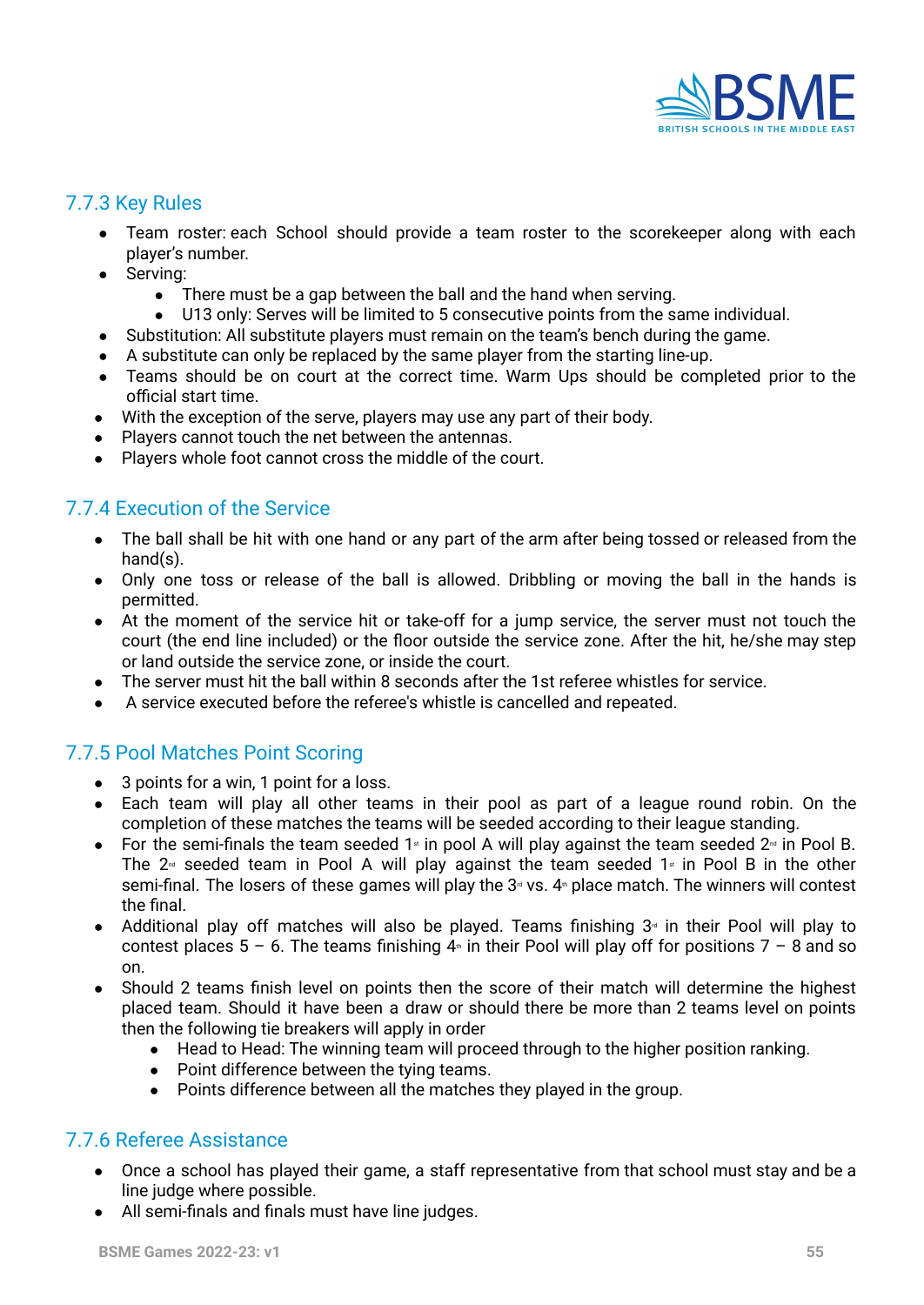

#### 7.7.3 Key Rules

- Team roster: each School should provide a team roster to the scorekeeper along with each player's number.
- Serving:
	- There must be a gap between the ball and the hand when serving.
	- U13 only: Serves will be limited to 5 consecutive points from the same individual.
- Substitution: All substitute players must remain on the team's bench during the game.
- A substitute can only be replaced by the same player from the starting line-up.
- Teams should be on court at the correct time. Warm Ups should be completed prior to the official start time.
- With the exception of the serve, players may use any part of their body.
- Players cannot touch the net between the antennas.
- Players whole foot cannot cross the middle of the court.

### 7.7.4 Execution of the Service

- The ball shall be hit with one hand or any part of the arm after being tossed or released from the hand(s).
- Only one toss or release of the ball is allowed. Dribbling or moving the ball in the hands is permitted.
- At the moment of the service hit or take-off for a jump service, the server must not touch the court (the end line included) or the floor outside the service zone. After the hit, he/she may step or land outside the service zone, or inside the court.
- The server must hit the ball within 8 seconds after the 1st referee whistles for service.
- A service executed before the referee's whistle is cancelled and repeated.

# 7.7.5 Pool Matches Point Scoring

- 3 points for a win, 1 point for a loss.
- Each team will play all other teams in their pool as part of a league round robin. On the completion of these matches the teams will be seeded according to their league standing.
- For the semi-finals the team seeded 1<sup> $\text{st}$ </sup> in pool A will play against the team seeded  $2\text{st}$  in Pool B. The  $2<sup>nd</sup>$  seeded team in Pool A will play against the team seeded 1<sup>st</sup> in Pool B in the other semi-final. The losers of these games will play the  $3<sup>d</sup>$  vs.  $4<sup>d</sup>$  place match. The winners will contest the final.
- Additional play off matches will also be played. Teams finishing  $3<sup>a</sup>$  in their Pool will play to contest places  $5 - 6$ . The teams finishing  $4 \text{m}$  in their Pool will play off for positions  $7 - 8$  and so on.
- Should 2 teams finish level on points then the score of their match will determine the highest placed team. Should it have been a draw or should there be more than 2 teams level on points then the following tie breakers will apply in order
	- Head to Head: The winning team will proceed through to the higher position ranking.
	- Point difference between the tying teams.
	- Points difference between all the matches they played in the group.

### 7.7.6 Referee Assistance

- Once a school has played their game, a staff representative from that school must stay and be a line judge where possible.
- All semi-finals and finals must have line judges.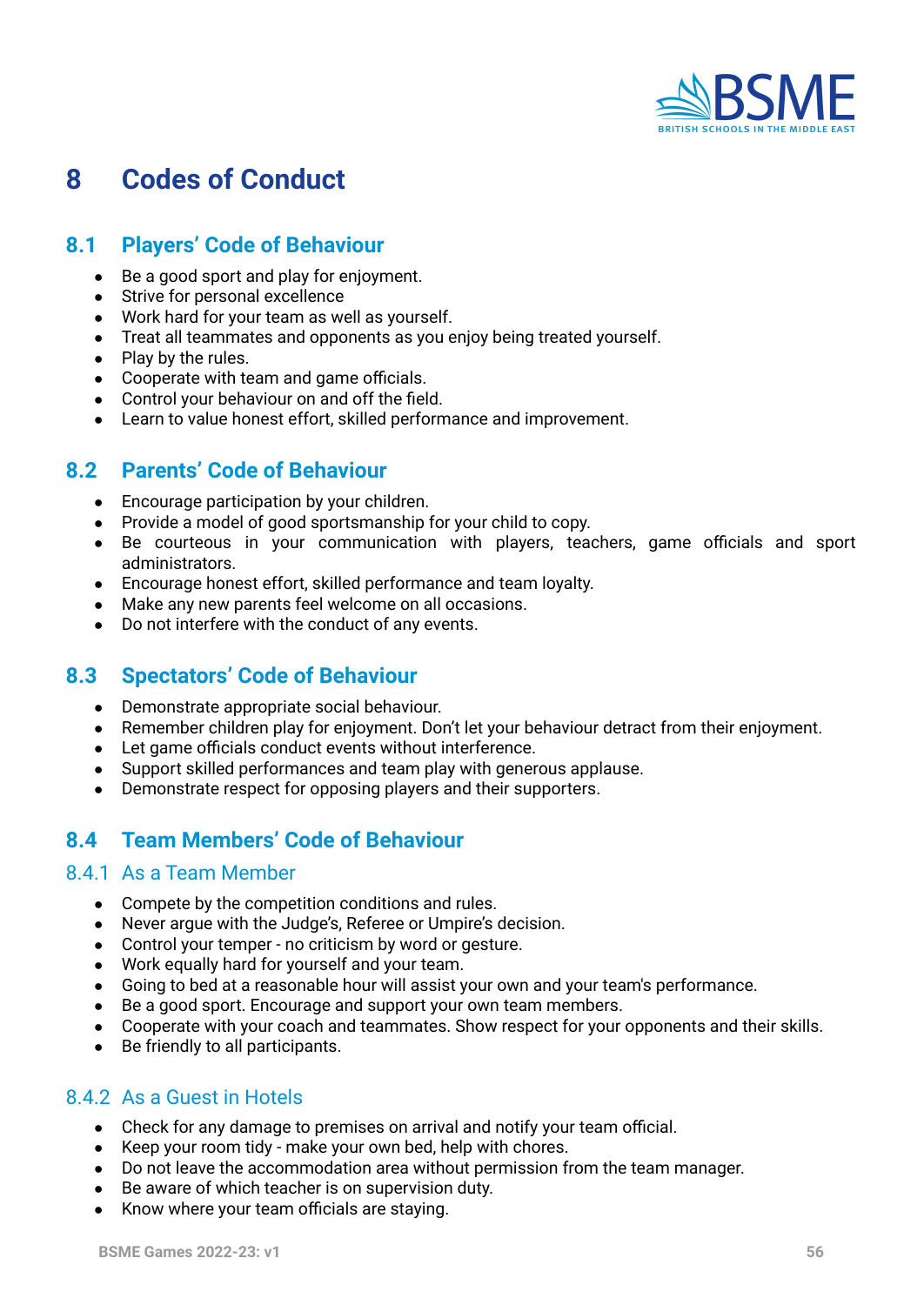

# **8 Codes of Conduct**

## <span id="page-55-0"></span>**8.1 Players' Code of Behaviour**

- Be a good sport and play for enjoyment.
- Strive for personal excellence
- Work hard for your team as well as yourself.
- Treat all teammates and opponents as you enjoy being treated yourself.
- Play by the rules.
- Cooperate with team and game officials.
- Control your behaviour on and off the field.
- Learn to value honest effort, skilled performance and improvement.

# <span id="page-55-1"></span>**8.2 Parents' Code of Behaviour**

- Encourage participation by your children.
- Provide a model of good sportsmanship for your child to copy.
- Be courteous in your communication with players, teachers, game officials and sport administrators.
- Encourage honest effort, skilled performance and team loyalty.
- Make any new parents feel welcome on all occasions.
- Do not interfere with the conduct of any events.

### <span id="page-55-2"></span>**8.3 Spectators' Code of Behaviour**

- Demonstrate appropriate social behaviour.
- Remember children play for enjoyment. Don't let your behaviour detract from their enjoyment.
- Let game officials conduct events without interference.
- Support skilled performances and team play with generous applause.
- Demonstrate respect for opposing players and their supporters.

### <span id="page-55-3"></span>**8.4 Team Members' Code of Behaviour**

#### <span id="page-55-4"></span>8.4.1 As a Team Member

- Compete by the competition conditions and rules.
- Never argue with the Judge's, Referee or Umpire's decision.
- Control your temper no criticism by word or gesture.
- Work equally hard for yourself and your team.
- Going to bed at a reasonable hour will assist your own and your team's performance.
- Be a good sport. Encourage and support your own team members.
- Cooperate with your coach and teammates. Show respect for your opponents and their skills.
- Be friendly to all participants.

### <span id="page-55-5"></span>8.4.2 As a Guest in Hotels

- Check for any damage to premises on arrival and notify your team official.
- Keep your room tidy make your own bed, help with chores.
- Do not leave the accommodation area without permission from the team manager.
- Be aware of which teacher is on supervision duty.
- Know where your team officials are staying.